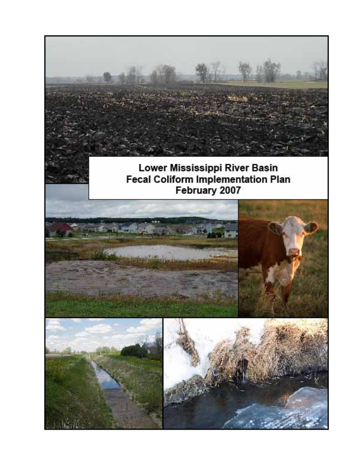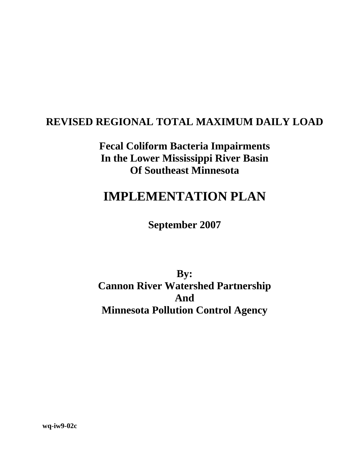## **REVISED REGIONAL TOTAL MAXIMUM DAILY LOAD**

**Fecal Coliform Bacteria Impairments In the Lower Mississippi River Basin Of Southeast Minnesota** 

# **IMPLEMENTATION PLAN**

**September 2007** 

**By: Cannon River Watershed Partnership And Minnesota Pollution Control Agency** 

**wq-iw9-02c**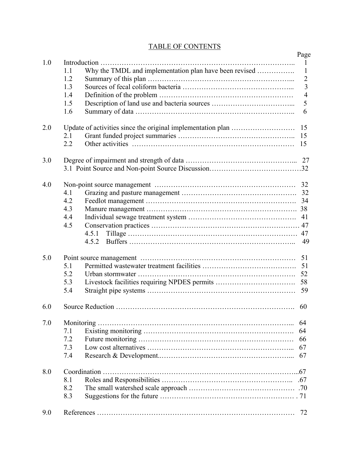#### TABLE OF CONTENTS

|     |                                                               | Page           |  |  |  |  |  |  |  |
|-----|---------------------------------------------------------------|----------------|--|--|--|--|--|--|--|
| 1.0 |                                                               | 1              |  |  |  |  |  |  |  |
|     | Why the TMDL and implementation plan have been revised<br>1.1 | $\mathbf{1}$   |  |  |  |  |  |  |  |
|     | 1.2                                                           | $\overline{2}$ |  |  |  |  |  |  |  |
|     | 1.3                                                           | $\overline{3}$ |  |  |  |  |  |  |  |
|     | 1.4                                                           | $\overline{4}$ |  |  |  |  |  |  |  |
|     | 1.5                                                           | 5              |  |  |  |  |  |  |  |
|     | 1.6                                                           | 6              |  |  |  |  |  |  |  |
| 2.0 |                                                               |                |  |  |  |  |  |  |  |
|     | 2.1                                                           | 15             |  |  |  |  |  |  |  |
|     | 2.2                                                           | 15             |  |  |  |  |  |  |  |
|     |                                                               |                |  |  |  |  |  |  |  |
| 3.0 |                                                               |                |  |  |  |  |  |  |  |
|     |                                                               |                |  |  |  |  |  |  |  |
| 4.0 |                                                               |                |  |  |  |  |  |  |  |
|     | 4.1                                                           | 32             |  |  |  |  |  |  |  |
|     | 4.2                                                           |                |  |  |  |  |  |  |  |
|     | 4.3                                                           |                |  |  |  |  |  |  |  |
|     | 4.4                                                           | 41             |  |  |  |  |  |  |  |
|     | 4.5                                                           |                |  |  |  |  |  |  |  |
|     | 4.5.1                                                         |                |  |  |  |  |  |  |  |
|     | 4.5.2                                                         | 49             |  |  |  |  |  |  |  |
| 5.0 |                                                               | 51             |  |  |  |  |  |  |  |
|     | 5.1                                                           |                |  |  |  |  |  |  |  |
|     | 5.2                                                           | 51<br>52       |  |  |  |  |  |  |  |
|     | 5.3                                                           |                |  |  |  |  |  |  |  |
|     | 5.4                                                           | 59             |  |  |  |  |  |  |  |
|     |                                                               |                |  |  |  |  |  |  |  |
| 6.0 |                                                               | 60             |  |  |  |  |  |  |  |
|     |                                                               |                |  |  |  |  |  |  |  |
| 7.0 |                                                               | 64             |  |  |  |  |  |  |  |
|     | 7.1<br>7.2                                                    | 64             |  |  |  |  |  |  |  |
|     | 7.3                                                           | 66<br>67       |  |  |  |  |  |  |  |
|     | 7.4                                                           |                |  |  |  |  |  |  |  |
|     |                                                               |                |  |  |  |  |  |  |  |
| 8.0 |                                                               |                |  |  |  |  |  |  |  |
|     | 8.1                                                           |                |  |  |  |  |  |  |  |
|     | 8.2                                                           |                |  |  |  |  |  |  |  |
|     | 8.3                                                           |                |  |  |  |  |  |  |  |
| 9.0 |                                                               | 72             |  |  |  |  |  |  |  |
|     |                                                               |                |  |  |  |  |  |  |  |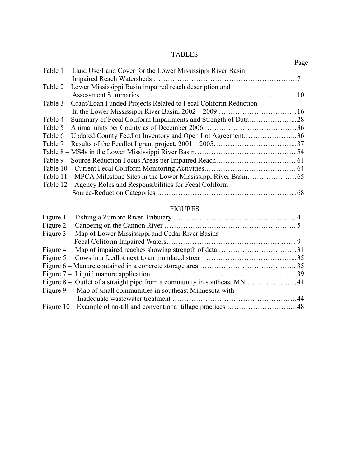## **TABLES**

| Page                                                                |
|---------------------------------------------------------------------|
|                                                                     |
|                                                                     |
|                                                                     |
|                                                                     |
|                                                                     |
|                                                                     |
|                                                                     |
|                                                                     |
| Table 6 – Updated County Feedlot Inventory and Open Lot Agreement36 |
|                                                                     |
|                                                                     |
|                                                                     |
|                                                                     |
|                                                                     |
|                                                                     |
|                                                                     |
|                                                                     |

## **FIGURES**

| Figure 3 – Map of Lower Mississippi and Cedar River Basins      |  |
|-----------------------------------------------------------------|--|
|                                                                 |  |
|                                                                 |  |
|                                                                 |  |
|                                                                 |  |
|                                                                 |  |
|                                                                 |  |
| Figure 9 – Map of small communities in southeast Minnesota with |  |
|                                                                 |  |
|                                                                 |  |
|                                                                 |  |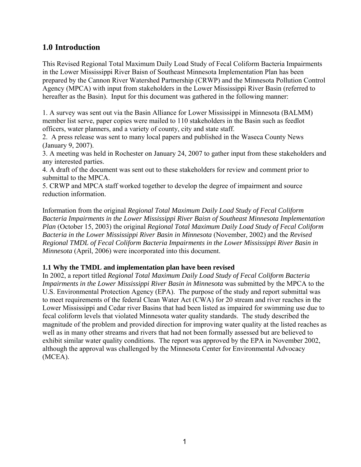## **1.0 Introduction**

This Revised Regional Total Maximum Daily Load Study of Fecal Coliform Bacteria Impairments in the Lower Mississippi River Baisn of Southeast Minnesota Implementation Plan has been prepared by the Cannon River Watershed Partnership (CRWP) and the Minnesota Pollution Control Agency (MPCA) with input from stakeholders in the Lower Mississippi River Basin (referred to hereafter as the Basin). Input for this document was gathered in the following manner:

1. A survey was sent out via the Basin Alliance for Lower Mississippi in Minnesota (BALMM) member list serve, paper copies were mailed to 110 stakeholders in the Basin such as feedlot officers, water planners, and a variety of county, city and state staff.

2. A press release was sent to many local papers and published in the Waseca County News (January 9, 2007).

3. A meeting was held in Rochester on January 24, 2007 to gather input from these stakeholders and any interested parties.

4. A draft of the document was sent out to these stakeholders for review and comment prior to submittal to the MPCA.

5. CRWP and MPCA staff worked together to develop the degree of impairment and source reduction information.

Information from the original *Regional Total Maximum Daily Load Study of Fecal Coliform Bacteria Impairments in the Lower Mississippi River Baisn of Southeast Minnesota Implementation Plan* (October 15, 2003) the original *Regional Total Maximum Daily Load Study of Fecal Coliform Bacteria in the Lower Mississippi River Basin in Minnesota* (November, 2002) and the *Revised Regional TMDL of Fecal Coliform Bacteria Impairments in the Lower Mississippi River Basin in Minnesota* (April, 2006) were incorporated into this document.

#### **1.1 Why the TMDL and implementation plan have been revised**

In 2002, a report titled *Regional Total Maximum Daily Load Study of Fecal Coliform Bacteria Impairments in the Lower Mississippi River Basin in Minnesota* was submitted by the MPCA to the U.S. Environmental Protection Agency (EPA). The purpose of the study and report submittal was to meet requirements of the federal Clean Water Act (CWA) for 20 stream and river reaches in the Lower Mississippi and Cedar river Basins that had been listed as impaired for swimming use due to fecal coliform levels that violated Minnesota water quality standards. The study described the magnitude of the problem and provided direction for improving water quality at the listed reaches as well as in many other streams and rivers that had not been formally assessed but are believed to exhibit similar water quality conditions. The report was approved by the EPA in November 2002, although the approval was challenged by the Minnesota Center for Environmental Advocacy (MCEA).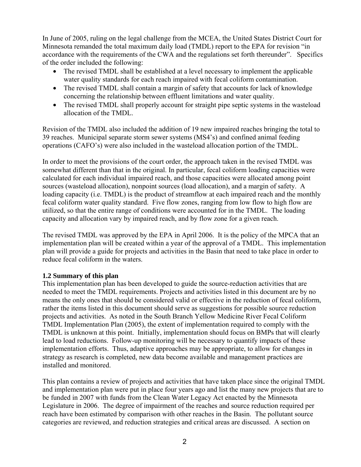In June of 2005, ruling on the legal challenge from the MCEA, the United States District Court for Minnesota remanded the total maximum daily load (TMDL) report to the EPA for revision "in accordance with the requirements of the CWA and the regulations set forth thereunder". Specifics of the order included the following:

- The revised TMDL shall be established at a level necessary to implement the applicable water quality standards for each reach impaired with fecal coliform contamination.
- The revised TMDL shall contain a margin of safety that accounts for lack of knowledge concerning the relationship between effluent limitations and water quality.
- The revised TMDL shall properly account for straight pipe septic systems in the wasteload allocation of the TMDL.

Revision of the TMDL also included the addition of 19 new impaired reaches bringing the total to 39 reaches. Municipal separate storm sewer systems (MS4's) and confined animal feeding operations (CAFO's) were also included in the wasteload allocation portion of the TMDL.

In order to meet the provisions of the court order, the approach taken in the revised TMDL was somewhat different than that in the original. In particular, fecal coliform loading capacities were calculated for each individual impaired reach, and those capacities were allocated among point sources (wasteload allocation), nonpoint sources (load allocation), and a margin of safety. A loading capacity (i.e. TMDL) is the product of streamflow at each impaired reach and the monthly fecal coliform water quality standard. Five flow zones, ranging from low flow to high flow are utilized, so that the entire range of conditions were accounted for in the TMDL. The loading capacity and allocation vary by impaired reach, and by flow zone for a given reach.

The revised TMDL was approved by the EPA in April 2006. It is the policy of the MPCA that an implementation plan will be created within a year of the approval of a TMDL. This implementation plan will provide a guide for projects and activities in the Basin that need to take place in order to reduce fecal coliform in the waters.

## **1.2 Summary of this plan**

This implementation plan has been developed to guide the source-reduction activities that are needed to meet the TMDL requirements. Projects and activities listed in this document are by no means the only ones that should be considered valid or effective in the reduction of fecal coliform, rather the items listed in this document should serve as suggestions for possible source reduction projects and activities. As noted in the South Branch Yellow Medicine River Fecal Coliform TMDL Implementation Plan (2005), the extent of implementation required to comply with the TMDL is unknown at this point. Initially, implementation should focus on BMPs that will clearly lead to load reductions. Follow-up monitoring will be necessary to quantify impacts of these implementation efforts. Thus, adaptive approaches may be appropriate, to allow for changes in strategy as research is completed, new data become available and management practices are installed and monitored.

This plan contains a review of projects and activities that have taken place since the original TMDL and implementation plan were put in place four years ago and list the many new projects that are to be funded in 2007 with funds from the Clean Water Legacy Act enacted by the Minnesota Legislature in 2006. The degree of impairment of the reaches and source reduction required per reach have been estimated by comparison with other reaches in the Basin. The pollutant source categories are reviewed, and reduction strategies and critical areas are discussed. A section on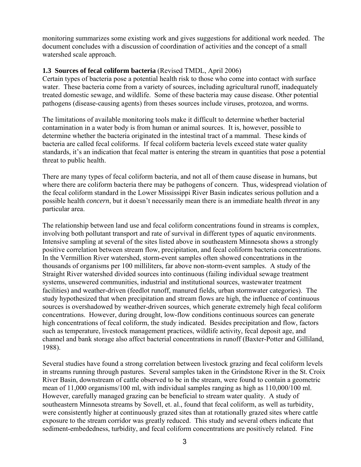monitoring summarizes some existing work and gives suggestions for additional work needed. The document concludes with a discussion of coordination of activities and the concept of a small watershed scale approach.

#### **1.3 Sources of fecal coliform bacteria** (Revised TMDL, April 2006)

Certain types of bacteria pose a potential health risk to those who come into contact with surface water. These bacteria come from a variety of sources, including agricultural runoff, inadequately treated domestic sewage, and wildlife. Some of these bacteria may cause disease. Other potential pathogens (disease-causing agents) from theses sources include viruses, protozoa, and worms.

The limitations of available monitoring tools make it difficult to determine whether bacterial contamination in a water body is from human or animal sources. It is, however, possible to determine whether the bacteria originated in the intestinal tract of a mammal. These kinds of bacteria are called fecal coliforms. If fecal coliform bacteria levels exceed state water quality standards, it's an indication that fecal matter is entering the stream in quantities that pose a potential threat to public health.

There are many types of fecal coliform bacteria, and not all of them cause disease in humans, but where there are coliform bacteria there may be pathogens of concern. Thus, widespread violation of the fecal coliform standard in the Lower Mississippi River Basin indicates serious pollution and a possible health *concern*, but it doesn't necessarily mean there is an immediate health *threat* in any particular area.

The relationship between land use and fecal coliform concentrations found in streams is complex, involving both pollutant transport and rate of survival in different types of aquatic environments. Intensive sampling at several of the sites listed above in southeastern Minnesota shows a strongly positive correlation between stream flow, precipitation, and fecal coliform bacteria concentrations. In the Vermillion River watershed, storm-event samples often showed concentrations in the thousands of organisms per 100 milliliters, far above non-storm-event samples. A study of the Straight River watershed divided sources into continuous (failing individual sewage treatment systems, unsewered communities, industrial and institutional sources, wastewater treatment facilities) and weather-driven (feedlot runoff, manured fields, urban stormwater categories). The study hypothesized that when precipitation and stream flows are high, the influence of continuous sources is overshadowed by weather-driven sources, which generate extremely high fecal coliform concentrations. However, during drought, low-flow conditions continuous sources can generate high concentrations of fecal coliform, the study indicated. Besides precipitation and flow, factors such as temperature, livestock management practices, wildlife activity, fecal deposit age, and channel and bank storage also affect bacterial concentrations in runoff (Baxter-Potter and Gilliland, 1988).

Several studies have found a strong correlation between livestock grazing and fecal coliform levels in streams running through pastures. Several samples taken in the Grindstone River in the St. Croix River Basin, downstream of cattle observed to be in the stream, were found to contain a geometric mean of 11,000 organisms/100 ml, with individual samples ranging as high as 110,000/100 ml. However, carefully managed grazing can be beneficial to stream water quality. A study of southeastern Minnesota streams by Sovell, et. al., found that fecal coliform, as well as turbidity, were consistently higher at continuously grazed sites than at rotationally grazed sites where cattle exposure to the stream corridor was greatly reduced. This study and several others indicate that sediment-embededness, turbidity, and fecal coliform concentrations are positively related. Fine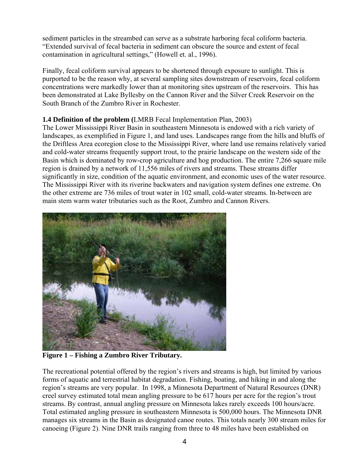sediment particles in the streambed can serve as a substrate harboring fecal coliform bacteria. "Extended survival of fecal bacteria in sediment can obscure the source and extent of fecal contamination in agricultural settings," (Howell et. al., 1996).

Finally, fecal coliform survival appears to be shortened through exposure to sunlight. This is purported to be the reason why, at several sampling sites downstream of reservoirs, fecal coliform concentrations were markedly lower than at monitoring sites upstream of the reservoirs. This has been demonstrated at Lake Byllesby on the Cannon River and the Silver Creek Reservoir on the South Branch of the Zumbro River in Rochester.

#### **1.4 Definition of the problem (**LMRB Fecal Implementation Plan, 2003)

The Lower Mississippi River Basin in southeastern Minnesota is endowed with a rich variety of landscapes, as exemplified in Figure 1, and land uses. Landscapes range from the hills and bluffs of the Driftless Area ecoregion close to the Mississippi River, where land use remains relatively varied and cold-water streams frequently support trout, to the prairie landscape on the western side of the Basin which is dominated by row-crop agriculture and hog production. The entire 7,266 square mile region is drained by a network of 11,556 miles of rivers and streams. These streams differ significantly in size, condition of the aquatic environment, and economic uses of the water resource. The Mississippi River with its riverine backwaters and navigation system defines one extreme. On the other extreme are 736 miles of trout water in 102 small, cold-water streams. In-between are main stem warm water tributaries such as the Root, Zumbro and Cannon Rivers.



**Figure 1 – Fishing a Zumbro River Tributary.** 

The recreational potential offered by the region's rivers and streams is high, but limited by various forms of aquatic and terrestrial habitat degradation. Fishing, boating, and hiking in and along the region's streams are very popular. In 1998, a Minnesota Department of Natural Resources (DNR) creel survey estimated total mean angling pressure to be 617 hours per acre for the region's trout streams. By contrast, annual angling pressure on Minnesota lakes rarely exceeds 100 hours/acre. Total estimated angling pressure in southeastern Minnesota is 500,000 hours. The Minnesota DNR manages six streams in the Basin as designated canoe routes. This totals nearly 300 stream miles for canoeing (Figure 2). Nine DNR trails ranging from three to 48 miles have been established on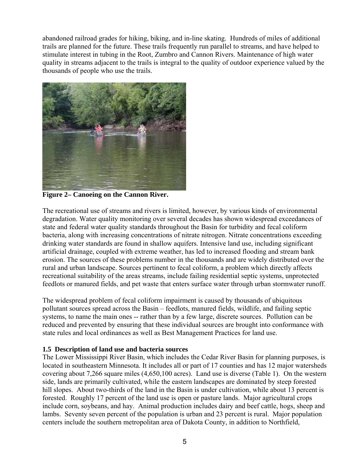abandoned railroad grades for hiking, biking, and in-line skating. Hundreds of miles of additional trails are planned for the future. These trails frequently run parallel to streams, and have helped to stimulate interest in tubing in the Root, Zumbro and Cannon Rivers. Maintenance of high water quality in streams adjacent to the trails is integral to the quality of outdoor experience valued by the thousands of people who use the trails.



**Figure 2– Canoeing on the Cannon River.** 

The recreational use of streams and rivers is limited, however, by various kinds of environmental degradation. Water quality monitoring over several decades has shown widespread exceedances of state and federal water quality standards throughout the Basin for turbidity and fecal coliform bacteria, along with increasing concentrations of nitrate nitrogen. Nitrate concentrations exceeding drinking water standards are found in shallow aquifers. Intensive land use, including significant artificial drainage, coupled with extreme weather, has led to increased flooding and stream bank erosion. The sources of these problems number in the thousands and are widely distributed over the rural and urban landscape. Sources pertinent to fecal coliform, a problem which directly affects recreational suitability of the areas streams, include failing residential septic systems, unprotected feedlots or manured fields, and pet waste that enters surface water through urban stormwater runoff.

The widespread problem of fecal coliform impairment is caused by thousands of ubiquitous pollutant sources spread across the Basin – feedlots, manured fields, wildlife, and failing septic systems, to name the main ones -- rather than by a few large, discrete sources. Pollution can be reduced and prevented by ensuring that these individual sources are brought into conformance with state rules and local ordinances as well as Best Management Practices for land use.

#### **1.5 Description of land use and bacteria sources**

The Lower Mississippi River Basin, which includes the Cedar River Basin for planning purposes, is located in southeastern Minnesota. It includes all or part of 17 counties and has 12 major watersheds covering about 7,266 square miles (4,650,100 acres). Land use is diverse (Table 1). On the western side, lands are primarily cultivated, while the eastern landscapes are dominated by steep forested hill slopes. About two-thirds of the land in the Basin is under cultivation, while about 13 percent is forested. Roughly 17 percent of the land use is open or pasture lands. Major agricultural crops include corn, soybeans, and hay. Animal production includes dairy and beef cattle, hogs, sheep and lambs. Seventy seven percent of the population is urban and 23 percent is rural. Major population centers include the southern metropolitan area of Dakota County, in addition to Northfield,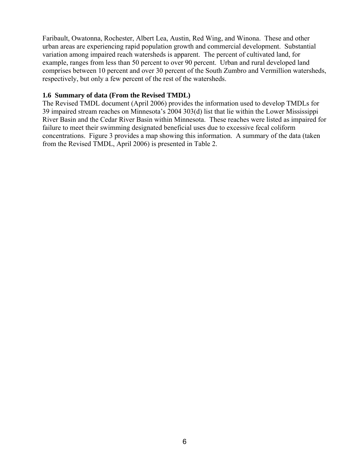Faribault, Owatonna, Rochester, Albert Lea, Austin, Red Wing, and Winona. These and other urban areas are experiencing rapid population growth and commercial development. Substantial variation among impaired reach watersheds is apparent. The percent of cultivated land, for example, ranges from less than 50 percent to over 90 percent. Urban and rural developed land comprises between 10 percent and over 30 percent of the South Zumbro and Vermillion watersheds, respectively, but only a few percent of the rest of the watersheds.

#### **1.6 Summary of data (From the Revised TMDL)**

The Revised TMDL document (April 2006) provides the information used to develop TMDLs for 39 impaired stream reaches on Minnesota's 2004 303(d) list that lie within the Lower Mississippi River Basin and the Cedar River Basin within Minnesota. These reaches were listed as impaired for failure to meet their swimming designated beneficial uses due to excessive fecal coliform concentrations. Figure 3 provides a map showing this information. A summary of the data (taken from the Revised TMDL, April 2006) is presented in Table 2.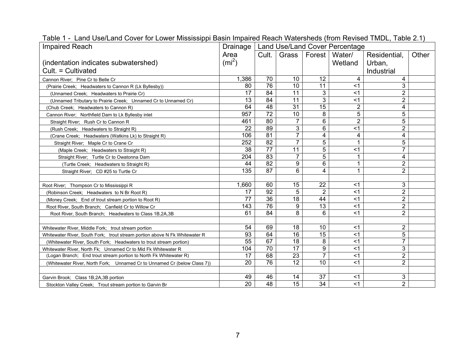| <b>Impaired Reach</b>                                                      | Drainage          |                 |                |                 | Land Use/Land Cover Percentage |                |       |
|----------------------------------------------------------------------------|-------------------|-----------------|----------------|-----------------|--------------------------------|----------------|-------|
|                                                                            | Area              | Cult.           | Grass          | Forest I        | Water/                         | Residential,   | Other |
| (indentation indicates subwatershed)                                       | (m <sup>2</sup> ) |                 |                |                 | Wetland                        | Urban,         |       |
| Cult. = Cultivated                                                         |                   |                 |                |                 |                                | Industrial     |       |
| Cannon River; Pine Cr to Belle Cr                                          | 1,386             | 70              | 10             | 12              | 4                              | 4              |       |
| (Prairie Creek; Headwaters to Cannon R (Lk Byllesby))                      | 80                | 76              | 10             | 11              | <1                             | 3              |       |
| (Unnamed Creek: Headwaters to Prairie Cr)                                  | 17                | 84              | 11             | 3               | $<$ 1                          | $\overline{2}$ |       |
| (Unnamed Tributary to Prairie Creek; Unnamed Cr to Unnamed Cr)             | 13                | 84              | 11             | 3               | $<$ 1                          | $\overline{2}$ |       |
| (Chub Creek; Headwaters to Cannon R)                                       | 64                | 48              | 31             | $\overline{15}$ | $\overline{2}$                 | 4              |       |
| Cannon River; Northfield Dam to Lk Byllesby inlet                          | 957               | $\overline{72}$ | 10             | 8               | 5                              | 5              |       |
| Straight River; Rush Cr to Cannon R                                        | 461               | 80              | $\overline{7}$ | 6               | $\overline{2}$                 | 5              |       |
| (Rush Creek; Headwaters to Straight R)                                     | 22                | 89              | 3              | 6               | < 1                            | $\overline{2}$ |       |
| (Crane Creek; Headwaters (Watkins Lk) to Straight R)                       | 106               | $\overline{81}$ | $\overline{7}$ | 4               | 4                              | 4              |       |
| Straight River: Maple Cr to Crane Cr                                       | 252               | 82              | $\overline{7}$ | 5               | 1                              | 5              |       |
| (Maple Creek: Headwaters to Straight R)                                    | 38                | $\overline{77}$ | 11             | $\overline{5}$  | $<$ 1                          | $\overline{7}$ |       |
| Straight River; Turtle Cr to Owatonna Dam                                  | 204               | 83              | $\overline{7}$ | 5               | $\mathbf{1}$                   | 4              |       |
| (Turtle Creek; Headwaters to Straight R)                                   | 44                | $\overline{82}$ | 9              | 6               | 1                              | $\overline{2}$ |       |
| Straight River; CD #25 to Turtle Cr                                        | 135               | $\overline{87}$ | $6\phantom{1}$ | 4               | 1                              | $\overline{2}$ |       |
|                                                                            |                   |                 |                |                 |                                |                |       |
| Root River; Thompson Cr to Mississippi R                                   | 1,660             | 60              | 15             | 22              | $<$ 1                          | 3              |       |
| (Robinson Creek; Headwaters to N Br Root R)                                | 17                | $\overline{92}$ | 5              | $\overline{2}$  | $<$ 1                          | $\overline{2}$ |       |
| (Money Creek; End of trout stream portion to Root R)                       | 77                | 36              | 18             | 44              | $<$ 1                          | $\overline{2}$ |       |
| Root River, South Branch; Canfield Cr to Willow Cr                         | 143               | 76              | 9              | 13              | $<$ 1                          | $\overline{2}$ |       |
| Root River, South Branch; Headwaters to Class 1B, 2A, 3B                   | 61                | 84              | 8              | 6               | < 1                            | $\overline{2}$ |       |
|                                                                            |                   |                 |                |                 |                                |                |       |
| Whitewater River, Middle Fork; trout stream portion                        | 54                | 69              | 18             | 10              | $<$ 1                          | $\overline{2}$ |       |
| Whitewater River, South Fork; trout stream portion above N Fk Whitewater R | 93                | 64              | 16             | 15              | $<$ 1                          | 5              |       |
| (Whitewater River, South Fork; Headwaters to trout stream portion)         | 55                | 67              | 18             | 8               | $<$ 1                          | $\overline{7}$ |       |
| Whitewater River, North Fk; Unnamed Cr to Mid Fk Whitewater R              | 104               | $\overline{70}$ | 17             | 9               | $<$ 1                          | 3              |       |
| (Logan Branch; End trout stream portion to North Fk Whitewater R)          | 17                | 68              | 23             | $\overline{7}$  | $<$ 1                          | $\overline{2}$ |       |
| (Whitewater River, North Fork; Unnamed Cr to Unnamed Cr (below Class 7))   | 20                | 76              | 12             | 10              | $<$ 1                          | $\overline{2}$ |       |
|                                                                            |                   |                 |                |                 |                                |                |       |
| Garvin Brook: Class 1B, 2A, 3B portion                                     | 49                | 46              | 14             | 37              | $<$ 1                          | 3              |       |
| Stockton Valley Creek; Trout stream portion to Garvin Br                   | 20                | 48              | 15             | $\overline{34}$ | $<$ 1                          | $\overline{2}$ |       |

Table 1 - Land Use/Land Cover for Lower Mississippi Basin Impaired Reach Watersheds (from Revised TMDL, Table 2.1)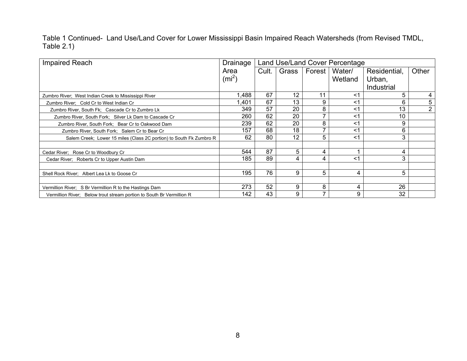Table 1 Continued- Land Use/Land Cover for Lower Mississippi Basin Impaired Reach Watersheds (from Revised TMDL, Table 2.1)

| Impaired Reach                                                        | Drainage          | Land Use/Land Cover Percentage |       |          |         |              |                |
|-----------------------------------------------------------------------|-------------------|--------------------------------|-------|----------|---------|--------------|----------------|
|                                                                       | Area              | Cult.                          | Grass | Forest I | Water/  | Residential, | Other          |
|                                                                       | (m <sup>2</sup> ) |                                |       |          | Wetland | Urban,       |                |
|                                                                       |                   |                                |       |          |         | Industrial   |                |
| Zumbro River; West Indian Creek to Mississippi River                  | .488              | 67                             | 12    | 11       | <1      | 5            |                |
| Zumbro River; Cold Cr to West Indian Cr                               | ,401              | 67                             | 13    | 9        | <1      | 6            | 5              |
| Zumbro River, South Fk; Cascade Cr to Zumbro Lk                       | 349               | 57                             | 20    | 8        | <1      | 13           | $\overline{2}$ |
| Zumbro River, South Fork; Silver Lk Dam to Cascade Cr                 | 260               | 62                             | 20    |          | <1      | 10           |                |
| Zumbro River, South Fork; Bear Cr to Oakwood Dam                      | 239               | 62                             | 20    | 8        | <1      | 9            |                |
| Zumbro River, South Fork; Salem Cr to Bear Cr                         | 157               | 68                             | 18    |          | <1      | 6            |                |
| Salem Creek; Lower 15 miles (Class 2C portion) to South Fk Zumbro R   | 62                | 80                             | 12    | 5        | <1      | 3            |                |
|                                                                       |                   |                                |       |          |         |              |                |
| Cedar River; Rose Cr to Woodbury Cr                                   | 544               | 87                             | 5     | 4        |         | 4            |                |
| Cedar River; Roberts Cr to Upper Austin Dam                           | 185               | 89                             | 4     | 4        | $<$ 1   | 3            |                |
|                                                                       |                   |                                |       |          |         |              |                |
| Shell Rock River; Albert Lea Lk to Goose Cr                           | 195               | 76                             | 9     | 5        | 4       | 5            |                |
|                                                                       |                   |                                |       |          |         |              |                |
| Vermillion River; S Br Vermillion R to the Hastings Dam               | 273               | 52                             | 9     | 8        | 4       | 26           |                |
| Vermillion River: Below trout stream portion to South Br Vermillion R | 142               | 43                             | 9     |          | 9       | 32           |                |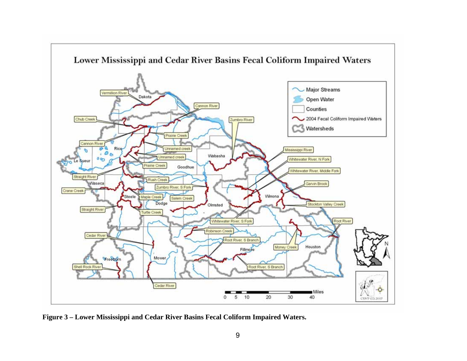

**Figure 3 – Lower Mississippi and Cedar River Basins Fecal Coliform Impaired Waters.**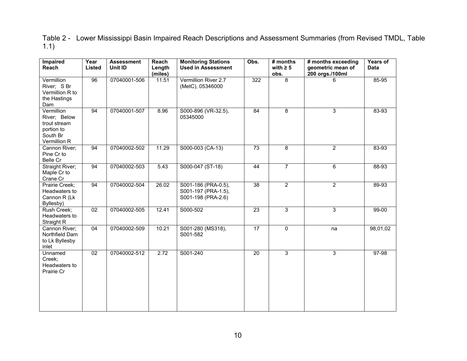Table 2 - Lower Mississippi Basin Impaired Reach Descriptions and Assessment Summaries (from Revised TMDL, Table 1.1)

| <b>Impaired</b><br>Reach                                                             | Year<br>Listed  | <b>Assessment</b><br>Unit ID | Reach<br>Length    | <b>Monitoring Stations</b><br><b>Used in Assessment</b>          | Obs.            | # months<br>with $\geq 5$ | # months exceeding<br>geometric mean of | Years of<br><b>Data</b> |
|--------------------------------------------------------------------------------------|-----------------|------------------------------|--------------------|------------------------------------------------------------------|-----------------|---------------------------|-----------------------------------------|-------------------------|
|                                                                                      |                 |                              | (miles)            |                                                                  |                 | obs.                      | 200 orgs./100ml                         |                         |
| Vermillion<br>River; S Br<br>Vermillion R to<br>the Hastings<br>Dam                  | 96              | 07040001-506                 | $\overline{11.51}$ | Vermillion River 2.7<br>(MetC), 05346000                         | 322             | 8                         | 6                                       | 85-95                   |
| Vermillion<br>River; Below<br>trout stream<br>portion to<br>South Br<br>Vermillion R | 94              | 07040001-507                 | 8.96               | S000-896 (VR-32.5),<br>05345000                                  | $\overline{84}$ | $\overline{8}$            | 3                                       | 83-93                   |
| Cannon River;<br>Pine Cr to<br>Belle Cr                                              | 94              | 07040002-502                 | 11.29              | S000-003 (CA-13)                                                 | 73              | 8                         | $\overline{2}$                          | 83-93                   |
| Straight River;<br>Maple Cr to<br>Crane Cr                                           | 94              | 07040002-503                 | 5.43               | S000-047 (ST-18)                                                 | 44              | $\overline{7}$            | 6                                       | 88-93                   |
| Prairie Creek;<br>Headwaters to<br>Cannon R (Lk<br>Byllesby)                         | 94              | 07040002-504                 | 26.02              | S001-186 (PRA-0.5),<br>S001-197 (PRA-1.5),<br>S001-198 (PRA-2.6) | $\overline{38}$ | $\overline{2}$            | $\overline{2}$                          | 89-93                   |
| Rush Creek;<br>Headwaters to<br>Straight R                                           | $\overline{02}$ | 07040002-505                 | 12.41              | S000-502                                                         | $\overline{23}$ | $\overline{3}$            | $\overline{3}$                          | $99 - 00$               |
| Cannon River;<br>Northfield Dam<br>to Lk Byllesby<br>inlet                           | 04              | 07040002-509                 | 10.21              | S001-280 (MS318),<br>S001-582                                    | $\overline{17}$ | $\mathbf 0$               | na                                      | 98,01,02                |
| Unnamed<br>Creek;<br>Headwaters to<br>Prairie Cr                                     | $\overline{02}$ | 07040002-512                 | 2.72               | S001-240                                                         | $\overline{20}$ | $\overline{3}$            | 3                                       | $97 - 98$               |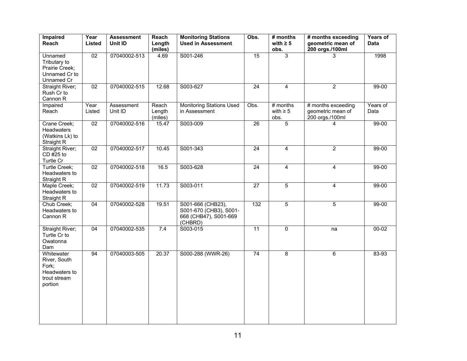| <b>Impaired</b><br>Reach                                                        | Year<br>Listed  | <b>Assessment</b><br>Unit ID | Reach<br>Length<br>(miles) | <b>Monitoring Stations</b><br><b>Used in Assessment</b>                         | Obs.            | # months<br>with $\geq 5$<br>obs.   | # months exceeding<br>geometric mean of<br>200 orgs./100ml | Years of<br><b>Data</b> |
|---------------------------------------------------------------------------------|-----------------|------------------------------|----------------------------|---------------------------------------------------------------------------------|-----------------|-------------------------------------|------------------------------------------------------------|-------------------------|
| Unnamed<br>Tributary to<br>Prairie Creek;<br>Unnamed Cr to<br>Unnamed Cr        | $\overline{02}$ | 07040002-513                 | 4.69                       | S001-246                                                                        | 15              | $\overline{3}$                      | 3                                                          | 1998                    |
| Straight River;<br>Rush Cr to<br>Cannon R                                       | $\overline{02}$ | 07040002-515                 | 12.68                      | S003-627                                                                        | $\overline{24}$ | 4                                   | $\overline{2}$                                             | $99 - 00$               |
| Impaired<br>Reach                                                               | Year<br>Listed  | Assessment<br>Unit ID        | Reach<br>Length<br>(miles) | <b>Monitoring Stations Used</b><br>in Assessment                                | Obs.            | $#$ months<br>with $\geq 5$<br>obs. | # months exceeding<br>geometric mean of<br>200 orgs./100ml | Years of<br>Data        |
| Crane Creek;<br>Headwaters<br>(Watkins Lk) to<br>Straight R                     | $\overline{02}$ | 07040002-516                 | 15.47                      | S003-009                                                                        | $\overline{26}$ | $\overline{5}$                      |                                                            | $99 - 00$               |
| Straight River;<br>CD #25 to<br>Turtle Cr                                       | 02              | 07040002-517                 | 10.45                      | S001-343                                                                        | 24              | $\overline{4}$                      | $\overline{2}$                                             | $99 - 00$               |
| Turtle Creek;<br>Headwaters to<br>Straight R                                    | $\overline{02}$ | 07040002-518                 | 16.5                       | S003-628                                                                        | $\overline{24}$ | $\overline{4}$                      | 4                                                          | $99 - 00$               |
| Maple Creek;<br>Headwaters to<br>Straight R                                     | $\overline{02}$ | 07040002-519                 | 11.73                      | S003-011                                                                        | $\overline{27}$ | $\overline{5}$                      | 4                                                          | $99 - 00$               |
| Chub Creek;<br>Headwaters to<br>Cannon R                                        | 04              | 07040002-528                 | 19.51                      | S001-666 (CHB23),<br>S001-670 (CHB3), S001-<br>668 (CHB47), S001-669<br>(CHBRD) | 132             | $\overline{5}$                      | $\overline{5}$                                             | $99 - 00$               |
| Straight River;<br>Turtle Cr to<br>Owatonna<br>Dam                              | 04              | 07040002-535                 | 7.4                        | S003-015                                                                        | $\overline{11}$ | $\Omega$                            | na                                                         | $00 - 02$               |
| Whitewater<br>River, South<br>Fork;<br>Headwaters to<br>trout stream<br>portion | 94              | 07040003-505                 | 20.37                      | S000-288 (WWR-26)                                                               | 74              | 8                                   | 6                                                          | 83-93                   |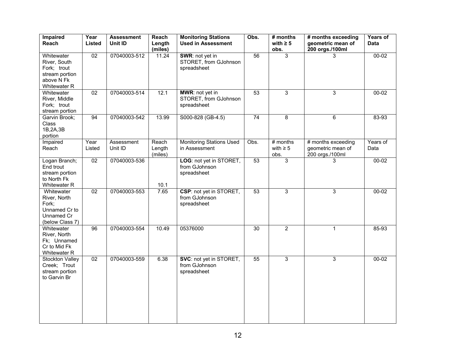| <b>Impaired</b><br>Reach                                                                  | Year<br>Listed  | <b>Assessment</b><br>Unit ID | Reach<br>Length            | <b>Monitoring Stations</b><br>Obs.<br><b>Used in Assessment</b> |                 | # months<br>with $\geq 5$           | # months exceeding<br>geometric mean of                    | Years of<br><b>Data</b> |
|-------------------------------------------------------------------------------------------|-----------------|------------------------------|----------------------------|-----------------------------------------------------------------|-----------------|-------------------------------------|------------------------------------------------------------|-------------------------|
| Whitewater<br>River, South<br>Fork; trout<br>stream portion<br>above N Fk<br>Whitewater R | $\overline{02}$ | 07040003-512                 | (miles)<br>11.24           | SWR: not yet in<br>STORET, from GJohnson<br>spreadsheet         | 56              | obs.<br>$\overline{3}$              | 200 orgs./100ml<br>3                                       | $00 - 02$               |
| Whitewater<br>River, Middle<br>Fork; trout<br>stream portion                              | 02              | 07040003-514                 | 12.1                       | MWR: not yet in<br>STORET, from GJohnson<br>spreadsheet         | 53              | 3                                   | 3                                                          | $00 - 02$               |
| Garvin Brook;<br>Class<br>1B,2A,3B<br>portion                                             | 94              | 07040003-542                 | 13.99                      | S000-828 (GB-4.5)                                               | $\overline{74}$ | 8                                   | 6                                                          | 83-93                   |
| Impaired<br>Reach                                                                         | Year<br>Listed  | Assessment<br>Unit ID        | Reach<br>Length<br>(miles) | <b>Monitoring Stations Used</b><br>in Assessment                | Obs.            | $#$ months<br>with $\geq 5$<br>obs. | # months exceeding<br>geometric mean of<br>200 orgs./100ml | Years of<br>Data        |
| Logan Branch;<br>End trout<br>stream portion<br>to North Fk<br>Whitewater R               | $\overline{02}$ | 07040003-536                 | 10.1                       | LOG: not yet in STORET,<br>from GJohnson<br>spreadsheet         | 53              | $\overline{3}$                      | 3                                                          | $00 - 02$               |
| Whitewater<br>River, North<br>Fork;<br>Unnamed Cr to<br>Unnamed Cr<br>(below Class 7)     | $\overline{02}$ | 07040003-553                 | 7.65                       | CSP: not yet in STORET,<br>from GJohnson<br>spreadsheet         | $\overline{53}$ | $\overline{3}$                      | 3                                                          | $00 - 02$               |
| Whitewater<br>River, North<br>Fk; Unnamed<br>Cr to Mid Fk<br>Whitewater R                 | 96              | 07040003-554                 | 10.49                      | 05376000                                                        | 30              | $\overline{2}$                      | $\mathbf{1}$                                               | 85-93                   |
| Stockton Valley<br>Creek; Trout<br>stream portion<br>to Garvin Br                         | $\overline{02}$ | 07040003-559                 | 6.38                       | SVC: not yet in STORET,<br>from GJohnson<br>spreadsheet         | 55              | $\overline{3}$                      | $\overline{3}$                                             | $00 - 02$               |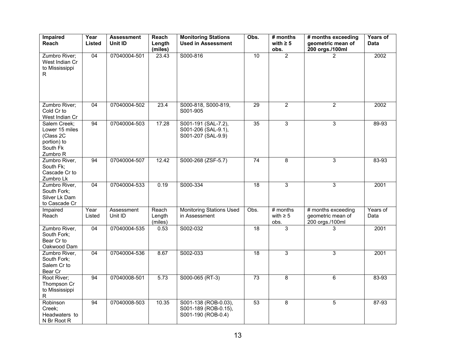| <b>Impaired</b><br>Reach                                                           | Year<br>Listed | <b>Assessment</b><br>Unit ID | Reach<br>Length<br>(miles) | <b>Monitoring Stations</b><br><b>Used in Assessment</b>            | Obs.            | # months<br>with $\geq 5$<br>obs.   | # months exceeding<br>geometric mean of<br>200 orgs./100ml | Years of<br>Data |
|------------------------------------------------------------------------------------|----------------|------------------------------|----------------------------|--------------------------------------------------------------------|-----------------|-------------------------------------|------------------------------------------------------------|------------------|
| Zumbro River;<br>West Indian Cr<br>to Mississippi<br>$\mathsf{R}$                  | 04             | 07040004-501                 | 23.43                      | S000-816                                                           | 10              | $\overline{2}$                      | 2                                                          | 2002             |
| Zumbro River;<br>Cold Cr to<br>West Indian Cr                                      | 04             | 07040004-502                 | $\overline{23.4}$          | S000-818, S000-819,<br>S001-905                                    | 29              | $\overline{2}$                      | $\overline{2}$                                             | 2002             |
| Salem Creek:<br>Lower 15 miles<br>(Class 2C<br>portion) to<br>South Fk<br>Zumbro R | 94             | 07040004-503                 | 17.28                      | S001-191 (SAL-7.2),<br>S001-206 (SAL-9.1),<br>S001-207 (SAL-9.9)   | 35              | $\overline{3}$                      | 3                                                          | 89-93            |
| Zumbro River,<br>South Fk;<br>Cascade Cr to<br>Zumbro Lk                           | 94             | 07040004-507                 | 12.42                      | S000-268 (ZSF-5.7)                                                 | 74              | 8                                   | 3                                                          | 83-93            |
| Zumbro River,<br>South Fork:<br>Silver Lk Dam<br>to Cascade Cr                     | 04             | 07040004-533                 | 0.19                       | S000-334                                                           | $\overline{18}$ | 3                                   | 3                                                          | 2001             |
| Impaired<br>Reach                                                                  | Year<br>Listed | Assessment<br>Unit ID        | Reach<br>Length<br>(miles) | <b>Monitoring Stations Used</b><br>in Assessment                   | Obs.            | $#$ months<br>with $\geq 5$<br>obs. | # months exceeding<br>geometric mean of<br>200 orgs./100ml | Years of<br>Data |
| Zumbro River,<br>South Fork;<br>Bear Cr to<br>Oakwood Dam                          | 04             | 07040004-535                 | 0.53                       | S002-032                                                           | 18              | $\overline{3}$                      | 3                                                          | 2001             |
| Zumbro River,<br>South Fork;<br>Salem Cr to<br>Bear Cr                             | 04             | 07040004-536                 | 8.67                       | S002-033                                                           | $\overline{18}$ | 3                                   | 3                                                          | 2001             |
| Root River;<br>Thompson Cr<br>to Mississippi<br>$\mathsf{R}$                       | 94             | 07040008-501                 | 5.73                       | S000-065 (RT-3)                                                    | 73              | 8                                   | 6                                                          | 83-93            |
| Robinson<br>Creek;<br>Headwaters to<br>N Br Root R                                 | 94             | 07040008-503                 | 10.35                      | S001-138 (ROB-0.03),<br>S001-189 (ROB-0.15),<br>S001-190 (ROB-0.4) | 53              | 8                                   | 5                                                          | 87-93            |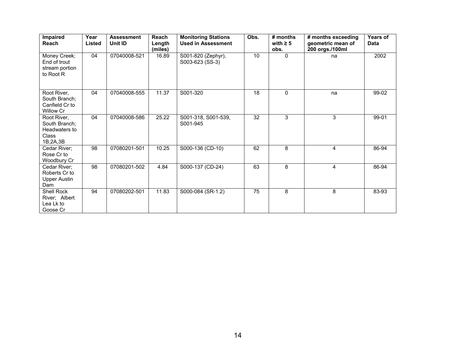| Impaired<br><b>Reach</b>                                           | Year<br>Listed | <b>Assessment</b><br>Unit ID | Reach<br>Length<br>(miles) | <b>Monitoring Stations</b><br><b>Used in Assessment</b> | Obs. | $#$ months<br>with $\geq 5$<br>obs. | # months exceeding<br>geometric mean of<br>200 orgs./100ml | <b>Years of</b><br><b>Data</b> |
|--------------------------------------------------------------------|----------------|------------------------------|----------------------------|---------------------------------------------------------|------|-------------------------------------|------------------------------------------------------------|--------------------------------|
| Money Creek;<br>End of trout<br>stream portion<br>to Root R        | 04             | 07040008-521                 | 16.89                      | S001-820 (Zephyr),<br>S003-623 (SS-3)                   | 10   | $\Omega$                            | na                                                         | 2002                           |
| Root River,<br>South Branch:<br>Canfield Cr to<br>Willow Cr        | 04             | 07040008-555                 | 11.37                      | S001-320                                                | 18   | $\Omega$                            | na                                                         | 99-02                          |
| Root River.<br>South Branch:<br>Headwaters to<br>Class<br>1B,2A,3B | 04             | 07040008-586                 | 25.22                      | S001-318, S001-539,<br>S001-945                         | 32   | 3                                   | 3                                                          | 99-01                          |
| Cedar River;<br>Rose Cr to<br>Woodbury Cr                          | 98             | 07080201-501                 | 10.25                      | S000-136 (CD-10)                                        | 62   | 8                                   | 4                                                          | 86-94                          |
| Cedar River:<br>Roberts Cr to<br><b>Upper Austin</b><br>Dam        | 98             | 07080201-502                 | 4.84                       | S000-137 (CD-24)                                        | 63   | 8                                   | 4                                                          | 86-94                          |
| Shell Rock<br>River: Albert<br>Lea Lk to<br>Goose Cr               | 94             | 07080202-501                 | 11.83                      | S000-084 (SR-1.2)                                       | 75   | 8                                   | 8                                                          | 83-93                          |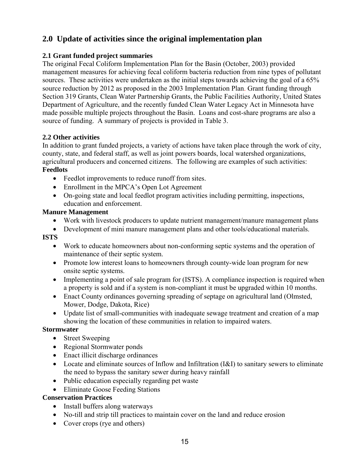## **2.0 Update of activities since the original implementation plan**

## **2.1 Grant funded project summaries**

The original Fecal Coliform Implementation Plan for the Basin (October, 2003) provided management measures for achieving fecal coliform bacteria reduction from nine types of pollutant sources. These activities were undertaken as the initial steps towards achieving the goal of a 65% source reduction by 2012 as proposed in the 2003 Implementation Plan. Grant funding through Section 319 Grants, Clean Water Partnership Grants, the Public Facilities Authority, United States Department of Agriculture, and the recently funded Clean Water Legacy Act in Minnesota have made possible multiple projects throughout the Basin. Loans and cost-share programs are also a source of funding. A summary of projects is provided in Table 3.

## **2.2 Other activities**

In addition to grant funded projects, a variety of actions have taken place through the work of city, county, state, and federal staff, as well as joint powers boards, local watershed organizations, agricultural producers and concerned citizens. The following are examples of such activities: **Feedlots** 

- Feedlot improvements to reduce runoff from sites.
- Enrollment in the MPCA's Open Lot Agreement
- On-going state and local feedlot program activities including permitting, inspections, education and enforcement.

## **Manure Management**

- Work with livestock producers to update nutrient management/manure management plans
- Development of mini manure management plans and other tools/educational materials.

## **ISTS**

- Work to educate homeowners about non-conforming septic systems and the operation of maintenance of their septic system.
- Promote low interest loans to homeowners through county-wide loan program for new onsite septic systems.
- Implementing a point of sale program for (ISTS). A compliance inspection is required when a property is sold and if a system is non-compliant it must be upgraded within 10 months.
- Enact County ordinances governing spreading of septage on agricultural land (Olmsted, Mower, Dodge, Dakota, Rice)
- Update list of small-communities with inadequate sewage treatment and creation of a map showing the location of these communities in relation to impaired waters.

## **Stormwater**

- Street Sweeping
- Regional Stormwater ponds
- Enact illicit discharge ordinances
- Locate and eliminate sources of Inflow and Infiltration (I&I) to sanitary sewers to eliminate the need to bypass the sanitary sewer during heavy rainfall
- Public education especially regarding pet waste
- Eliminate Goose Feeding Stations

## **Conservation Practices**

- Install buffers along waterways
- No-till and strip till practices to maintain cover on the land and reduce erosion
- Cover crops (rye and others)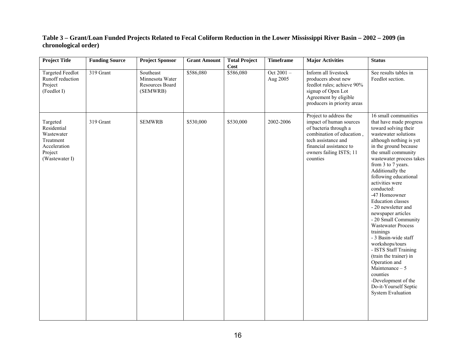#### **Table 3 – Grant/Loan Funded Projects Related to Fecal Coliform Reduction in the Lower Mississippi River Basin – 2002 – 2009 (in chronological order)**

| <b>Project Title</b>                                                                            | <b>Funding Source</b> | <b>Project Sponsor</b>                                      | <b>Grant Amount</b> | <b>Total Project</b><br>Cost | <b>Timeframe</b>         | <b>Major Activities</b>                                                                                                                                                                          | <b>Status</b>                                                                                                                                                                                                                                                                                                                                                                                                                                                                                                                                                                                                                                                                                    |
|-------------------------------------------------------------------------------------------------|-----------------------|-------------------------------------------------------------|---------------------|------------------------------|--------------------------|--------------------------------------------------------------------------------------------------------------------------------------------------------------------------------------------------|--------------------------------------------------------------------------------------------------------------------------------------------------------------------------------------------------------------------------------------------------------------------------------------------------------------------------------------------------------------------------------------------------------------------------------------------------------------------------------------------------------------------------------------------------------------------------------------------------------------------------------------------------------------------------------------------------|
| <b>Targeted Feedlot</b><br>Runoff reduction<br>Project<br>(Feedlot I)                           | 319 Grant             | Southeast<br>Minnesota Water<br>Resources Board<br>(SEMWRB) | \$586,080           | \$586,080                    | Oct $2001 -$<br>Aug 2005 | Inform all livestock<br>producers about new<br>feedlot rules; achieve 90%<br>signup of Open Lot<br>Agreement by eligible<br>producers in priority areas                                          | See results tables in<br>Feedlot section.                                                                                                                                                                                                                                                                                                                                                                                                                                                                                                                                                                                                                                                        |
| Targeted<br>Residential<br>Wastewater<br>Treatment<br>Acceleration<br>Project<br>(Wastewater I) | 319 Grant             | <b>SEMWRB</b>                                               | \$530,000           | \$530,000                    | 2002-2006                | Project to address the<br>impact of human sources<br>of bacteria through a<br>combination of education,<br>tech assistance and<br>financial assistance to<br>owners failing ISTS; 11<br>counties | 16 small communities<br>that have made progress<br>toward solving their<br>wastewater solutions<br>although nothing is yet<br>in the ground because<br>the small community<br>wastewater process takes<br>from 3 to 7 years.<br>Additionally the<br>following educational<br>activities were<br>conducted:<br>-47 Homeowner<br><b>Education</b> classes<br>- 20 newsletter and<br>newspaper articles<br>- 20 Small Community<br><b>Wastewater Process</b><br>trainings<br>- 3 Basin-wide staff<br>workshops/tours<br>- ISTS Staff Training<br>(train the trainer) in<br>Operation and<br>Maintenance - 5<br>counties<br>-Development of the<br>Do-it-Yourself Septic<br><b>System Evaluation</b> |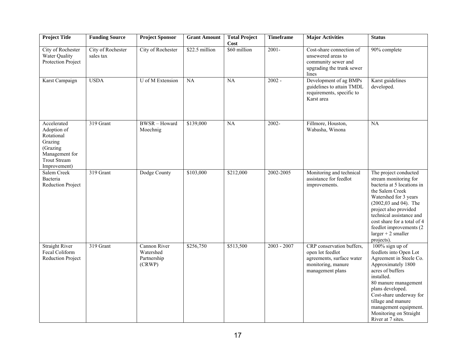| <b>Project Title</b>                                                                                                     | <b>Funding Source</b>          | Project Sponsor                                    | <b>Grant Amount</b> | <b>Total Project</b><br>Cost | <b>Timeframe</b> | <b>Major Activities</b>                                                                                              | <b>Status</b>                                                                                                                                                                                                                                                                                              |
|--------------------------------------------------------------------------------------------------------------------------|--------------------------------|----------------------------------------------------|---------------------|------------------------------|------------------|----------------------------------------------------------------------------------------------------------------------|------------------------------------------------------------------------------------------------------------------------------------------------------------------------------------------------------------------------------------------------------------------------------------------------------------|
| City of Rochester<br>Water Quality<br>Protection Project                                                                 | City of Rochester<br>sales tax | City of Rochester                                  | \$22.5 million      | \$60 million                 | $2001 -$         | Cost-share connection of<br>unsewered areas to<br>community sewer and<br>upgrading the trunk sewer<br>lines          | 90% complete                                                                                                                                                                                                                                                                                               |
| Karst Campaign                                                                                                           | <b>USDA</b>                    | U of M Extension                                   | NA                  | NA                           | $2002 -$         | Development of ag BMPs<br>guidelines to attain TMDL<br>requirements, specific to<br>Karst area                       | Karst guidelines<br>developed.                                                                                                                                                                                                                                                                             |
| Accelerated<br>Adoption of<br>Rotational<br>Grazing<br>(Grazing<br>Management for<br><b>Trout Stream</b><br>Improvement) | 319 Grant                      | <b>BWSR-Howard</b><br>Moechnig                     | \$139,000           | <b>NA</b>                    | $2002 -$         | Fillmore, Houston,<br>Wabasha, Winona                                                                                | <b>NA</b>                                                                                                                                                                                                                                                                                                  |
| Salem Creek<br>Bacteria<br><b>Reduction Project</b>                                                                      | 319 Grant                      | Dodge County                                       | \$103,000           | \$212,000                    | 2002-2005        | Monitoring and technical<br>assistance for feedlot<br>improvements.                                                  | The project conducted<br>stream monitoring for<br>bacteria at 5 locations in<br>the Salem Creek<br>Watershed for 3 years<br>$(2002, 03$ and 04). The<br>project also provided<br>technical assistance and<br>cost share for a total of 4<br>feedlot improvements (2)<br>$larger + 2 smaller$<br>projects). |
| <b>Straight River</b><br>Fecal Coliform<br><b>Reduction Project</b>                                                      | 319 Grant                      | Cannon River<br>Watershed<br>Partnership<br>(CRWP) | \$256,750           | \$513,500                    | $2003 - 2007$    | CRP conservation buffers,<br>open lot feedlot<br>agreements, surface water<br>monitoring, manure<br>management plans | $100\%$ sign up of<br>feedlots into Open Lot<br>Agreement in Steele Co.<br>Approximately 1800<br>acres of buffers<br>installed.<br>80 manure management<br>plans developed.<br>Cost-share underway for<br>tillage and manure<br>management equipment.<br>Monitoring on Straight<br>River at 7 sites.       |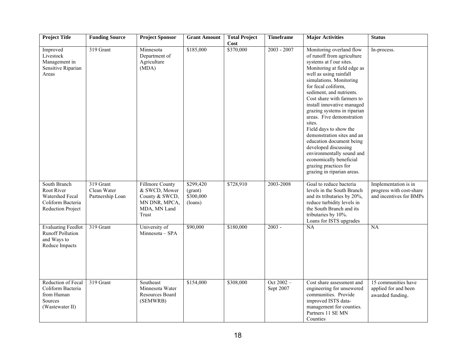| <b>Project Title</b>                                                                                  | <b>Funding Source</b>                        | <b>Project Sponsor</b>                                                                              | <b>Grant Amount</b>                          | <b>Total Project</b> | <b>Timeframe</b>          | <b>Major Activities</b>                                                                                                                                                                                                                                                                                                                                                                                                                                                                                                                                                               | <b>Status</b>                                                               |
|-------------------------------------------------------------------------------------------------------|----------------------------------------------|-----------------------------------------------------------------------------------------------------|----------------------------------------------|----------------------|---------------------------|---------------------------------------------------------------------------------------------------------------------------------------------------------------------------------------------------------------------------------------------------------------------------------------------------------------------------------------------------------------------------------------------------------------------------------------------------------------------------------------------------------------------------------------------------------------------------------------|-----------------------------------------------------------------------------|
| Improved<br>Livestock<br>Management in<br>Sensitive Riparian<br>Areas                                 | 319 Grant                                    | Minnesota<br>Department of<br>Agriculture<br>(MDA)                                                  | \$185,000                                    | Cost<br>\$370,000    | $2003 - 2007$             | Monitoring overland flow<br>of runoff from agriculture<br>systems at f our sites.<br>Monitoring at field edge as<br>well as using rainfall<br>simulations. Monitoring<br>for fecal coliform,<br>sediment, and nutrients.<br>Cost share with farmers to<br>install innovative managed<br>grazing systems in riparian<br>areas. Five demonstration<br>sites.<br>Field days to show the<br>demonstration sites and an<br>education document being<br>developed discussing<br>environmentally sound and<br>economically beneficial<br>grazing practices for<br>grazing in riparian areas. | In-process.                                                                 |
| South Branch<br><b>Root River</b><br>Watershed Fecal<br>Coliform Bacteria<br><b>Reduction Project</b> | 319 Grant<br>Clean Water<br>Partnership Loan | <b>Fillmore County</b><br>& SWCD, Mower<br>County & SWCD,<br>MN DNR, MPCA,<br>MDA, MN Land<br>Trust | \$299,420<br>(grant)<br>\$300,000<br>(loans) | \$728,910            | 2003-2008                 | Goal to reduce bacteria<br>levels in the South Branch<br>and its tributaries by 20%,<br>reduce turbidity levels in<br>the South Branch and its<br>tributaries by 10%.<br>Loans for ISTS upgrades                                                                                                                                                                                                                                                                                                                                                                                      | Implementation is in<br>progress with cost-share<br>and incentives for BMPs |
| <b>Evaluating Feedlot</b><br><b>Runoff Pollution</b><br>and Ways to<br>Reduce Impacts                 | 319 Grant                                    | University of<br>Minnesota - SPA                                                                    | \$90,000                                     | \$180,000            | $2003 -$                  | NA                                                                                                                                                                                                                                                                                                                                                                                                                                                                                                                                                                                    | NA                                                                          |
| Reduction of Fecal<br>Coliform Bacteria<br>from Human<br>Sources<br>(Wastewater II)                   | 319 Grant                                    | Southeast<br>Minnesota Water<br>Resources Board<br>(SEMWRB)                                         | \$154,000                                    | \$308,000            | Oct $2002 -$<br>Sept 2007 | Cost share assessment and<br>engineering for unsewered<br>communities. Provide<br>improved ISTS data-<br>management for counties.<br>Partners 11 SE MN<br>Counties                                                                                                                                                                                                                                                                                                                                                                                                                    | 15 communities have<br>applied for and been<br>awarded funding.             |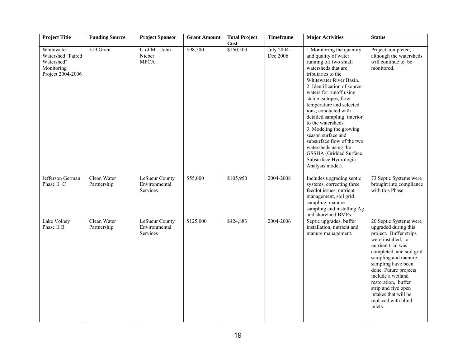| <b>Project Title</b>                                                             | <b>Funding Source</b>      | <b>Project Sponsor</b>                             | <b>Grant Amount</b> | <b>Total Project</b>     | <b>Timeframe</b>        | <b>Major Activities</b>                                                                                                                                                                                                                                                                                                                                                                                                                                                                                                      | <b>Status</b>                                                                                                                                                                                                                                                                                                                                      |
|----------------------------------------------------------------------------------|----------------------------|----------------------------------------------------|---------------------|--------------------------|-------------------------|------------------------------------------------------------------------------------------------------------------------------------------------------------------------------------------------------------------------------------------------------------------------------------------------------------------------------------------------------------------------------------------------------------------------------------------------------------------------------------------------------------------------------|----------------------------------------------------------------------------------------------------------------------------------------------------------------------------------------------------------------------------------------------------------------------------------------------------------------------------------------------------|
| Whitewater<br>Watershed "Paired<br>Watershed"<br>Monitoring<br>Project 2004-2006 | 319 Grant                  | $U$ of $M -$ John<br>Nieber<br><b>MPCA</b>         | \$98,500            | <b>Cost</b><br>\$150,500 | July 2004 -<br>Dec 2006 | 1. Monitoring the quantity<br>and quality of water<br>running off two small<br>watersheds that are<br>tributaries to the<br>Whitewater River Basin.<br>2. Identification of source<br>waters for runoff using<br>stable isotopes, flow<br>temperature and selected<br>ions; conducted with<br>detailed sampling interior<br>to the watersheds.<br>3. Modeling the growing<br>season surface and<br>subsurface flow of the two<br>watersheds using the<br>GSSHA (Gridded Surface<br>Subsurface Hydrologic<br>Analysis model). | Project completed,<br>although the watersheds<br>will continue to be<br>monitored.                                                                                                                                                                                                                                                                 |
| Jefferson German<br>Phase II C                                                   | Clean Water<br>Partnership | <b>LeSueur County</b><br>Environmental<br>Services | \$55,000            | \$105,950                | 2004-2008               | Includes upgrading septic<br>systems, correcting three<br>feedlot issues, nutrient<br>management, soil grid<br>sampling, manure<br>sampling and installing Ag<br>and shoreland BMPs.                                                                                                                                                                                                                                                                                                                                         | 73 Septic Systems were<br>brought into compliance<br>with this Phase                                                                                                                                                                                                                                                                               |
| Lake Volney<br>Phase II B                                                        | Clean Water<br>Partnership | <b>LeSueur County</b><br>Environmental<br>Services | \$125,000           | \$424,883                | 2004-2006               | Septic upgrades, buffer<br>installation, nutrient and<br>manure management.                                                                                                                                                                                                                                                                                                                                                                                                                                                  | 20 Septic Systems were<br>upgraded during this<br>project. Buffer strips<br>were installed, a<br>nutrient trial was<br>completed, and soil grid<br>sampling and manure<br>sampling have been<br>done. Future projects<br>include a wetland<br>restoration, buffer<br>strip and five open<br>intakes that will be<br>replaced with blind<br>inlets. |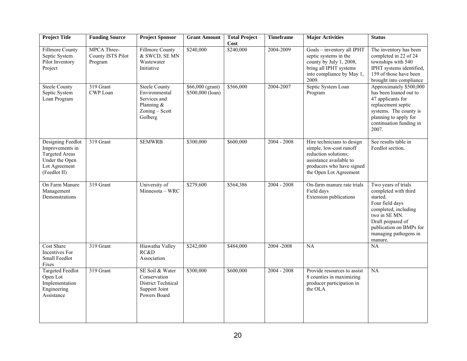| <b>Project Title</b>                                                                                             | <b>Funding Source</b>                       | <b>Project Sponsor</b>                                                                             | <b>Grant Amount</b>                  | <b>Total Project</b><br>Cost | <b>Timeframe</b> | <b>Major Activities</b>                                                                                                                                         | <b>Status</b>                                                                                                                                                                                           |
|------------------------------------------------------------------------------------------------------------------|---------------------------------------------|----------------------------------------------------------------------------------------------------|--------------------------------------|------------------------------|------------------|-----------------------------------------------------------------------------------------------------------------------------------------------------------------|---------------------------------------------------------------------------------------------------------------------------------------------------------------------------------------------------------|
| <b>Fillmore County</b><br>Septic System<br>Pilot Inventory<br>Project                                            | MPCA Three-<br>County ISTS Pilot<br>Program | <b>Fillmore County</b><br>& SWCD, SE MN<br>Wastewater<br>Initiative                                | \$240,000                            | \$240,000                    | 2004-2009        | Goals - inventory all IPHT<br>septic systems in the<br>county by July 1, 2008,<br>bring all IPHT systems<br>into compliance by May 1,<br>2009.                  | The inventory has been<br>completed in 22 of 24<br>townships with 540<br>IPHT systems identified,<br>159 of those have been<br>brought into compliance                                                  |
| <b>Steele County</b><br>Septic System<br>Loan Program                                                            | 319 Grant<br>CWP Loan                       | <b>Steele County</b><br>Environmental<br>Services and<br>Planning $&$<br>Zoning - Scott<br>Golberg | \$66,000 (grant)<br>\$500,000 (loan) | \$566,000                    | 2004-2007        | Septic System Loan<br>Program                                                                                                                                   | Approximately \$500,000<br>has been loaned out to<br>47 applicants for<br>replacement septic<br>systems. The county is<br>planning to apply for<br>continuation funding in<br>2007.                     |
| Designing Feedlot<br>Improvements in<br><b>Targeted Areas</b><br>Under the Open<br>Lot Agreement<br>(Feedlot II) | 319 Grant                                   | <b>SEMWRB</b>                                                                                      | \$300,000                            | \$600,000                    | $2004 - 2008$    | Hire technicians to design<br>simple, low-cost runoff<br>reduction solutions;<br>assistance available to<br>producers who have signed<br>the Open Lot Agreement | See results table in<br>Feedlot section.                                                                                                                                                                |
| On Farm Manure<br>Management<br>Demonstrations                                                                   | 319 Grant                                   | University of<br>Minnesota - WRC                                                                   | \$279,600                            | \$564,386                    | $2004 - 2008$    | On-farm manure rate trials<br>Field days<br>Extension publications                                                                                              | Two years of trials<br>completed with third<br>started.<br>Four field days<br>completed, including<br>two in SE MN.<br>Draft prepared of<br>publication on BMPs for<br>managing pathogens in<br>manure. |
| <b>Cost Share</b><br>Incentives For<br>Small Feedlot<br>Fixes                                                    | 319 Grant                                   | Hiawatha Valley<br>RC&D<br>Association                                                             | \$242,000                            | \$484,000                    | 2004-2008        | NA                                                                                                                                                              | NA                                                                                                                                                                                                      |
| <b>Targeted Feedlot</b><br>Open Lot<br>Implementation<br>Engineering<br>Assistance                               | 319 Grant                                   | SE Soil & Water<br>Conservation<br>District Technical<br>Support Joint<br>Powers Board             | \$300,000                            | \$600,000                    | $2004 - 2008$    | Provide resources to assist<br>8 counties in maximizing<br>producer participation in<br>the OLA                                                                 | <b>NA</b>                                                                                                                                                                                               |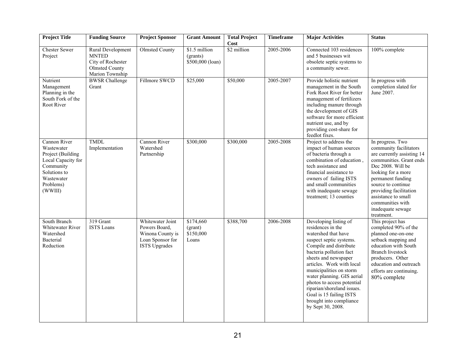| <b>Project Title</b>                                                                                                                     | <b>Funding Source</b>                                                                                     | <b>Project Sponsor</b>                                                                            | <b>Grant Amount</b>                           | <b>Total Project</b><br>Cost | <b>Timeframe</b> | <b>Major Activities</b>                                                                                                                                                                                                                                                                                                                                                                                | <b>Status</b>                                                                                                                                                                                                                                                                                     |
|------------------------------------------------------------------------------------------------------------------------------------------|-----------------------------------------------------------------------------------------------------------|---------------------------------------------------------------------------------------------------|-----------------------------------------------|------------------------------|------------------|--------------------------------------------------------------------------------------------------------------------------------------------------------------------------------------------------------------------------------------------------------------------------------------------------------------------------------------------------------------------------------------------------------|---------------------------------------------------------------------------------------------------------------------------------------------------------------------------------------------------------------------------------------------------------------------------------------------------|
| <b>Chester Sewer</b><br>Project                                                                                                          | <b>Rural Development</b><br><b>MNTED</b><br>City of Rochester<br><b>Olmsted County</b><br>Marion Township | <b>Olmsted County</b>                                                                             | \$1.5 million<br>(grants)<br>\$500,000 (loan) | \$2 million                  | 2005-2006        | Connected 103 residences<br>and 5 businesses wit<br>obsolete septic systems to<br>a community sewer.                                                                                                                                                                                                                                                                                                   | 100% complete                                                                                                                                                                                                                                                                                     |
| Nutrient<br>Management<br>Planning in the<br>South Fork of the<br>Root River                                                             | <b>BWSR Challenge</b><br>Grant                                                                            | Fillmore SWCD                                                                                     | \$25,000                                      | \$50,000                     | 2005-2007        | Provide holistic nutrient<br>management in the South<br>Fork Root River for better<br>management of fertilizers<br>including manure through<br>the development of GIS<br>software for more efficient<br>nutrient use, and by<br>providing cost-share for<br>feedlot fixes.                                                                                                                             | In progress with<br>completion slated for<br>June 2007.                                                                                                                                                                                                                                           |
| Cannon River<br>Wastewater<br>Project (Building<br>Local Capacity for<br>Community<br>Solutions to<br>Wastewater<br>Problems)<br>(WWIII) | TMDL<br>Implementation                                                                                    | Cannon River<br>Watershed<br>Partnership                                                          | \$300,000                                     | \$300,000                    | 2005-2008        | Project to address the<br>impact of human sources<br>of bacteria through a<br>combination of education,<br>tech assistance and<br>financial assistance to<br>owners of failing ISTS<br>and small communities<br>with inadequate sewage<br>treatment; 13 counties                                                                                                                                       | In progress. Two<br>community facilitators<br>are currently assisting 14<br>communities. Grant ends<br>Dec 2008. Will be<br>looking for a more<br>permanent funding<br>source to continue<br>providing facilitation<br>assistance to small<br>communities with<br>inadequate sewage<br>treatment. |
| South Branch<br><b>Whitewater River</b><br>Watershed<br>Bacterial<br>Reduction                                                           | 319 Grant<br><b>ISTS</b> Loans                                                                            | Whitewater Joint<br>Powers Board,<br>Winona County is<br>Loan Sponsor for<br><b>ISTS Upgrades</b> | \$174,660<br>(grant)<br>\$150,000<br>Loans    | \$388,700                    | 2006-2008        | Developing listing of<br>residences in the<br>watershed that have<br>suspect septic systems.<br>Compile and distribute<br>bacteria pollution fact<br>sheets and newspaper<br>articles. Work with local<br>municipalities on storm<br>water planning. GIS aerial<br>photos to access potential<br>riparian/shoreland issues.<br>Goal is 15 failing ISTS<br>brought into compliance<br>by Sept 30, 2008. | This project has<br>completed 90% of the<br>planned one-on-one<br>setback mapping and<br>education with South<br><b>Branch livestock</b><br>producers. Other<br>education and outreach<br>efforts are continuing.<br>80% complete                                                                 |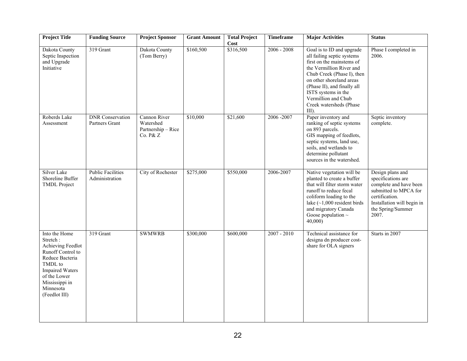| <b>Project Title</b>                                                                                                                                                                        | <b>Funding Source</b>                      | <b>Project Sponsor</b>                                      | <b>Grant Amount</b> | <b>Total Project</b><br>Cost | <b>Timeframe</b> | <b>Major Activities</b>                                                                                                                                                                                                                                                                     | <b>Status</b>                                                                                                                                                           |
|---------------------------------------------------------------------------------------------------------------------------------------------------------------------------------------------|--------------------------------------------|-------------------------------------------------------------|---------------------|------------------------------|------------------|---------------------------------------------------------------------------------------------------------------------------------------------------------------------------------------------------------------------------------------------------------------------------------------------|-------------------------------------------------------------------------------------------------------------------------------------------------------------------------|
| Dakota County<br>Septic Inspection<br>and Upgrade<br>Initiative                                                                                                                             | 319 Grant                                  | Dakota County<br>(Tom Berry)                                | \$160,500           | \$316,500                    | $2006 - 2008$    | Goal is to ID and upgrade<br>all failing septic systems<br>first on the mainstems of<br>the Vermillion River and<br>Chub Creek (Phase I), then<br>on other shoreland areas<br>(Phase II), and finally all<br>ISTS systems in the<br>Vermillion and Chub<br>Creek watersheds (Phase<br>III). | Phase I completed in<br>2006.                                                                                                                                           |
| Roberds Lake<br>Assessment                                                                                                                                                                  | <b>DNR</b> Conservation<br>Partners Grant  | Cannon River<br>Watershed<br>Partnership - Rice<br>Co. P& Z | \$10,000            | \$21,600                     | 2006-2007        | Paper inventory and<br>ranking of septic systems<br>on 893 parcels.<br>GIS mapping of feedlots,<br>septic systems, land use,<br>soils, and wetlands to<br>determine pollutant<br>sources in the watershed.                                                                                  | Septic inventory<br>complete.                                                                                                                                           |
| Silver Lake<br>Shoreline Buffer<br><b>TMDL Project</b>                                                                                                                                      | <b>Public Facilities</b><br>Administration | City of Rochester                                           | \$275,000           | \$550,000                    | 2006-2007        | Native vegetation will be<br>planted to create a buffer<br>that will filter storm water<br>runoff to reduce fecal<br>coliform loading to the<br>lake $(\sim1,000$ resident birds<br>and migratory Canada<br>Goose population $\sim$<br>40,000                                               | Design plans and<br>specifications are<br>complete and have been<br>submitted to MPCA for<br>certification.<br>Installation will begin in<br>the Spring/Summer<br>2007. |
| Into the Home<br>Stretch:<br>Achieving Feedlot<br>Runoff Control to<br>Reduce Bacteria<br>TMDL to<br><b>Impaired Waters</b><br>of the Lower<br>Mississippi in<br>Minnesota<br>(Feedlot III) | 319 Grant                                  | <b>SWMWRB</b>                                               | \$300,000           | \$600,000                    | $2007 - 2010$    | Technical assistance for<br>designa dn producer cost-<br>share for OLA signers                                                                                                                                                                                                              | Starts in 2007                                                                                                                                                          |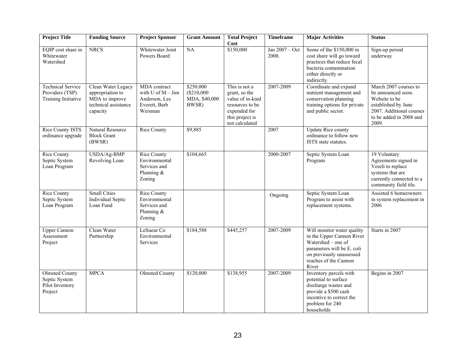| <b>Project Title</b>                                                 | <b>Funding Source</b>                                                                        | <b>Project Sponsor</b>                                                             | <b>Grant Amount</b>                               | <b>Total Project</b><br>Cost                                                                                               | <b>Timeframe</b>          | <b>Major Activities</b>                                                                                                                                                   | <b>Status</b>                                                                                                                                       |
|----------------------------------------------------------------------|----------------------------------------------------------------------------------------------|------------------------------------------------------------------------------------|---------------------------------------------------|----------------------------------------------------------------------------------------------------------------------------|---------------------------|---------------------------------------------------------------------------------------------------------------------------------------------------------------------------|-----------------------------------------------------------------------------------------------------------------------------------------------------|
| EQIP cost share in<br>Whitewater<br>Watershed                        | <b>NRCS</b>                                                                                  | Whitewater Joint<br>Powers Board                                                   | <b>NA</b>                                         | \$150,000                                                                                                                  | Jan $2007 - Oct$<br>2008. | Some of the \$150,000 in<br>cost share will go toward<br>practices that reduce fecal<br>bacteria contamination<br>either directly or<br>indirectly.                       | Sign-up period<br>underway                                                                                                                          |
| <b>Technical Service</b><br>Providers (TSP)<br>Training Initiative   | Clean Water Legacy<br>appropriation to<br>MDA to improve<br>technical assistance<br>capacity | MDA contract<br>with $U$ of $M - Jim$<br>Anderson, Les<br>Everett, Barb<br>Weisman | \$250,000<br>(\$210,000<br>MDA, \$40,000<br>BWSR) | This is not a<br>grant, so the<br>value of in-kind<br>resources to be<br>expended for<br>this project is<br>not calculated | 2007-2009                 | Coordinate and expand<br>nutrient management and<br>conservation planning<br>training options for private<br>and public sector.                                           | March 2007 courses to<br>be announced soon.<br>Website to be<br>established by June<br>2007. Additional courses<br>to be added in 2008 and<br>2009. |
| Rice County ISTS<br>ordinance upgrade                                | Natural Resource<br><b>Block Grant</b><br>(BWSR)                                             | <b>Rice County</b>                                                                 | \$9,885                                           |                                                                                                                            | 2007                      | <b>Update Rice county</b><br>ordinance to follow new<br>ISTS state statutes.                                                                                              |                                                                                                                                                     |
| <b>Rice County</b><br>Septic System<br>Loan Program                  | USDA/Ag-BMP<br>Revolving Loan                                                                | <b>Rice County</b><br>Environmental<br>Services and<br>Planning $&$<br>Zoning      | \$104,665                                         |                                                                                                                            | 2000-2007                 | Septic System Loan<br>Program                                                                                                                                             | 19 Voluntary<br>Agreements signed in<br>Veseli to replace<br>systems that are<br>currently connected to a<br>community field tile.                  |
| <b>Rice County</b><br>Septic System<br>Loan Program                  | <b>Small Cities</b><br><b>Individual Septic</b><br>Loan Fund                                 | <b>Rice County</b><br>Environmental<br>Services and<br>Planning &<br>Zoning        |                                                   |                                                                                                                            | Ongoing                   | Septic System Loan<br>Program to assist with<br>replacement systems.                                                                                                      | Assisted 6 homeowners<br>in system replacement in<br>2006                                                                                           |
| <b>Upper Cannon</b><br>Assessment<br>Project                         | Clean Water<br>Partnership                                                                   | LeSueur Co<br>Environmental<br>Services                                            | \$184,588                                         | \$445,257                                                                                                                  | 2007-2009                 | Will monitor water quality<br>in the Upper Cannon River<br>Watershed – one of<br>parameters will be E. coli<br>on previously unassessed<br>reaches of the Cannon<br>River | Starts in 2007                                                                                                                                      |
| <b>Olmsted County</b><br>Septic System<br>Pilot Inventory<br>Project | <b>MPCA</b>                                                                                  | <b>Olmsted County</b>                                                              | \$120,000                                         | \$138,955                                                                                                                  | 2007-2009                 | Inventory parcels with<br>potential to surface<br>discharge wastes and<br>provide a \$500 cash<br>incentive to correct the<br>problem for 240<br>households               | Begins in 2007                                                                                                                                      |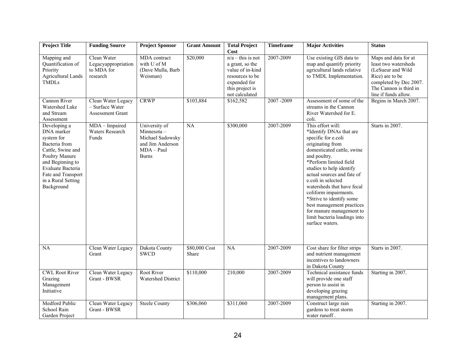| <b>Project Title</b>                                                                                                                                                                                | <b>Funding Source</b>                                            | <b>Project Sponsor</b>                                                                                 | <b>Grant Amount</b>    | <b>Total Project</b><br>Cost                                                                                                       | <b>Timeframe</b> | <b>Major Activities</b>                                                                                                                                                                                                                                                                                                                                                                                                                        | <b>Status</b>                                                                                                                                                    |
|-----------------------------------------------------------------------------------------------------------------------------------------------------------------------------------------------------|------------------------------------------------------------------|--------------------------------------------------------------------------------------------------------|------------------------|------------------------------------------------------------------------------------------------------------------------------------|------------------|------------------------------------------------------------------------------------------------------------------------------------------------------------------------------------------------------------------------------------------------------------------------------------------------------------------------------------------------------------------------------------------------------------------------------------------------|------------------------------------------------------------------------------------------------------------------------------------------------------------------|
| Mapping and<br>Quantification of<br>Priority<br><b>Agricultural Lands</b><br><b>TMDLs</b>                                                                                                           | Clean Water<br>Legacyappropriation<br>to MDA for<br>research     | MDA contract<br>with U of M<br>(Dave Mulla, Barb<br>Weisman)                                           | \$20,000               | $n/a$ – this is not<br>a grant, so the<br>value of in-kind<br>resources to be<br>expended for<br>this project is<br>not calculated | 2007-2009        | Use existing GIS data to<br>map and quantify priority<br>agricultural lands relative<br>to TMDL Implementation.                                                                                                                                                                                                                                                                                                                                | Maps and data for at<br>least two watersheds<br>(LeSueur and Wild<br>Rice) are to be<br>completed by Dec 2007.<br>The Cannon is third in<br>line if funds allow. |
| Cannon River<br>Watershed Lake<br>and Stream<br>Assessment                                                                                                                                          | Clean Water Legacy<br>- Surface Water<br><b>Assessment Grant</b> | <b>CRWP</b>                                                                                            | \$103,884              | \$162,582                                                                                                                          | 2007-2009        | Assessment of some of the<br>streams in the Cannon<br>River Watershed for E.<br>coli.                                                                                                                                                                                                                                                                                                                                                          | Begins in March 2007.                                                                                                                                            |
| Developing a<br>DNA marker<br>system for<br>Bacteria from<br>Cattle, Swine and<br>Poultry Manure<br>and Beginning to<br>Evaluate Bacteria<br>Fate and Transport<br>in a Rural Setting<br>Background | MDA - Impaired<br>Waters Research<br>Funds                       | University of<br>$Minnesota -$<br>Michael Sadowsky<br>and Jim Anderson<br>$MDA - Paul$<br><b>Burns</b> | NA                     | \$300,000                                                                                                                          | 2007-2009        | This effort will:<br>*Identify DNAs that are<br>specific for e.coli<br>originating from<br>domesticated cattle, swine<br>and poultry.<br>*Perform limited field<br>studies to help identify<br>actual sources and fate of<br>e.coli in selected<br>watersheds that have fecal<br>coliform impairments.<br>*Strive to identify some<br>best management practices<br>for manure management to<br>limit bacteria loadings into<br>surface waters. | Starts in 2007.                                                                                                                                                  |
| NA                                                                                                                                                                                                  | Clean Water Legacy<br>Grant                                      | Dakota County<br><b>SWCD</b>                                                                           | \$80,000 Cost<br>Share | NA                                                                                                                                 | 2007-2009        | Cost share for filter strips<br>and nutrient management<br>incentives to landowners<br>in Dakota County                                                                                                                                                                                                                                                                                                                                        | Starts in 2007.                                                                                                                                                  |
| <b>CWL Root River</b><br>Grazing<br>Management<br>Initiative                                                                                                                                        | Clean Water Legacy<br>Grant - BWSR                               | Root River<br><b>Watershed District</b>                                                                | \$110,000              | 210,000                                                                                                                            | 2007-2009        | Technical assistance funds<br>will provide one staff<br>person to assist in<br>developing grazing<br>management plans.                                                                                                                                                                                                                                                                                                                         | Starting in 2007.                                                                                                                                                |
| <b>Medford Public</b><br>School Rain<br>Garden Project                                                                                                                                              | Clean Water Legacy<br>Grant - BWSR                               | <b>Steele County</b>                                                                                   | \$306,060              | \$311,060                                                                                                                          | 2007-2009        | Construct large rain<br>gardens to treat storm<br>water runoff.                                                                                                                                                                                                                                                                                                                                                                                | Starting in 2007.                                                                                                                                                |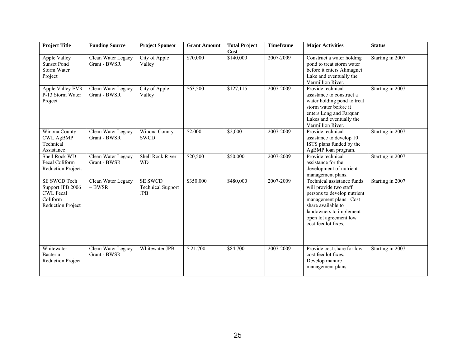| <b>Project Title</b>                                                                         | <b>Funding Source</b>              | <b>Project Sponsor</b>                                   | <b>Grant Amount</b> | <b>Total Project</b><br>Cost | <b>Timeframe</b> | <b>Major Activities</b>                                                                                                                                                                                         | <b>Status</b>     |
|----------------------------------------------------------------------------------------------|------------------------------------|----------------------------------------------------------|---------------------|------------------------------|------------------|-----------------------------------------------------------------------------------------------------------------------------------------------------------------------------------------------------------------|-------------------|
| Apple Valley<br><b>Sunset Pond</b><br>Storm Water<br>Project                                 | Clean Water Legacy<br>Grant - BWSR | City of Apple<br>Valley                                  | \$70,000            | \$140,000                    | 2007-2009        | Construct a water holding<br>pond to treat storm water<br>before it enters Alimagnet<br>Lake and eventually the<br>Vermillion River.                                                                            | Starting in 2007. |
| Apple Valley EVR<br>P-13 Storm Water<br>Project                                              | Clean Water Legacy<br>Grant - BWSR | City of Apple<br>Valley                                  | \$63,500            | \$127,115                    | 2007-2009        | Provide technical<br>assistance to construct a<br>water holding pond to treat<br>storm water before it<br>enters Long and Farquar<br>Lakes and eventually the<br>Vermillion River.                              | Starting in 2007. |
| Winona County<br><b>CWL AgBMP</b><br>Technical<br>Assistance                                 | Clean Water Legacy<br>Grant - BWSR | Winona County<br><b>SWCD</b>                             | \$2,000             | \$2,000                      | 2007-2009        | Provide technical<br>assistance to develop 10<br>ISTS plans funded by the<br>AgBMP loan program.                                                                                                                | Starting in 2007. |
| Shell Rock WD<br>Fecal Coliform<br>Reduction Project.                                        | Clean Water Legacy<br>Grant - BWSR | Shell Rock River<br><b>WD</b>                            | \$20,500            | \$50,000                     | 2007-2009        | Provide technical<br>assistance for the<br>development of nutrient<br>management plans.                                                                                                                         | Starting in 2007. |
| SE SWCD Tech<br>Support JPB 2006<br><b>CWL Fecal</b><br>Coliform<br><b>Reduction Project</b> | Clean Water Legacy<br>$-$ BWSR     | <b>SE SWCD</b><br><b>Technical Support</b><br><b>JPB</b> | \$350,000           | \$480,000                    | 2007-2009        | Technical assistance funds<br>will provide two staff<br>persons to develop nutrient<br>management plans. Cost<br>share available to<br>landowners to implement<br>open lot agreement low<br>cost feedlot fixes. | Starting in 2007. |
| Whitewater<br>Bacteria<br><b>Reduction Project</b>                                           | Clean Water Legacy<br>Grant - BWSR | Whitewater JPB                                           | \$21,700            | \$84,700                     | 2007-2009        | Provide cost share for low<br>cost feedlot fixes.<br>Develop manure<br>management plans.                                                                                                                        | Starting in 2007. |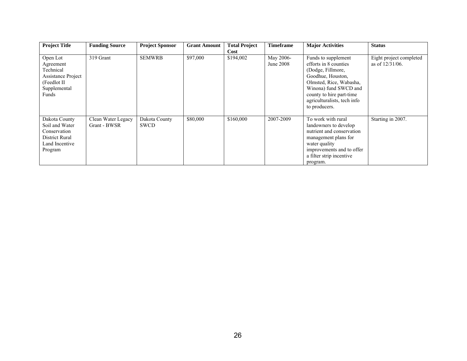| <b>Project Title</b>                                                                                     | <b>Funding Source</b>              | <b>Project Sponsor</b>       | <b>Grant Amount</b> | <b>Total Project</b><br>Cost | <b>Timeframe</b>       | <b>Major Activities</b>                                                                                                                                                                                                | <b>Status</b>                                 |
|----------------------------------------------------------------------------------------------------------|------------------------------------|------------------------------|---------------------|------------------------------|------------------------|------------------------------------------------------------------------------------------------------------------------------------------------------------------------------------------------------------------------|-----------------------------------------------|
| Open Lot<br>Agreement<br>Technical<br><b>Assistance Project</b><br>(Feedlot II)<br>Supplemental<br>Funds | 319 Grant                          | <b>SEMWRB</b>                | \$97,000            | \$194,002                    | May 2006-<br>June 2008 | Funds to supplement<br>efforts in 8 counties<br>(Dodge, Fillmore,<br>Goodhue, Houston,<br>Olmsted, Rice, Wabasha,<br>Winona) fund SWCD and<br>county to hire part-time<br>agriculturalists, tech info<br>to producers. | Eight project completed<br>as of $12/31/06$ . |
| Dakota County<br>Soil and Water<br>Conservation<br>District Rural<br>Land Incentive<br>Program           | Clean Water Legacy<br>Grant - BWSR | Dakota County<br><b>SWCD</b> | \$80,000            | \$160,000                    | 2007-2009              | To work with rural<br>landowners to develop<br>nutrient and conservation<br>management plans for<br>water quality<br>improvements and to offer<br>a filter strip incentive<br>program.                                 | Starting in 2007.                             |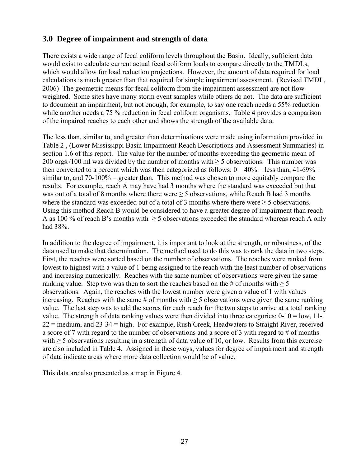## **3.0 Degree of impairment and strength of data**

There exists a wide range of fecal coliform levels throughout the Basin. Ideally, sufficient data would exist to calculate current actual fecal coliform loads to compare directly to the TMDLs, which would allow for load reduction projections. However, the amount of data required for load calculations is much greater than that required for simple impairment assessment. (Revised TMDL, 2006) The geometric means for fecal coliform from the impairment assessment are not flow weighted. Some sites have many storm event samples while others do not. The data are sufficient to document an impairment, but not enough, for example, to say one reach needs a 55% reduction while another needs a 75 % reduction in fecal coliform organisms. Table 4 provides a comparison of the impaired reaches to each other and shows the strength of the available data.

The less than, similar to, and greater than determinations were made using information provided in Table 2 , (Lower Mississippi Basin Impairment Reach Descriptions and Assessment Summaries) in section 1.6 of this report. The value for the number of months exceeding the geometric mean of 200 orgs./100 ml was divided by the number of months with  $\geq$  5 observations. This number was then converted to a percent which was then categorized as follows:  $0 - 40\%$  = less than, 41-69% = similar to, and 70-100% = greater than. This method was chosen to more equitably compare the results. For example, reach A may have had 3 months where the standard was exceeded but that was out of a total of 8 months where there were  $\geq$  5 observations, while Reach B had 3 months where the standard was exceeded out of a total of 3 months where there were  $\geq$  5 observations. Using this method Reach B would be considered to have a greater degree of impairment than reach A as 100 % of reach B's months with  $\geq$  5 observations exceeded the standard whereas reach A only had 38%.

In addition to the degree of impairment, it is important to look at the strength, or robustness, of the data used to make that determination. The method used to do this was to rank the data in two steps. First, the reaches were sorted based on the number of observations. The reaches were ranked from lowest to highest with a value of 1 being assigned to the reach with the least number of observations and increasing numerically. Reaches with the same number of observations were given the same ranking value. Step two was then to sort the reaches based on the # of months with  $\geq 5$ observations. Again, the reaches with the lowest number were given a value of 1 with values increasing. Reaches with the same  $\#$  of months with  $>$  5 observations were given the same ranking value. The last step was to add the scores for each reach for the two steps to arrive at a total ranking value. The strength of data ranking values were then divided into three categories:  $0-10 =$ low,  $11 22$  = medium, and  $23-34$  = high. For example, Rush Creek, Headwaters to Straight River, received a score of 7 with regard to the number of observations and a score of 3 with regard to # of months with  $\geq$  5 observations resulting in a strength of data value of 10, or low. Results from this exercise are also included in Table 4. Assigned in these ways, values for degree of impairment and strength of data indicate areas where more data collection would be of value.

This data are also presented as a map in Figure 4.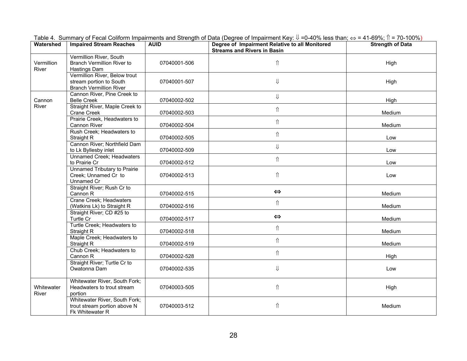| Watershed           | <b>Impaired Stream Reaches</b>                                                             | <b>AUID</b>  | Degree of Impairment Relative to all Monitored<br><b>Streams and Rivers in Basin</b> | <b>Strength of Data</b> |
|---------------------|--------------------------------------------------------------------------------------------|--------------|--------------------------------------------------------------------------------------|-------------------------|
| Vermillion<br>River | Vermillion River, South<br><b>Branch Vermillion River to</b><br>Hastings Dam               | 07040001-506 | ⇑                                                                                    | High                    |
|                     | Vermillion River, Below trout<br>stream portion to South<br><b>Branch Vermillion River</b> | 07040001-507 | $\Downarrow$                                                                         | High                    |
| Cannon              | Cannon River, Pine Creek to<br><b>Belle Creek</b>                                          | 07040002-502 | $\Downarrow$                                                                         | High                    |
| River               | Straight River, Maple Creek to<br>Crane Creek                                              | 07040002-503 | $\hat{\mathbb{I}}$                                                                   | Medium                  |
|                     | Prairie Creek, Headwaters to<br>Cannon River                                               | 07040002-504 | $\Uparrow$                                                                           | Medium                  |
|                     | Rush Creek; Headwaters to<br>Straight R                                                    | 07040002-505 | $\hat{\Pi}$                                                                          | Low                     |
|                     | Cannon River; Northfield Dam<br>to Lk Byllesby inlet                                       | 07040002-509 | $\Downarrow$                                                                         | Low                     |
|                     | Unnamed Creek; Headwaters<br>to Prairie Cr                                                 | 07040002-512 | $\Uparrow$                                                                           | Low                     |
|                     | <b>Unnamed Tributary to Prairie</b><br>Creek; Unnamed Cr to<br>Unnamed Cr                  | 07040002-513 | $\Uparrow$                                                                           | Low                     |
|                     | Straight River; Rush Cr to<br>Cannon R                                                     | 07040002-515 | $\Leftrightarrow$                                                                    | Medium                  |
|                     | Crane Creek; Headwaters<br>(Watkins Lk) to Straight R                                      | 07040002-516 | $\Uparrow$                                                                           | Medium                  |
|                     | Straight River; CD #25 to<br>Turtle Cr                                                     | 07040002-517 | $\Leftrightarrow$                                                                    | Medium                  |
|                     | Turtle Creek; Headwaters to<br>Straight R                                                  | 07040002-518 | $\Uparrow$                                                                           | Medium                  |
|                     | Maple Creek; Headwaters to<br>Straight R                                                   | 07040002-519 | $\hat{\mathbb{I}}$                                                                   | Medium                  |
|                     | Chub Creek; Headwaters to<br>Cannon R                                                      | 07040002-528 | $\Uparrow$                                                                           | High                    |
|                     | Straight River; Turtle Cr to<br>Owatonna Dam                                               | 07040002-535 | $\Downarrow$                                                                         | Low                     |
| Whitewater<br>River | Whitewater River, South Fork;<br>Headwaters to trout stream<br>portion                     | 07040003-505 | $\Uparrow$                                                                           | High                    |
|                     | Whitewater River, South Fork;<br>trout stream portion above N<br>Fk Whitewater R           | 07040003-512 | $\hat{\Pi}$                                                                          | Medium                  |

Table 4. Summary of Fecal Coliform Impairments and Strength of Data (Degree of Impairment Key:  $\Downarrow$  =0-40% less than; ⇔ = 41-69%; î = 70-100%)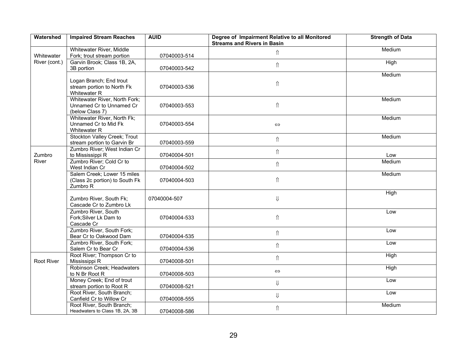| Watershed     | <b>Impaired Stream Reaches</b>                                               | <b>AUID</b>  | Degree of Impairment Relative to all Monitored<br><b>Streams and Rivers in Basin</b> | <b>Strength of Data</b> |
|---------------|------------------------------------------------------------------------------|--------------|--------------------------------------------------------------------------------------|-------------------------|
| Whitewater    | Whitewater River, Middle<br>Fork; trout stream portion                       | 07040003-514 | $\hat{\mathbb{I}}$                                                                   | Medium                  |
| River (cont.) | Garvin Brook; Class 1B, 2A,<br>3B portion                                    | 07040003-542 | $\hat{\Pi}$                                                                          | High                    |
|               | Logan Branch; End trout<br>stream portion to North Fk<br>Whitewater R        | 07040003-536 | $\hat{\Pi}$                                                                          | Medium                  |
|               | Whitewater River, North Fork;<br>Unnamed Cr to Unnamed Cr<br>(below Class 7) | 07040003-553 | $\hat{\Pi}$                                                                          | Medium                  |
|               | Whitewater River, North Fk;<br>Unnamed Cr to Mid Fk<br>Whitewater R          | 07040003-554 | $\Leftrightarrow$                                                                    | Medium                  |
|               | Stockton Valley Creek; Trout<br>stream portion to Garvin Br                  | 07040003-559 | $\hat{\mathbb{I}}$                                                                   | Medium                  |
| Zumbro        | Zumbro River; West Indian Cr<br>to Mississippi R                             | 07040004-501 | ⇑                                                                                    | Low                     |
| River         | Zumbro River; Cold Cr to<br>West Indian Cr                                   | 07040004-502 | $\hat{\mathbb{I}}$                                                                   | Medium                  |
|               | Salem Creek; Lower 15 miles<br>(Class 2c portion) to South Fk<br>Zumbro R    | 07040004-503 | $\Uparrow$                                                                           | Medium                  |
|               | Zumbro River, South Fk;<br>Cascade Cr to Zumbro Lk                           | 07040004-507 | $\Downarrow$                                                                         | High                    |
|               | Zumbro River, South<br>Fork; Silver Lk Dam to<br>Cascade Cr                  | 07040004-533 | $\hat{\mathbb{I}}$                                                                   | Low                     |
|               | Zumbro River, South Fork;<br>Bear Cr to Oakwood Dam                          | 07040004-535 | $\hat{\mathbb{I}}$                                                                   | Low                     |
|               | Zumbro River, South Fork;<br>Salem Cr to Bear Cr                             | 07040004-536 | $\hat{\mathbb{I}}$                                                                   | Low                     |
| Root River    | Root River; Thompson Cr to<br>Mississippi R                                  | 07040008-501 | $\hat{\mathbb{I}}$                                                                   | High                    |
|               | Robinson Creek; Headwaters<br>to N Br Root R                                 | 07040008-503 | $\Leftrightarrow$                                                                    | High                    |
|               | Money Creek; End of trout<br>stream portion to Root R                        | 07040008-521 | $\Downarrow$                                                                         | Low                     |
|               | Root River, South Branch;<br>Canfield Cr to Willow Cr                        | 07040008-555 | $\Downarrow$                                                                         | Low                     |
|               | Root River, South Branch;<br>Headwaters to Class 1B, 2A, 3B                  | 07040008-586 | $\hat{\mathbb{I}}$                                                                   | Medium                  |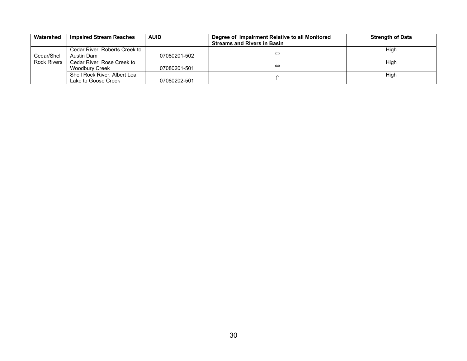| Watershed          | <b>Impaired Stream Reaches</b> | <b>AUID</b>  | Degree of Impairment Relative to all Monitored<br><b>Streams and Rivers in Basin</b> | <b>Strength of Data</b> |
|--------------------|--------------------------------|--------------|--------------------------------------------------------------------------------------|-------------------------|
|                    | Cedar River, Roberts Creek to  |              |                                                                                      | High                    |
| Cedar/Shell        | Austin Dam                     | 07080201-502 | ⇔                                                                                    |                         |
| <b>Rock Rivers</b> | Cedar River, Rose Creek to     |              |                                                                                      | High                    |
|                    | Woodbury Creek                 | 07080201-501 | ⇔                                                                                    |                         |
|                    | Shell Rock River, Albert Lea   |              |                                                                                      | High                    |
|                    | Lake to Goose Creek            | 07080202-501 |                                                                                      |                         |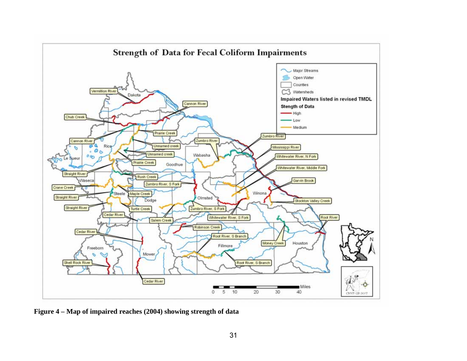

**Figure 4 – Map of impaired reaches (2004) showing strength of data**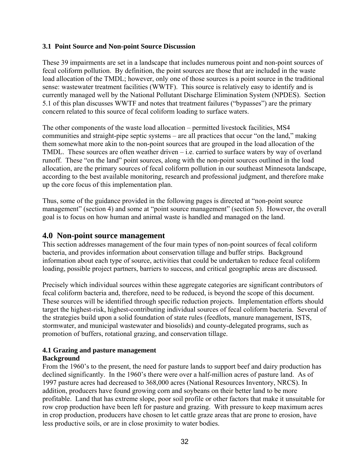### **3.1 Point Source and Non-point Source Discussion**

These 39 impairments are set in a landscape that includes numerous point and non-point sources of fecal coliform pollution. By definition, the point sources are those that are included in the waste load allocation of the TMDL; however, only one of those sources is a point source in the traditional sense: wastewater treatment facilities (WWTF). This source is relatively easy to identify and is currently managed well by the National Pollutant Discharge Elimination System (NPDES). Section 5.1 of this plan discusses WWTF and notes that treatment failures ("bypasses") are the primary concern related to this source of fecal coliform loading to surface waters.

The other components of the waste load allocation – permitted livestock facilities, MS4 communities and straight-pipe septic systems – are all practices that occur "on the land," making them somewhat more akin to the non-point sources that are grouped in the load allocation of the TMDL. These sources are often weather driven – i.e. carried to surface waters by way of overland runoff. These "on the land" point sources, along with the non-point sources outlined in the load allocation, are the primary sources of fecal coliform pollution in our southeast Minnesota landscape, according to the best available monitoring, research and professional judgment, and therefore make up the core focus of this implementation plan.

Thus, some of the guidance provided in the following pages is directed at "non-point source management" (section 4) and some at "point source management" (section 5). However, the overall goal is to focus on how human and animal waste is handled and managed on the land.

## **4.0 Non-point source management**

This section addresses management of the four main types of non-point sources of fecal coliform bacteria, and provides information about conservation tillage and buffer strips. Background information about each type of source, activities that could be undertaken to reduce fecal coliform loading, possible project partners, barriers to success, and critical geographic areas are discussed.

Precisely which individual sources within these aggregate categories are significant contributors of fecal coliform bacteria and, therefore, need to be reduced, is beyond the scope of this document. These sources will be identified through specific reduction projects. Implementation efforts should target the highest-risk, highest-contributing individual sources of fecal coliform bacteria. Several of the strategies build upon a solid foundation of state rules (feedlots, manure management, ISTS, stormwater, and municipal wastewater and biosolids) and county-delegated programs, such as promotion of buffers, rotational grazing, and conservation tillage.

## **4.1 Grazing and pasture management Background**

From the 1960's to the present, the need for pasture lands to support beef and dairy production has declined significantly. In the 1960's there were over a half-million acres of pasture land. As of 1997 pasture acres had decreased to 368,000 acres (National Resources Inventory, NRCS). In addition, producers have found growing corn and soybeans on their better land to be more profitable. Land that has extreme slope, poor soil profile or other factors that make it unsuitable for row crop production have been left for pasture and grazing. With pressure to keep maximum acres in crop production, producers have chosen to let cattle graze areas that are prone to erosion, have less productive soils, or are in close proximity to water bodies.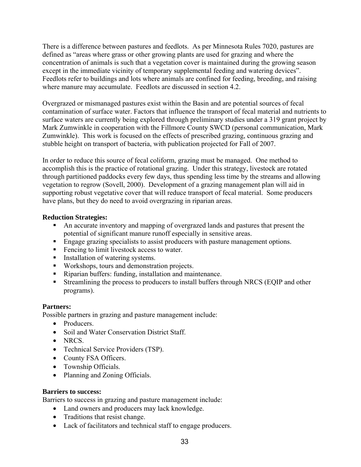There is a difference between pastures and feedlots. As per Minnesota Rules 7020, pastures are defined as "areas where grass or other growing plants are used for grazing and where the concentration of animals is such that a vegetation cover is maintained during the growing season except in the immediate vicinity of temporary supplemental feeding and watering devices". Feedlots refer to buildings and lots where animals are confined for feeding, breeding, and raising where manure may accumulate. Feedlots are discussed in section 4.2.

Overgrazed or mismanaged pastures exist within the Basin and are potential sources of fecal contamination of surface water. Factors that influence the transport of fecal material and nutrients to surface waters are currently being explored through preliminary studies under a 319 grant project by Mark Zumwinkle in cooperation with the Fillmore County SWCD (personal communication, Mark Zumwinkle). This work is focused on the effects of prescribed grazing, continuous grazing and stubble height on transport of bacteria, with publication projected for Fall of 2007.

In order to reduce this source of fecal coliform, grazing must be managed. One method to accomplish this is the practice of rotational grazing. Under this strategy, livestock are rotated through partitioned paddocks every few days, thus spending less time by the streams and allowing vegetation to regrow (Sovell, 2000). Development of a grazing management plan will aid in supporting robust vegetative cover that will reduce transport of fecal material. Some producers have plans, but they do need to avoid overgrazing in riparian areas.

## **Reduction Strategies:**

- An accurate inventory and mapping of overgrazed lands and pastures that present the potential of significant manure runoff especially in sensitive areas.
- Engage grazing specialists to assist producers with pasture management options.
- Fencing to limit livestock access to water.
- **Installation of watering systems.**
- Workshops, tours and demonstration projects.
- Riparian buffers: funding, installation and maintenance.
- Streamlining the process to producers to install buffers through NRCS (EQIP and other programs).

## **Partners:**

Possible partners in grazing and pasture management include:

- Producers.
- Soil and Water Conservation District Staff.
- NRCS.
- Technical Service Providers (TSP).
- County FSA Officers.
- Township Officials.
- Planning and Zoning Officials.

## **Barriers to success:**

Barriers to success in grazing and pasture management include:

- Land owners and producers may lack knowledge.
- Traditions that resist change.
- Lack of facilitators and technical staff to engage producers.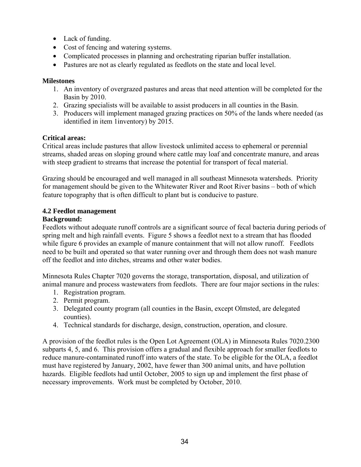- Lack of funding.
- Cost of fencing and watering systems.
- Complicated processes in planning and orchestrating riparian buffer installation.
- Pastures are not as clearly regulated as feedlots on the state and local level.

## **Milestones**

- 1. An inventory of overgrazed pastures and areas that need attention will be completed for the Basin by 2010.
- 2. Grazing specialists will be available to assist producers in all counties in the Basin.
- 3. Producers will implement managed grazing practices on 50% of the lands where needed (as identified in item 1inventory) by 2015.

## **Critical areas:**

Critical areas include pastures that allow livestock unlimited access to ephemeral or perennial streams, shaded areas on sloping ground where cattle may loaf and concentrate manure, and areas with steep gradient to streams that increase the potential for transport of fecal material.

Grazing should be encouraged and well managed in all southeast Minnesota watersheds. Priority for management should be given to the Whitewater River and Root River basins – both of which feature topography that is often difficult to plant but is conducive to pasture.

## **4.2 Feedlot management**

## **Background:**

Feedlots without adequate runoff controls are a significant source of fecal bacteria during periods of spring melt and high rainfall events. Figure 5 shows a feedlot next to a stream that has flooded while figure 6 provides an example of manure containment that will not allow runoff. Feedlots need to be built and operated so that water running over and through them does not wash manure off the feedlot and into ditches, streams and other water bodies.

Minnesota Rules Chapter 7020 governs the storage, transportation, disposal, and utilization of animal manure and process wastewaters from feedlots. There are four major sections in the rules:

- 1. Registration program.
- 2. Permit program.
- 3. Delegated county program (all counties in the Basin, except Olmsted, are delegated counties).
- 4. Technical standards for discharge, design, construction, operation, and closure.

A provision of the feedlot rules is the Open Lot Agreement (OLA) in Minnesota Rules 7020.2300 subparts 4, 5, and 6. This provision offers a gradual and flexible approach for smaller feedlots to reduce manure-contaminated runoff into waters of the state. To be eligible for the OLA, a feedlot must have registered by January, 2002, have fewer than 300 animal units, and have pollution hazards. Eligible feedlots had until October, 2005 to sign up and implement the first phase of necessary improvements. Work must be completed by October, 2010.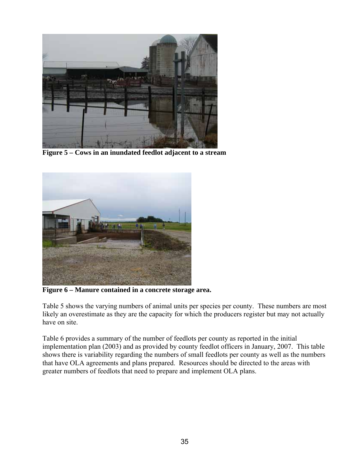

**Figure 5 – Cows in an inundated feedlot adjacent to a stream** 



**Figure 6 – Manure contained in a concrete storage area.** 

Table 5 shows the varying numbers of animal units per species per county. These numbers are most likely an overestimate as they are the capacity for which the producers register but may not actually have on site.

Table 6 provides a summary of the number of feedlots per county as reported in the initial implementation plan (2003) and as provided by county feedlot officers in January, 2007. This table shows there is variability regarding the numbers of small feedlots per county as well as the numbers that have OLA agreements and plans prepared. Resources should be directed to the areas with greater numbers of feedlots that need to prepare and implement OLA plans.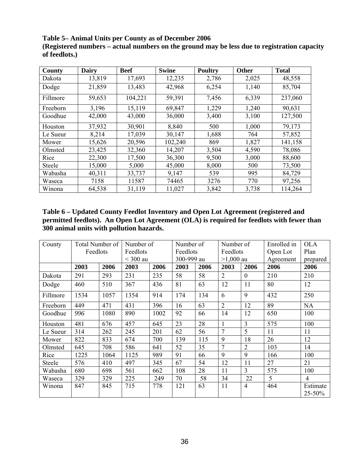**Table 5– Animal Units per County as of December 2006** 

**(Registered numbers – actual numbers on the ground may be less due to registration capacity of feedlots.)** 

| County   | <b>Dairy</b> | <b>Beef</b> | <b>Swine</b> | <b>Poultry</b> | Other | <b>Total</b> |
|----------|--------------|-------------|--------------|----------------|-------|--------------|
| Dakota   | 13,819       | 17,693      | 12,235       | 2,786          | 2,025 | 48,558       |
| Dodge    | 21,859       | 13,483      | 42,968       | 6,254          | 1,140 | 85,704       |
| Fillmore | 59,653       | 104,221     | 59,391       | 7,456          | 6,339 | 237,060      |
| Freeborn | 3,196        | 15,119      | 69,847       | 1,229          | 1,240 | 90,631       |
| Goodhue  | 42,000       | 43,000      | 36,000       | 3,400          | 3,100 | 127,500      |
| Houston  | 37,932       | 30,901      | 8,840        | 500            | 1,000 | 79,173       |
| Le Sueur | 8,214        | 17,039      | 30,147       | 1,688          | 764   | 57,852       |
| Mower    | 15,626       | 20,596      | 102,240      | 869            | 1,827 | 141,158      |
| Olmsted  | 23,425       | 32,360      | 14,207       | 3,504          | 4,590 | 78,086       |
| Rice     | 22,300       | 17,500      | 36,300       | 9,500          | 3,000 | 88,600       |
| Steele   | 15,000       | 5,000       | 45,000       | 8,000          | 500   | 73,500       |
| Wabasha  | 40,311       | 33,737      | 9,147        | 539            | 995   | 84,729       |
| Waseca   | 7158         | 11587       | 74465        | 3276           | 770   | 97,256       |
| Winona   | 64,538       | 31,119      | 11,027       | 3,842          | 3,738 | 114,264      |

**Table 6 – Updated County Feedlot Inventory and Open Lot Agreement (registered and permitted feedlots). An Open Lot Agreement (OLA) is required for feedlots with fewer than 300 animal units with pollution hazards.** 

| County   | Total Number of |                      | Number of  |          |            | Number of |                      | Number of      | Enrolled in | <b>OLA</b>         |
|----------|-----------------|----------------------|------------|----------|------------|-----------|----------------------|----------------|-------------|--------------------|
|          |                 | Feedlots<br>Feedlots |            | Feedlots |            |           | Feedlots             |                | Open Lot    | Plan               |
|          |                 |                      | $<$ 300 au |          | 300-999 au |           | $>1,000$ au          |                | Agreement   | prepared           |
|          | 2003            | 2006                 | 2003       | 2006     | 2003       | 2006      | 2003                 | 2006           | 2006        | 2006               |
| Dakota   | 291             | 293                  | 231        | 235      | 58         | 58        | $\overline{2}$       | $\overline{0}$ | 210         | 210                |
| Dodge    | 460             | 510                  | 367        | 436      | 81         | 63        | 12                   | 11             | 80          | 12                 |
| Fillmore | 1534            | 1057                 | 1354       | 914      | 174        | 134       | 6                    | 9              | 432         | 250                |
| Freeborn | 449             | 471                  | 431        | 396      | 16         | 63        | $\overline{2}$       | 12             | 89          | <b>NA</b>          |
| Goodhue  | 996             | 1080                 | 890        | 1002     | 92         | 66        | 14<br>12             |                | 650         | 100                |
| Houston  | 481             | 676                  | 457        | 645      | 23         | 28        |                      | $\overline{3}$ | 575         | 100                |
| Le Sueur | 314             | 262                  | 245        | 201      | 62         | 56        | 7                    | 5              | 11          | 11                 |
| Mower    | 822             | 833                  | 674        | 700      | 139        | 115       | 9                    | 18             | 26          | 12                 |
| Olmsted  | 645             | 708                  | 586        | 641      | 52         | 35        | 7                    | $\overline{2}$ | 103         | 14                 |
| Rice     | 1225            | 1064                 | 1125       | 989      | 91         | 66        | 9                    | 9              | 166         | 100                |
| Steele   | 576             | 410                  | 497        | 345      | 67         | 54        | 12                   | 11             | 27          | 21                 |
| Wabasha  | 680             | 698                  | 561        | 662      | 108        | 28        | $\overline{3}$<br>11 |                | 575         | 100                |
| Waseca   | 329             | 329                  | 225        | 249      | 70         | 58        | 34                   | 22             | 5           | $\overline{4}$     |
| Winona   | 847             | 845                  | 715        | 778      | 121        | 63        | 11<br>$\overline{4}$ |                | 464         | Estimate<br>25-50% |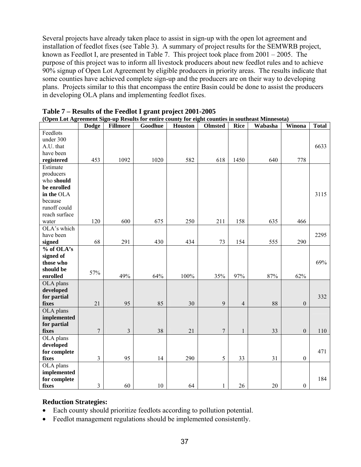Several projects have already taken place to assist in sign-up with the open lot agreement and installation of feedlot fixes (see Table 3). A summary of project results for the SEMWRB project, known as Feedlot I, are presented in Table 7. This project took place from 2001 – 2005. The purpose of this project was to inform all livestock producers about new feedlot rules and to achieve 90% signup of Open Lot Agreement by eligible producers in priority areas. The results indicate that some counties have achieved complete sign-up and the producers are on their way to developing plans. Projects similar to this that encompass the entire Basin could be done to assist the producers in developing OLA plans and implementing feedlot fixes.

|               | <b>Dodge</b>   | Fillmore                | Goodhue | <b>Houston</b> | Olmsted          | <b>Rice</b>    | Wabasha | Winona           | <b>Total</b> |
|---------------|----------------|-------------------------|---------|----------------|------------------|----------------|---------|------------------|--------------|
| Feedlots      |                |                         |         |                |                  |                |         |                  |              |
| under 300     |                |                         |         |                |                  |                |         |                  |              |
| A.U. that     |                |                         |         |                |                  |                |         |                  | 6633         |
| have been     |                |                         |         |                |                  |                |         |                  |              |
| registered    | 453            | 1092                    | 1020    | 582            | 618              | 1450           | 640     | 778              |              |
| Estimate      |                |                         |         |                |                  |                |         |                  |              |
| producers     |                |                         |         |                |                  |                |         |                  |              |
| who should    |                |                         |         |                |                  |                |         |                  |              |
| be enrolled   |                |                         |         |                |                  |                |         |                  |              |
| in the OLA    |                |                         |         |                |                  |                |         |                  | 3115         |
| because       |                |                         |         |                |                  |                |         |                  |              |
| runoff could  |                |                         |         |                |                  |                |         |                  |              |
| reach surface |                |                         |         |                |                  |                |         |                  |              |
| water         | 120            | 600                     | 675     | 250            | 211              | 158            | 635     | 466              |              |
| OLA's which   |                |                         |         |                |                  |                |         |                  |              |
| have been     |                |                         |         |                |                  |                |         |                  | 2295         |
| signed        | 68             | 291                     | 430     | 434            | 73               | 154            | 555     | 290              |              |
| % of OLA's    |                |                         |         |                |                  |                |         |                  |              |
| signed of     |                |                         |         |                |                  |                |         |                  |              |
| those who     |                |                         |         |                |                  |                |         |                  | 69%          |
| should be     | 57%            |                         |         |                |                  |                |         |                  |              |
| enrolled      |                | 49%                     | 64%     | $100\%$        | 35%              | 97%            | 87%     | 62%              |              |
| OLA plans     |                |                         |         |                |                  |                |         |                  |              |
| developed     |                |                         |         |                |                  |                |         |                  |              |
| for partial   |                |                         |         |                |                  |                |         |                  | 332          |
| fixes         | 21             | 95                      | 85      | 30             | 9                | $\overline{4}$ | 88      | $\boldsymbol{0}$ |              |
| OLA plans     |                |                         |         |                |                  |                |         |                  |              |
| implemented   |                |                         |         |                |                  |                |         |                  |              |
| for partial   |                |                         |         |                |                  |                |         |                  |              |
| fixes         | $\overline{7}$ | $\overline{\mathbf{3}}$ | 38      | 21             | $\boldsymbol{7}$ | $\,1\,$        | 33      | $\boldsymbol{0}$ | 110          |
| OLA plans     |                |                         |         |                |                  |                |         |                  |              |
| developed     |                |                         |         |                |                  |                |         |                  |              |
| for complete  |                |                         |         |                |                  |                |         |                  | 471          |
| fixes         | 3              | 95                      | 14      | 290            | 5                | 33             | 31      | $\boldsymbol{0}$ |              |
| OLA plans     |                |                         |         |                |                  |                |         |                  |              |
| implemented   |                |                         |         |                |                  |                |         |                  |              |
| for complete  |                |                         |         |                |                  |                |         |                  | 184          |
| fixes         | 3              | 60                      | 10      | 64             | $\mathbf{1}$     | 26             | 20      | $\boldsymbol{0}$ |              |

|  |  |  | Table 7 – Results of the Feedlot I grant project 2001-2005 |
|--|--|--|------------------------------------------------------------|
|  |  |  |                                                            |

|  |  |  | (Open Lot Agreement Sign-up Results for entire county for eight counties in southeast Minnesota) |  |
|--|--|--|--------------------------------------------------------------------------------------------------|--|

## **Reduction Strategies:**

- Each county should prioritize feedlots according to pollution potential.
- Feedlot management regulations should be implemented consistently.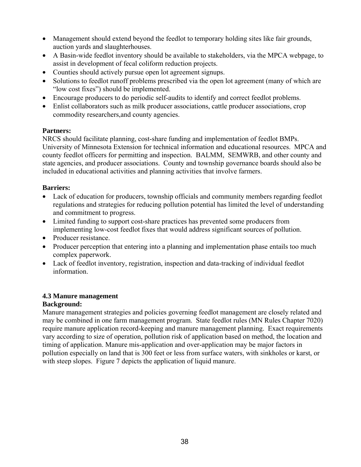- Management should extend beyond the feedlot to temporary holding sites like fair grounds, auction yards and slaughterhouses.
- A Basin-wide feedlot inventory should be available to stakeholders, via the MPCA webpage, to assist in development of fecal coliform reduction projects.
- Counties should actively pursue open lot agreement signups.
- Solutions to feedlot runoff problems prescribed via the open lot agreement (many of which are "low cost fixes") should be implemented.
- Encourage producers to do periodic self-audits to identify and correct feedlot problems.
- Enlist collaborators such as milk producer associations, cattle producer associations, crop commodity researchers,and county agencies.

## **Partners:**

NRCS should facilitate planning, cost-share funding and implementation of feedlot BMPs. University of Minnesota Extension for technical information and educational resources. MPCA and county feedlot officers for permitting and inspection. BALMM, SEMWRB, and other county and state agencies, and producer associations. County and township governance boards should also be included in educational activities and planning activities that involve farmers.

## **Barriers:**

- Lack of education for producers, township officials and community members regarding feedlot regulations and strategies for reducing pollution potential has limited the level of understanding and commitment to progress.
- Limited funding to support cost-share practices has prevented some producers from implementing low-cost feedlot fixes that would address significant sources of pollution.
- Producer resistance
- Producer perception that entering into a planning and implementation phase entails too much complex paperwork.
- Lack of feedlot inventory, registration, inspection and data-tracking of individual feedlot information.

## **4.3 Manure management**

## **Background:**

Manure management strategies and policies governing feedlot management are closely related and may be combined in one farm management program. State feedlot rules (MN Rules Chapter 7020) require manure application record-keeping and manure management planning. Exact requirements vary according to size of operation, pollution risk of application based on method, the location and timing of application. Manure mis-application and over-application may be major factors in pollution especially on land that is 300 feet or less from surface waters, with sinkholes or karst, or with steep slopes. Figure 7 depicts the application of liquid manure.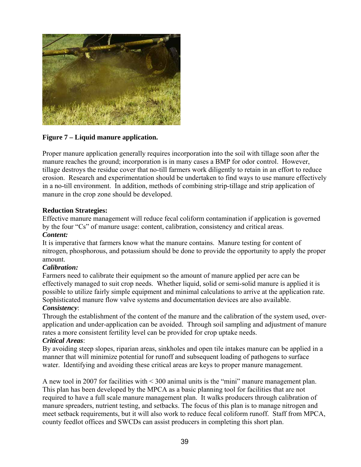

## **Figure 7 – Liquid manure application.**

Proper manure application generally requires incorporation into the soil with tillage soon after the manure reaches the ground; incorporation is in many cases a BMP for odor control. However, tillage destroys the residue cover that no-till farmers work diligently to retain in an effort to reduce erosion. Research and experimentation should be undertaken to find ways to use manure effectively in a no-till environment. In addition, methods of combining strip-tillage and strip application of manure in the crop zone should be developed.

#### **Reduction Strategies:**

Effective manure management will reduce fecal coliform contamination if application is governed by the four "Cs" of manure usage: content, calibration, consistency and critical areas. *Content:* 

It is imperative that farmers know what the manure contains. Manure testing for content of nitrogen, phosphorous, and potassium should be done to provide the opportunity to apply the proper amount.

## *Calibration:*

Farmers need to calibrate their equipment so the amount of manure applied per acre can be effectively managed to suit crop needs. Whether liquid, solid or semi-solid manure is applied it is possible to utilize fairly simple equipment and minimal calculations to arrive at the application rate. Sophisticated manure flow valve systems and documentation devices are also available.

## *Consistency*:

Through the establishment of the content of the manure and the calibration of the system used, overapplication and under-application can be avoided. Through soil sampling and adjustment of manure rates a more consistent fertility level can be provided for crop uptake needs. *Critical Areas*:

By avoiding steep slopes, riparian areas, sinkholes and open tile intakes manure can be applied in a manner that will minimize potential for runoff and subsequent loading of pathogens to surface water. Identifying and avoiding these critical areas are keys to proper manure management.

A new tool in 2007 for facilities with < 300 animal units is the "mini" manure management plan. This plan has been developed by the MPCA as a basic planning tool for facilities that are not required to have a full scale manure management plan. It walks producers through calibration of manure spreaders, nutrient testing, and setbacks. The focus of this plan is to manage nitrogen and meet setback requirements, but it will also work to reduce fecal coliform runoff. Staff from MPCA, county feedlot offices and SWCDs can assist producers in completing this short plan.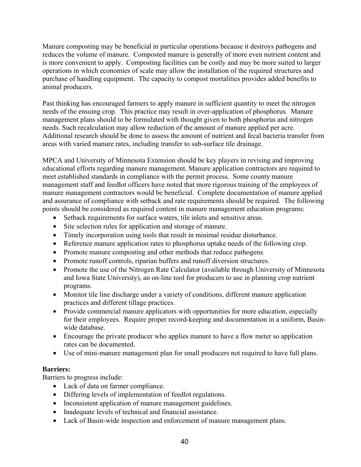Manure composting may be beneficial in particular operations because it destroys pathogens and reduces the volume of manure. Composted manure is generally of more even nutrient content and is more convenient to apply. Composting facilities can be costly and may be more suited to larger operations in which economies of scale may allow the installation of the required structures and purchase of handling equipment. The capacity to compost mortalities provides added benefits to animal producers.

Past thinking has encouraged farmers to apply manure in sufficient quantity to meet the nitrogen needs of the ensuing crop. This practice may result in over-application of phosphorus. Manure management plans should to be formulated with thought given to both phosphorus and nitrogen needs. Such recalculation may allow reduction of the amount of manure applied per acre. Additional research should be done to assess the amount of nutrient and fecal bacteria transfer from areas with varied manure rates, including transfer to sub-surface tile drainage.

MPCA and University of Minnesota Extension should be key players in revising and improving educational efforts regarding manure management. Manure application contractors are required to meet established standards in compliance with the permit process. Some county manure management staff and feedlot officers have noted that more rigorous training of the employees of manure management contractors would be beneficial. Complete documentation of manure applied and assurance of compliance with setback and rate requirements should be required. The following points should be considered as required content in manure management education programs:

- Setback requirements for surface waters, tile inlets and sensitive areas.
- Site selection rules for application and storage of manure.
- Timely incorporation using tools that result in minimal residue disturbance.
- Reference manure application rates to phosphorus uptake needs of the following crop.
- Promote manure composting and other methods that reduce pathogens.
- Promote runoff controls, riparian buffers and runoff diversion structures.
- Promote the use of the Nitrogen Rate Calculator (available through University of Minnesota and Iowa State University), an on-line tool for producers to use in planning crop nutrient programs.
- Monitor tile line discharge under a variety of conditions, different manure application practices and different tillage practices.
- Provide commercial manure applicators with opportunities for more education, especially for their employees. Require proper record-keeping and documentation in a uniform, Basinwide database.
- Encourage the private producer who applies manure to have a flow meter so application rates can be documented.
- Use of mini-manure management plan for small producers not required to have full plans.

## **Barriers:**

Barriers to progress include:

- Lack of data on farmer compliance.
- Differing levels of implementation of feedlot regulations.
- Inconsistent application of manure management guidelines.
- Inadequate levels of technical and financial assistance.
- Lack of Basin-wide inspection and enforcement of manure management plans.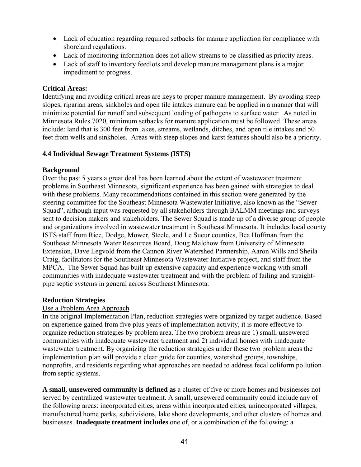- Lack of education regarding required setbacks for manure application for compliance with shoreland regulations.
- Lack of monitoring information does not allow streams to be classified as priority areas.
- Lack of staff to inventory feedlots and develop manure management plans is a major impediment to progress.

## **Critical Areas:**

Identifying and avoiding critical areas are keys to proper manure management. By avoiding steep slopes, riparian areas, sinkholes and open tile intakes manure can be applied in a manner that will minimize potential for runoff and subsequent loading of pathogens to surface water As noted in Minnesota Rules 7020, minimum setbacks for manure application must be followed. These areas include: land that is 300 feet from lakes, streams, wetlands, ditches, and open tile intakes and 50 feet from wells and sinkholes. Areas with steep slopes and karst features should also be a priority.

## **4.4 Individual Sewage Treatment Systems (ISTS)**

## **Background**

Over the past 5 years a great deal has been learned about the extent of wastewater treatment problems in Southeast Minnesota, significant experience has been gained with strategies to deal with these problems. Many recommendations contained in this section were generated by the steering committee for the Southeast Minnesota Wastewater Initiative, also known as the "Sewer Squad", although input was requested by all stakeholders through BALMM meetings and surveys sent to decision makers and stakeholders. The Sewer Squad is made up of a diverse group of people and organizations involved in wastewater treatment in Southeast Minnesota. It includes local county ISTS staff from Rice, Dodge, Mower, Steele, and Le Sueur counties, Bea Hoffman from the Southeast Minnesota Water Resources Board, Doug Malchow from University of Minnesota Extension, Dave Legvold from the Cannon River Watershed Partnership, Aaron Wills and Sheila Craig, facilitators for the Southeast Minnesota Wastewater Initiative project, and staff from the MPCA. The Sewer Squad has built up extensive capacity and experience working with small communities with inadequate wastewater treatment and with the problem of failing and straightpipe septic systems in general across Southeast Minnesota.

## **Reduction Strategies**

## Use a Problem Area Approach

In the original Implementation Plan, reduction strategies were organized by target audience. Based on experience gained from five plus years of implementation activity, it is more effective to organize reduction strategies by problem area. The two problem areas are 1) small, unsewered communities with inadequate wastewater treatment and 2) individual homes with inadequate wastewater treatment. By organizing the reduction strategies under these two problem areas the implementation plan will provide a clear guide for counties, watershed groups, townships, nonprofits, and residents regarding what approaches are needed to address fecal coliform pollution from septic systems.

**A small, unsewered community is defined as** a cluster of five or more homes and businesses not served by centralized wastewater treatment. A small, unsewered community could include any of the following areas: incorporated cities, areas within incorporated cities, unincorporated villages, manufactured home parks, subdivisions, lake shore developments, and other clusters of homes and businesses. **Inadequate treatment includes** one of, or a combination of the following: a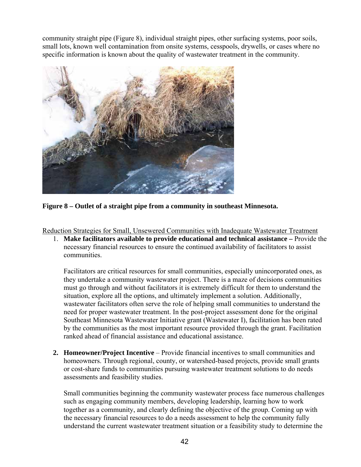community straight pipe (Figure 8), individual straight pipes, other surfacing systems, poor soils, small lots, known well contamination from onsite systems, cesspools, drywells, or cases where no specific information is known about the quality of wastewater treatment in the community.



**Figure 8 – Outlet of a straight pipe from a community in southeast Minnesota.** 

Reduction Strategies for Small, Unsewered Communities with Inadequate Wastewater Treatment

1. **Make facilitators available to provide educational and technical assistance –** Provide the necessary financial resources to ensure the continued availability of facilitators to assist communities.

Facilitators are critical resources for small communities, especially unincorporated ones, as they undertake a community wastewater project. There is a maze of decisions communities must go through and without facilitators it is extremely difficult for them to understand the situation, explore all the options, and ultimately implement a solution. Additionally, wastewater facilitators often serve the role of helping small communities to understand the need for proper wastewater treatment. In the post-project assessment done for the original Southeast Minnesota Wastewater Initiative grant (Wastewater I), facilitation has been rated by the communities as the most important resource provided through the grant. Facilitation ranked ahead of financial assistance and educational assistance.

**2. Homeowner/Project Incentive** – Provide financial incentives to small communities and homeowners. Through regional, county, or watershed-based projects, provide small grants or cost-share funds to communities pursuing wastewater treatment solutions to do needs assessments and feasibility studies.

Small communities beginning the community wastewater process face numerous challenges such as engaging community members, developing leadership, learning how to work together as a community, and clearly defining the objective of the group. Coming up with the necessary financial resources to do a needs assessment to help the community fully understand the current wastewater treatment situation or a feasibility study to determine the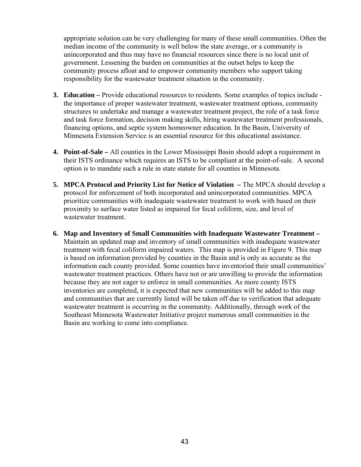appropriate solution can be very challenging for many of these small communities. Often the median income of the community is well below the state average, or a community is unincorporated and thus may have no financial resources since there is no local unit of government. Lessening the burden on communities at the outset helps to keep the community process afloat and to empower community members who support taking responsibility for the wastewater treatment situation in the community.

- **3. Education** Provide educational resources to residents. Some examples of topics include the importance of proper wastewater treatment, wastewater treatment options, community structures to undertake and manage a wastewater treatment project, the role of a task force and task force formation, decision making skills, hiring wastewater treatment professionals, financing options, and septic system homeowner education. In the Basin, University of Minnesota Extension Service is an essential resource for this educational assistance.
- **4. Point-of-Sale** All counties in the Lower Mississippi Basin should adopt a requirement in their ISTS ordinance which requires an ISTS to be compliant at the point-of-sale. A second option is to mandate such a rule in state statute for all counties in Minnesota.
- **5. MPCA Protocol and Priority List for Notice of Violation** The MPCA should develop a protocol for enforcement of both incorporated and unincorporated communities. MPCA prioritize communities with inadequate wastewater treatment to work with based on their proximity to surface water listed as impaired for fecal coliform, size, and level of wastewater treatment.
- **6. Map and Inventory of Small Communities with Inadequate Wastewater Treatment**  Maintain an updated map and inventory of small communities with inadequate wastewater treatment with fecal coliform impaired waters. This map is provided in Figure 9. This map is based on information provided by counties in the Basin and is only as accurate as the information each county provided. Some counties have inventoried their small communities' wastewater treatment practices. Others have not or are unwilling to provide the information because they are not eager to enforce in small communities. As more county ISTS inventories are completed, it is expected that new communities will be added to this map and communities that are currently listed will be taken off due to verification that adequate wastewater treatment is occurring in the community. Additionally, through work of the Southeast Minnesota Wastewater Initiative project numerous small communities in the Basin are working to come into compliance.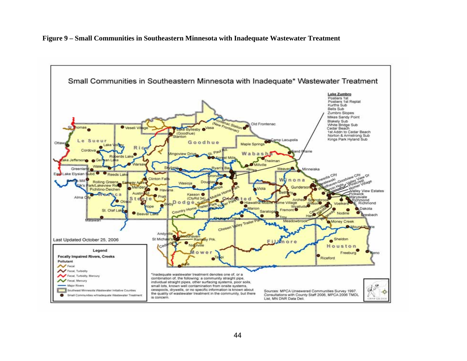**Figure 9 – Small Communities in Southeastern Minnesota with Inadequate Wastewater Treatment** 

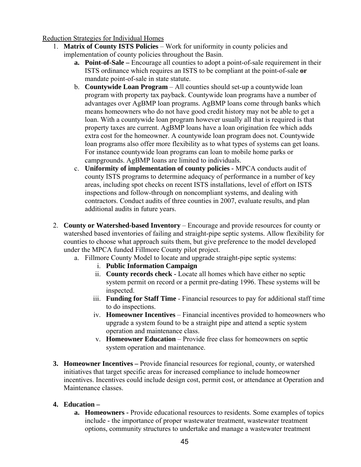## Reduction Strategies for Individual Homes

- 1. **Matrix of County ISTS Policies** Work for uniformity in county policies and implementation of county policies throughout the Basin.
	- **a. Point-of-Sale** Encourage all counties to adopt a point-of-sale requirement in their ISTS ordinance which requires an ISTS to be compliant at the point-of-sale **or** mandate point-of-sale in state statute.
	- b. **Countywide Loan Program** All counties should set-up a countywide loan program with property tax payback. Countywide loan programs have a number of advantages over AgBMP loan programs. AgBMP loans come through banks which means homeowners who do not have good credit history may not be able to get a loan. With a countywide loan program however usually all that is required is that property taxes are current. AgBMP loans have a loan origination fee which adds extra cost for the homeowner. A countywide loan program does not. Countywide loan programs also offer more flexibility as to what types of systems can get loans. For instance countywide loan programs can loan to mobile home parks or campgrounds. AgBMP loans are limited to individuals.
	- c. **Uniformity of implementation of county policies** MPCA conducts audit of county ISTS programs to determine adequacy of performance in a number of key areas, including spot checks on recent ISTS installations, level of effort on ISTS inspections and follow-through on noncompliant systems, and dealing with contractors. Conduct audits of three counties in 2007, evaluate results, and plan additional audits in future years.
- 2. **County or Watershed-based Inventory** Encourage and provide resources for county or watershed based inventories of failing and straight-pipe septic systems. Allow flexibility for counties to choose what approach suits them, but give preference to the model developed under the MPCA funded Fillmore County pilot project.
	- a. Fillmore County Model to locate and upgrade straight-pipe septic systems:
		- i. **Public Information Campaign**
		- ii. **County records check** Locate all homes which have either no septic system permit on record or a permit pre-dating 1996. These systems will be inspected.
		- iii. **Funding for Staff Time** Financial resources to pay for additional staff time to do inspections.
		- iv. **Homeowner Incentives** Financial incentives provided to homeowners who upgrade a system found to be a straight pipe and attend a septic system operation and maintenance class.
		- v. **Homeowner Education**  Provide free class for homeowners on septic system operation and maintenance.
- **3. Homeowner Incentives** Provide financial resources for regional, county, or watershed initiatives that target specific areas for increased compliance to include homeowner incentives. Incentives could include design cost, permit cost, or attendance at Operation and Maintenance classes.

## **4. Education –**

**a. Homeowners -** Provide educational resources to residents. Some examples of topics include - the importance of proper wastewater treatment, wastewater treatment options, community structures to undertake and manage a wastewater treatment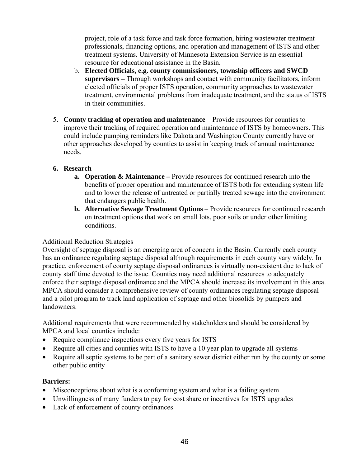project, role of a task force and task force formation, hiring wastewater treatment professionals, financing options, and operation and management of ISTS and other treatment systems. University of Minnesota Extension Service is an essential resource for educational assistance in the Basin.

- b. **Elected Officials, e.g. county commissioners, township officers and SWCD supervisors –** Through workshops and contact with community facilitators, inform elected officials of proper ISTS operation, community approaches to wastewater treatment, environmental problems from inadequate treatment, and the status of ISTS in their communities.
- 5. **County tracking of operation and maintenance** Provide resources for counties to improve their tracking of required operation and maintenance of ISTS by homeowners. This could include pumping reminders like Dakota and Washington County currently have or other approaches developed by counties to assist in keeping track of annual maintenance needs.

## **6. Research**

- **a. Operation & Maintenance** Provide resources for continued research into the benefits of proper operation and maintenance of ISTS both for extending system life and to lower the release of untreated or partially treated sewage into the environment that endangers public health.
- **b.** Alternative Sewage Treatment Options Provide resources for continued research on treatment options that work on small lots, poor soils or under other limiting conditions.

## Additional Reduction Strategies

Oversight of septage disposal is an emerging area of concern in the Basin. Currently each county has an ordinance regulating septage disposal although requirements in each county vary widely. In practice, enforcement of county septage disposal ordinances is virtually non-existent due to lack of county staff time devoted to the issue. Counties may need additional resources to adequately enforce their septage disposal ordinance and the MPCA should increase its involvement in this area. MPCA should consider a comprehensive review of county ordinances regulating septage disposal and a pilot program to track land application of septage and other biosolids by pumpers and landowners.

Additional requirements that were recommended by stakeholders and should be considered by MPCA and local counties include:

- Require compliance inspections every five years for ISTS
- Require all cities and counties with ISTS to have a 10 year plan to upgrade all systems
- Require all septic systems to be part of a sanitary sewer district either run by the county or some other public entity

## **Barriers:**

- Misconceptions about what is a conforming system and what is a failing system
- Unwillingness of many funders to pay for cost share or incentives for ISTS upgrades
- Lack of enforcement of county ordinances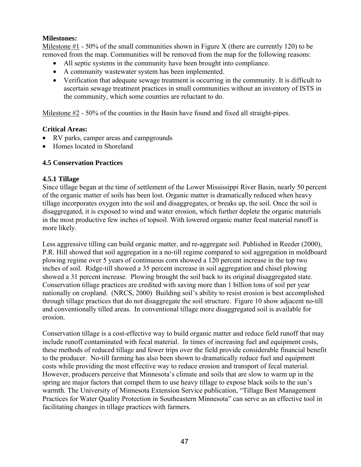## **Milestones:**

Milestone  $#1 - 50\%$  of the small communities shown in Figure X (there are currently 120) to be removed from the map. Communities will be removed from the map for the following reasons:

- All septic systems in the community have been brought into compliance.
- A community wastewater system has been implemented.
- Verification that adequate sewage treatment is occurring in the community. It is difficult to ascertain sewage treatment practices in small communities without an inventory of ISTS in the community, which some counties are reluctant to do.

Milestone #2 - 50% of the counties in the Basin have found and fixed all straight-pipes.

## **Critical Areas:**

- RV parks, camper areas and campgrounds
- Homes located in Shoreland

## **4.5 Conservation Practices**

## **4.5.1 Tillage**

Since tillage began at the time of settlement of the Lower Mississippi River Basin, nearly 50 percent of the organic matter of soils has been lost. Organic matter is dramatically reduced when heavy tillage incorporates oxygen into the soil and disaggregates, or breaks up, the soil. Once the soil is disaggregated, it is exposed to wind and water erosion, which further deplete the organic materials in the most productive few inches of topsoil. With lowered organic matter fecal material runoff is more likely.

Less aggressive tilling can build organic matter, and re-aggregate soil. Published in Reeder (2000), P.R. Hill showed that soil aggregation in a no-till regime compared to soil aggregation in moldboard plowing regime over 5 years of continuous corn showed a 120 percent increase in the top two inches of soil. Ridge-till showed a 35 percent increase in soil aggregation and chisel plowing showed a 31 percent increase. Plowing brought the soil back to its original disaggregated state. Conservation tillage practices are credited with saving more than 1 billion tons of soil per year nationally on cropland. (NRCS, 2000) Building soil's ability to resist erosion is best accomplished through tillage practices that do not disaggregate the soil structure. Figure 10 show adjacent no-till and conventionally tilled areas. In conventional tillage more disaggregated soil is available for erosion.

Conservation tillage is a cost-effective way to build organic matter and reduce field runoff that may include runoff contaminated with fecal material. In times of increasing fuel and equipment costs, these methods of reduced tillage and fewer trips over the field provide considerable financial benefit to the producer. No-till farming has also been shown to dramatically reduce fuel and equipment costs while providing the most effective way to reduce erosion and transport of fecal material. However, producers perceive that Minnesota's climate and soils that are slow to warm up in the spring are major factors that compel them to use heavy tillage to expose black soils to the sun's warmth. The University of Minnesota Extension Service publication, "Tillage Best Management Practices for Water Quality Protection in Southeastern Minnesota" can serve as an effective tool in facilitating changes in tillage practices with farmers.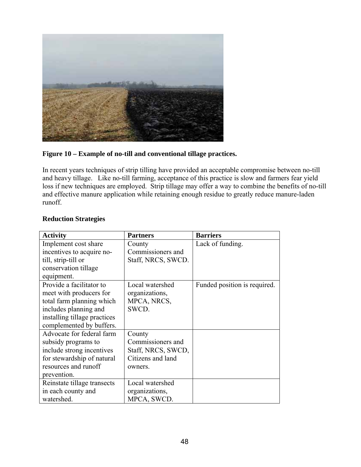

## **Figure 10 – Example of no-till and conventional tillage practices.**

In recent years techniques of strip tilling have provided an acceptable compromise between no-till and heavy tillage. Like no-till farming, acceptance of this practice is slow and farmers fear yield loss if new techniques are employed. Strip tillage may offer a way to combine the benefits of no-till and effective manure application while retaining enough residue to greatly reduce manure-laden runoff.

| <b>Activity</b>              | <b>Partners</b>    | <b>Barriers</b>              |
|------------------------------|--------------------|------------------------------|
| Implement cost share         | County             | Lack of funding.             |
| incentives to acquire no-    | Commissioners and  |                              |
| till, strip-till or          | Staff, NRCS, SWCD. |                              |
| conservation tillage         |                    |                              |
| equipment.                   |                    |                              |
| Provide a facilitator to     | Local watershed    | Funded position is required. |
| meet with producers for      | organizations,     |                              |
| total farm planning which    | MPCA, NRCS,        |                              |
| includes planning and        | SWCD.              |                              |
| installing tillage practices |                    |                              |
| complemented by buffers.     |                    |                              |
| Advocate for federal farm    | County             |                              |
| subsidy programs to          | Commissioners and  |                              |
| include strong incentives    | Staff, NRCS, SWCD, |                              |
| for stewardship of natural   | Citizens and land  |                              |
| resources and runoff         | owners.            |                              |
| prevention.                  |                    |                              |
| Reinstate tillage transects  | Local watershed    |                              |
| in each county and           | organizations,     |                              |
| watershed.                   | MPCA, SWCD.        |                              |

#### **Reduction Strategies**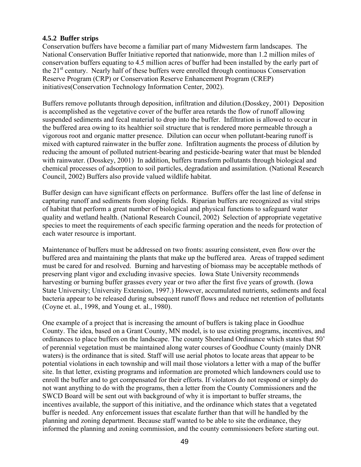### **4.5.2 Buffer strips**

Conservation buffers have become a familiar part of many Midwestern farm landscapes. The National Conservation Buffer Initiative reported that nationwide, more than 1.2 million miles of conservation buffers equating to 4.5 million acres of buffer had been installed by the early part of the  $21<sup>st</sup>$  century. Nearly half of these buffers were enrolled through continuous Conservation Reserve Program (CRP) or Conservation Reserve Enhancement Program (CREP) initiatives(Conservation Technology Information Center, 2002).

Buffers remove pollutants through deposition, infiltration and dilution.(Dosskey, 2001) Deposition is accomplished as the vegetative cover of the buffer area retards the flow of runoff allowing suspended sediments and fecal material to drop into the buffer. Infiltration is allowed to occur in the buffered area owing to its healthier soil structure that is rendered more permeable through a vigorous root and organic matter presence. Dilution can occur when pollutant-bearing runoff is mixed with captured rainwater in the buffer zone. Infiltration augments the process of dilution by reducing the amount of polluted nutrient-bearing and pesticide-bearing water that must be blended with rainwater. (Dosskey, 2001) In addition, buffers transform pollutants through biological and chemical processes of adsorption to soil particles, degradation and assimilation. (National Research Council, 2002) Buffers also provide valued wildlife habitat.

Buffer design can have significant effects on performance. Buffers offer the last line of defense in capturing runoff and sediments from sloping fields. Riparian buffers are recognized as vital strips of habitat that perform a great number of biological and physical functions to safeguard water quality and wetland health. (National Research Council, 2002) Selection of appropriate vegetative species to meet the requirements of each specific farming operation and the needs for protection of each water resource is important.

Maintenance of buffers must be addressed on two fronts: assuring consistent, even flow over the buffered area and maintaining the plants that make up the buffered area. Areas of trapped sediment must be cared for and resolved. Burning and harvesting of biomass may be acceptable methods of preserving plant vigor and excluding invasive species. Iowa State University recommends harvesting or burning buffer grasses every year or two after the first five years of growth. (Iowa State University; University Extension, 1997.) However, accumulated nutrients, sediments and fecal bacteria appear to be released during subsequent runoff flows and reduce net retention of pollutants (Coyne et. al., 1998, and Young et. al., 1980).

One example of a project that is increasing the amount of buffers is taking place in Goodhue County. The idea, based on a Grant County, MN model, is to use existing programs, incentives, and ordinances to place buffers on the landscape. The county Shoreland Ordinance which states that 50' of perennial vegetation must be maintained along water courses of Goodhue County (mainly DNR waters) is the ordinance that is sited. Staff will use aerial photos to locate areas that appear to be potential violations in each township and will mail those violators a letter with a map of the buffer site. In that letter, existing programs and information are promoted which landowners could use to enroll the buffer and to get compensated for their efforts. If violators do not respond or simply do not want anything to do with the programs, then a letter from the County Commissioners and the SWCD Board will be sent out with background of why it is important to buffer streams, the incentives available, the support of this initiative, and the ordinance which states that a vegetated buffer is needed. Any enforcement issues that escalate further than that will he handled by the planning and zoning department. Because staff wanted to be able to site the ordinance, they informed the planning and zoning commission, and the county commissioners before starting out.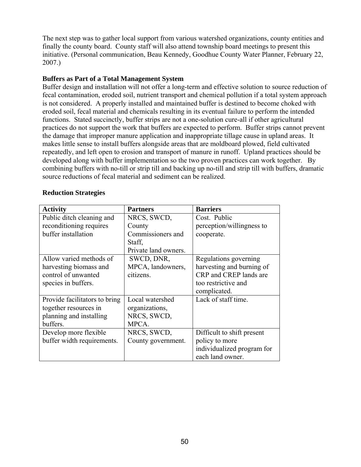The next step was to gather local support from various watershed organizations, county entities and finally the county board. County staff will also attend township board meetings to present this initiative. (Personal communication, Beau Kennedy, Goodhue County Water Planner, February 22, 2007.)

#### **Buffers as Part of a Total Management System**

Buffer design and installation will not offer a long-term and effective solution to source reduction of fecal contamination, eroded soil, nutrient transport and chemical pollution if a total system approach is not considered. A properly installed and maintained buffer is destined to become choked with eroded soil, fecal material and chemicals resulting in its eventual failure to perform the intended functions. Stated succinctly, buffer strips are not a one-solution cure-all if other agricultural practices do not support the work that buffers are expected to perform. Buffer strips cannot prevent the damage that improper manure application and inappropriate tillage cause in upland areas. It makes little sense to install buffers alongside areas that are moldboard plowed, field cultivated repeatedly, and left open to erosion and transport of manure in runoff. Upland practices should be developed along with buffer implementation so the two proven practices can work together. By combining buffers with no-till or strip till and backing up no-till and strip till with buffers, dramatic source reductions of fecal material and sediment can be realized.

| <b>Activity</b>               | <b>Partners</b>      | <b>Barriers</b>            |
|-------------------------------|----------------------|----------------------------|
| Public ditch cleaning and     | NRCS, SWCD,          | Cost. Public               |
| reconditioning requires       | County               | perception/willingness to  |
| buffer installation           | Commissioners and    | cooperate.                 |
|                               | Staff,               |                            |
|                               | Private land owners. |                            |
| Allow varied methods of       | SWCD, DNR,           | Regulations governing      |
| harvesting biomass and        | MPCA, landowners,    | harvesting and burning of  |
| control of unwanted           | citizens.            | CRP and CREP lands are     |
| species in buffers.           |                      | too restrictive and        |
|                               |                      | complicated.               |
| Provide facilitators to bring | Local watershed      | Lack of staff time.        |
| together resources in         | organizations,       |                            |
| planning and installing       | NRCS, SWCD,          |                            |
| buffers.                      | MPCA.                |                            |
| Develop more flexible         | NRCS, SWCD,          | Difficult to shift present |
| buffer width requirements.    | County government.   | policy to more             |
|                               |                      | individualized program for |
|                               |                      | each land owner.           |

#### **Reduction Strategies**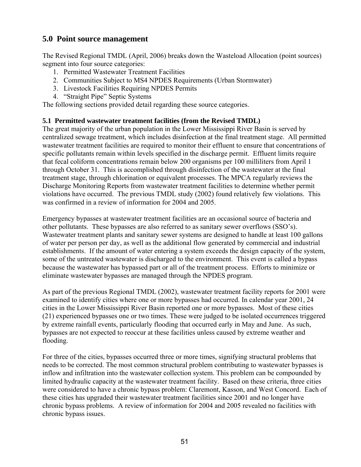# **5.0 Point source management**

The Revised Regional TMDL (April, 2006) breaks down the Wasteload Allocation (point sources) segment into four source categories:

- 1. Permitted Wastewater Treatment Facilities
- 2. Communities Subject to MS4 NPDES Requirements (Urban Stormwater)
- 3. Livestock Facilities Requiring NPDES Permits
- 4. "Straight Pipe" Septic Systems

The following sections provided detail regarding these source categories.

## **5.1 Permitted wastewater treatment facilities (from the Revised TMDL)**

The great majority of the urban population in the Lower Mississippi River Basin is served by centralized sewage treatment, which includes disinfection at the final treatment stage. All permitted wastewater treatment facilities are required to monitor their effluent to ensure that concentrations of specific pollutants remain within levels specified in the discharge permit. Effluent limits require that fecal coliform concentrations remain below 200 organisms per 100 milliliters from April 1 through October 31. This is accomplished through disinfection of the wastewater at the final treatment stage, through chlorination or equivalent processes. The MPCA regularly reviews the Discharge Monitoring Reports from wastewater treatment facilities to determine whether permit violations have occurred. The previous TMDL study (2002) found relatively few violations. This was confirmed in a review of information for 2004 and 2005.

Emergency bypasses at wastewater treatment facilities are an occasional source of bacteria and other pollutants. These bypasses are also referred to as sanitary sewer overflows (SSO's). Wastewater treatment plants and sanitary sewer systems are designed to handle at least 100 gallons of water per person per day, as well as the additional flow generated by commercial and industrial establishments. If the amount of water entering a system exceeds the design capacity of the system, some of the untreated wastewater is discharged to the environment. This event is called a bypass because the wastewater has bypassed part or all of the treatment process. Efforts to minimize or eliminate wastewater bypasses are managed through the NPDES program.

As part of the previous Regional TMDL (2002), wastewater treatment facility reports for 2001 were examined to identify cities where one or more bypasses had occurred. In calendar year 2001, 24 cities in the Lower Mississippi River Basin reported one or more bypasses. Most of these cities (21) experienced bypasses one or two times. These were judged to be isolated occurrences triggered by extreme rainfall events, particularly flooding that occurred early in May and June. As such, bypasses are not expected to reoccur at these facilities unless caused by extreme weather and flooding.

For three of the cities, bypasses occurred three or more times, signifying structural problems that needs to be corrected. The most common structural problem contributing to wastewater bypasses is inflow and infiltration into the wastewater collection system. This problem can be compounded by limited hydraulic capacity at the wastewater treatment facility. Based on these criteria, three cities were considered to have a chronic bypass problem: Claremont, Kasson, and West Concord. Each of these cities has upgraded their wastewater treatment facilities since 2001 and no longer have chronic bypass problems. A review of information for 2004 and 2005 revealed no facilities with chronic bypass issues.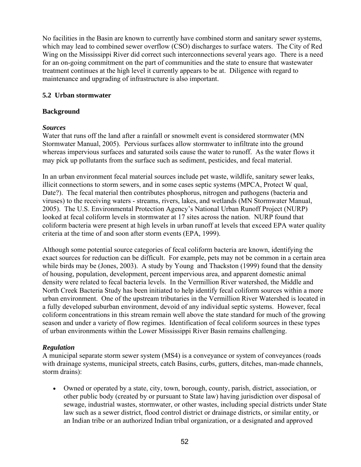No facilities in the Basin are known to currently have combined storm and sanitary sewer systems, which may lead to combined sewer overflow (CSO) discharges to surface waters. The City of Red Wing on the Mississippi River did correct such interconnections several years ago. There is a need for an on-going commitment on the part of communities and the state to ensure that wastewater treatment continues at the high level it currently appears to be at. Diligence with regard to maintenance and upgrading of infrastructure is also important.

#### **5.2 Urban stormwater**

## **Background**

#### *Sources*

Water that runs off the land after a rainfall or snowmelt event is considered stormwater (MN Stormwater Manual, 2005). Pervious surfaces allow stormwater to infiltrate into the ground whereas impervious surfaces and saturated soils cause the water to runoff. As the water flows it may pick up pollutants from the surface such as sediment, pesticides, and fecal material.

In an urban environment fecal material sources include pet waste, wildlife, sanitary sewer leaks, illicit connections to storm sewers, and in some cases septic systems (MPCA, Protect W qual, Date?). The fecal material then contributes phosphorus, nitrogen and pathogens (bacteria and viruses) to the receiving waters - streams, rivers, lakes, and wetlands (MN Stormwater Manual, 2005). The U.S. Environmental Protection Agency's National Urban Runoff Project (NURP) looked at fecal coliform levels in stormwater at 17 sites across the nation. NURP found that coliform bacteria were present at high levels in urban runoff at levels that exceed EPA water quality criteria at the time of and soon after storm events (EPA, 1999).

Although some potential source categories of fecal coliform bacteria are known, identifying the exact sources for reduction can be difficult. For example, pets may not be common in a certain area while birds may be (Jones, 2003). A study by Young and Thackston (1999) found that the density of housing, population, development, percent impervious area, and apparent domestic animal density were related to fecal bacteria levels. In the Vermillion River watershed, the Middle and North Creek Bacteria Study has been initiated to help identify fecal coliform sources within a more urban environment. One of the upstream tributaries in the Vermillion River Watershed is located in a fully developed suburban environment, devoid of any individual septic systems. However, fecal coliform concentrations in this stream remain well above the state standard for much of the growing season and under a variety of flow regimes. Identification of fecal coliform sources in these types of urban environments within the Lower Mississippi River Basin remains challenging.

## *Regulation*

A municipal separate storm sewer system (MS4) is a conveyance or system of conveyances (roads with drainage systems, municipal streets, catch Basins, curbs, gutters, ditches, man-made channels, storm drains):

• Owned or operated by a state, city, town, borough, county, parish, district, association, or other public body (created by or pursuant to State law) having jurisdiction over disposal of sewage, industrial wastes, stormwater, or other wastes, including special districts under State law such as a sewer district, flood control district or drainage districts, or similar entity, or an Indian tribe or an authorized Indian tribal organization, or a designated and approved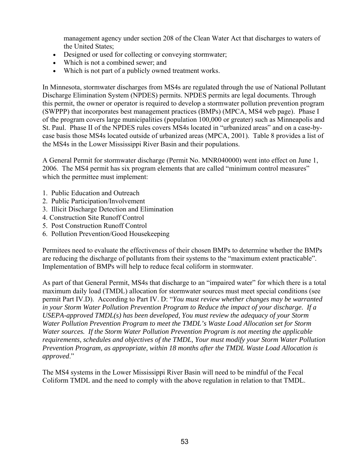management agency under section 208 of the Clean Water Act that discharges to waters of the United States;

- Designed or used for collecting or conveying stormwater;
- Which is not a combined sewer; and
- Which is not part of a publicly owned treatment works.

In Minnesota, stormwater discharges from MS4s are regulated through the use of National Pollutant Discharge Elimination System (NPDES) permits. NPDES permits are legal documents. Through this permit, the owner or operator is required to develop a stormwater pollution prevention program (SWPPP) that incorporates best management practices (BMPs) (MPCA, MS4 web page). Phase I of the program covers large municipalities (population 100,000 or greater) such as Minneapolis and St. Paul. Phase II of the NPDES rules covers MS4s located in "urbanized areas" and on a case-bycase basis those MS4s located outside of urbanized areas (MPCA, 2001). Table 8 provides a list of the MS4s in the Lower Mississippi River Basin and their populations.

A General Permit for stormwater discharge (Permit No. MNR040000) went into effect on June 1, 2006. The MS4 permit has six program elements that are called "minimum control measures" which the permittee must implement:

- 1. Public Education and Outreach
- 2. Public Participation/Involvement
- 3. Illicit Discharge Detection and Elimination
- 4. Construction Site Runoff Control
- 5. Post Construction Runoff Control
- 6. Pollution Prevention/Good Housekeeping

Permitees need to evaluate the effectiveness of their chosen BMPs to determine whether the BMPs are reducing the discharge of pollutants from their systems to the "maximum extent practicable". Implementation of BMPs will help to reduce fecal coliform in stormwater.

As part of that General Permit, MS4s that discharge to an "impaired water" for which there is a total maximum daily load (TMDL) allocation for stormwater sources must meet special conditions (see permit Part IV.D). According to Part IV. D: "*You must review whether changes may be warranted in your Storm Water Pollution Prevention Program to Reduce the impact of your discharge. If a USEPA-approved TMDL(s) has been developed, You must review the adequacy of your Storm Water Pollution Prevention Program to meet the TMDL's Waste Load Allocation set for Storm Water sources. If the Storm Water Pollution Prevention Program is not meeting the applicable requirements, schedules and objectives of the TMDL, Your must modify your Storm Water Pollution Prevention Program, as appropriate, within 18 months after the TMDL Waste Load Allocation is approved*."

The MS4 systems in the Lower Mississippi River Basin will need to be mindful of the Fecal Coliform TMDL and the need to comply with the above regulation in relation to that TMDL.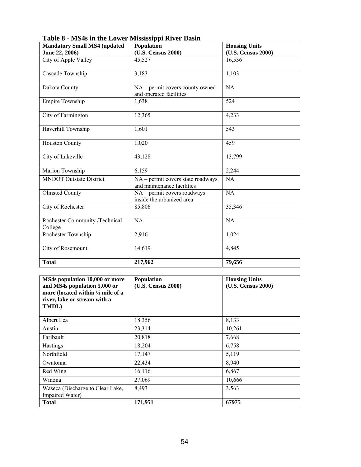| <b>Mandatory Small MS4 (updated)</b>      | Population                                                      | <b>Housing Units</b> |
|-------------------------------------------|-----------------------------------------------------------------|----------------------|
| June 22, 2006)                            | (U.S. Census 2000)                                              | (U.S. Census 2000)   |
| City of Apple Valley                      | 45,527                                                          | 16,536               |
| Cascade Township                          | 3,183                                                           | 1,103                |
| Dakota County                             | NA – permit covers county owned<br>and operated facilities      | NA                   |
| Empire Township                           | 1,638                                                           | 524                  |
| City of Farmington                        | 12,365                                                          | 4,233                |
| Haverhill Township                        | 1,601                                                           | $\overline{5}43$     |
| <b>Houston County</b>                     | 1,020                                                           | 459                  |
| City of Lakeville                         | 43,128                                                          | 13,799               |
| Marion Township                           | 6,159                                                           | 2,244                |
| <b>MNDOT</b> Outstate District            | NA – permit covers state roadways<br>and maintenance facilities | NA                   |
| <b>Olmsted County</b>                     | NA - permit covers roadways<br>inside the urbanized area        | NA                   |
| City of Rochester                         | 85,806                                                          | 35,346               |
| Rochester Community /Technical<br>College | <b>NA</b>                                                       | NA                   |
| Rochester Township                        | 2,916                                                           | 1,024                |
| City of Rosemount                         | 14,619                                                          | 4,845                |
| <b>Total</b>                              | 217,962                                                         | 79,656               |

**Table 8 - MS4s in the Lower Mississippi River Basin** 

| MS4s population 10,000 or more<br>and MS4s population 5,000 or<br>more (located within $\frac{1}{2}$ mile of a<br>river, lake or stream with a<br>TMDL) | <b>Population</b><br>(U.S. Census 2000) | <b>Housing Units</b><br>(U.S. Census 2000) |
|---------------------------------------------------------------------------------------------------------------------------------------------------------|-----------------------------------------|--------------------------------------------|
| Albert Lea                                                                                                                                              | 18,356                                  | 8,133                                      |
| Austin                                                                                                                                                  | 23,314                                  | 10,261                                     |
| Faribault                                                                                                                                               | 20,818                                  | 7,668                                      |
| <b>Hastings</b>                                                                                                                                         | 18,204                                  | 6,758                                      |
| Northfield                                                                                                                                              | 17,147                                  | 5,119                                      |
| Owatonna                                                                                                                                                | 22,434                                  | 8,940                                      |
| Red Wing                                                                                                                                                | 16,116                                  | 6,867                                      |
| Winona                                                                                                                                                  | 27,069                                  | 10,666                                     |
| Waseca (Discharge to Clear Lake,<br>Impaired Water)                                                                                                     | 8,493                                   | 3,563                                      |
| <b>Total</b>                                                                                                                                            | 171,951                                 | 67975                                      |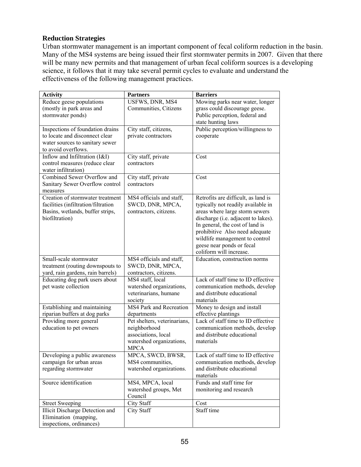#### **Reduction Strategies**

Urban stormwater management is an important component of fecal coliform reduction in the basin. Many of the MS4 systems are being issued their first stormwater permits in 2007. Given that there will be many new permits and that management of urban fecal coliform sources is a developing science, it follows that it may take several permit cycles to evaluate and understand the effectiveness of the following management practices.

| <b>Activity</b>                                                       | <b>Partners</b>                            | <b>Barriers</b>                     |
|-----------------------------------------------------------------------|--------------------------------------------|-------------------------------------|
| Reduce geese populations                                              | USFWS, DNR, MS4                            | Mowing parks near water, longer     |
| (mostly in park areas and                                             | Communities, Citizens                      | grass could discourage geese.       |
| stormwater ponds)                                                     |                                            | Public perception, federal and      |
|                                                                       |                                            | state hunting laws                  |
| Inspections of foundation drains                                      | City staff, citizens,                      | Public perception/willingness to    |
| to locate and disconnect clear                                        | private contractors                        | cooperate                           |
| water sources to sanitary sewer                                       |                                            |                                     |
| to avoid overflows.                                                   |                                            |                                     |
| Inflow and Infiltration (I&I)                                         | City staff, private                        | Cost                                |
| control measures (reduce clear                                        | contractors                                |                                     |
| water infiltration)                                                   |                                            |                                     |
| Combined Sewer Overflow and                                           | City staff, private                        | Cost                                |
| Sanitary Sewer Overflow control                                       | contractors                                |                                     |
| measures                                                              |                                            |                                     |
| Creation of stormwater treatment                                      | MS4 officials and staff,                   | Retrofits are difficult, as land is |
| facilities (infiltration/filtration                                   | SWCD, DNR, MPCA,                           | typically not readily available in  |
| Basins, wetlands, buffer strips,                                      | contractors, citizens.                     | areas where large storm sewers      |
| biofiltration)                                                        |                                            | discharge (i.e. adjacent to lakes). |
|                                                                       |                                            | In general, the cost of land is     |
|                                                                       |                                            | prohibitive Also need adequate      |
|                                                                       |                                            | wildlife management to control      |
|                                                                       |                                            | geese near ponds or fecal           |
| Small-scale stormwater                                                |                                            | coliform will increase.             |
|                                                                       | MS4 officials and staff,                   | Education, construction norms       |
| treatment (routing downspouts to<br>yard, rain gardens, rain barrels) | SWCD, DNR, MPCA,<br>contractors, citizens. |                                     |
| Educating dog park users about                                        | MS4 staff, local                           | Lack of staff time to ID effective  |
| pet waste collection                                                  | watershed organizations,                   | communication methods, develop      |
|                                                                       | veterinarians, humane                      | and distribute educational          |
|                                                                       | society                                    | materials                           |
| Establishing and maintaining                                          | MS4 Park and Recreation                    | Money to design and install         |
| riparian buffers at dog parks                                         | departments                                | effective plantings                 |
| Providing more general                                                | Pet shelters, veterinarians,               | Lack of staff time to ID effective  |
| education to pet owners                                               | neighborhood                               | communication methods, develop      |
|                                                                       | associations, local                        | and distribute educational          |
|                                                                       | watershed organizations,                   | materials                           |
|                                                                       | <b>MPCA</b>                                |                                     |
| Developing a public awareness                                         | MPCA, SWCD, BWSR,                          | Lack of staff time to ID effective  |
| campaign for urban areas                                              | MS4 communities,                           | communication methods, develop      |
| regarding stormwater                                                  | watershed organizations.                   | and distribute educational          |
|                                                                       |                                            | materials                           |
| Source identification                                                 | MS4, MPCA, local                           | Funds and staff time for            |
|                                                                       | watershed groups, Met                      | monitoring and research             |
|                                                                       | Council                                    |                                     |
| <b>Street Sweeping</b>                                                | City Staff                                 | Cost                                |
| Illicit Discharge Detection and                                       | City Staff                                 | Staff time                          |
| Elimination (mapping,                                                 |                                            |                                     |
| inspections, ordinances)                                              |                                            |                                     |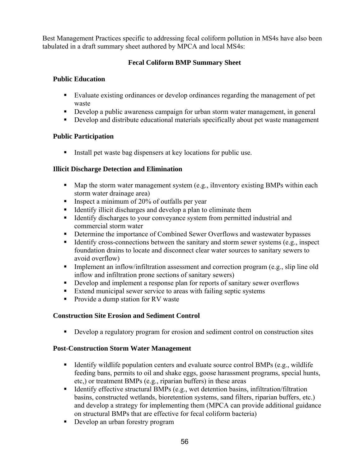Best Management Practices specific to addressing fecal coliform pollution in MS4s have also been tabulated in a draft summary sheet authored by MPCA and local MS4s:

## **Fecal Coliform BMP Summary Sheet**

## **Public Education**

- Evaluate existing ordinances or develop ordinances regarding the management of pet waste
- Develop a public awareness campaign for urban storm water management, in general
- Develop and distribute educational materials specifically about pet waste management

## **Public Participation**

Install pet waste bag dispensers at key locations for public use.

## **Illicit Discharge Detection and Elimination**

- $\blacksquare$  Map the storm water management system (e.g., iInventory existing BMPs within each storm water drainage area)
- **Inspect a minimum of 20% of outfalls per year**
- Identify illicit discharges and develop a plan to eliminate them
- Identify discharges to your conveyance system from permitted industrial and commercial storm water
- Determine the importance of Combined Sewer Overflows and wastewater bypasses
- Identify cross-connections between the sanitary and storm sewer systems (e.g., inspect foundation drains to locate and disconnect clear water sources to sanitary sewers to avoid overflow)
- Implement an inflow/infiltration assessment and correction program (e.g., slip line old inflow and infiltration prone sections of sanitary sewers)
- Develop and implement a response plan for reports of sanitary sewer overflows
- Extend municipal sewer service to areas with failing septic systems
- **Provide a dump station for RV waster**

## **Construction Site Erosion and Sediment Control**

Develop a regulatory program for erosion and sediment control on construction sites

## **Post-Construction Storm Water Management**

- Identify wildlife population centers and evaluate source control BMPs (e.g., wildlife feeding bans, permits to oil and shake eggs, goose harassment programs, special hunts, etc,) or treatment BMPs (e.g., riparian buffers) in these areas
- Identify effective structural BMPs (e.g., wet detention basins, infiltration/filtration basins, constructed wetlands, bioretention systems, sand filters, riparian buffers, etc.) and develop a strategy for implementing them (MPCA can provide additional guidance on structural BMPs that are effective for fecal coliform bacteria)
- Develop an urban forestry program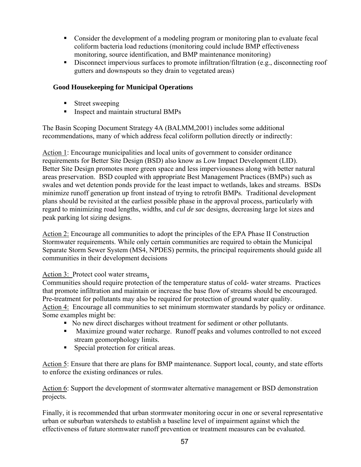- Consider the development of a modeling program or monitoring plan to evaluate fecal coliform bacteria load reductions (monitoring could include BMP effectiveness monitoring, source identification, and BMP maintenance monitoring)
- Disconnect impervious surfaces to promote infiltration/filtration (e.g., disconnecting roof gutters and downspouts so they drain to vegetated areas)

## **Good Housekeeping for Municipal Operations**

- **Street sweeping**
- Inspect and maintain structural BMPs

The Basin Scoping Document Strategy 4A (BALMM,2001) includes some additional recommendations, many of which address fecal coliform pollution directly or indirectly:

Action 1: Encourage municipalities and local units of government to consider ordinance requirements for Better Site Design (BSD) also know as Low Impact Development (LID). Better Site Design promotes more green space and less imperviousness along with better natural areas preservation. BSD coupled with appropriate Best Management Practices (BMPs) such as swales and wet detention ponds provide for the least impact to wetlands, lakes and streams. BSDs minimize runoff generation up front instead of trying to retrofit BMPs. Traditional development plans should be revisited at the earliest possible phase in the approval process, particularly with regard to minimizing road lengths, widths, and *cul de sac* designs, decreasing large lot sizes and peak parking lot sizing designs.

Action 2: Encourage all communities to adopt the principles of the EPA Phase II Construction Stormwater requirements. While only certain communities are required to obtain the Municipal Separate Storm Sewer System (MS4, NPDES) permits, the principal requirements should guide all communities in their development decisions

## Action 3: Protect cool water streams.

Communities should require protection of the temperature status of cold- water streams. Practices that promote infiltration and maintain or increase the base flow of streams should be encouraged. Pre-treatment for pollutants may also be required for protection of ground water quality. Action 4: Encourage all communities to set minimum stormwater standards by policy or ordinance. Some examples might be:

- No new direct discharges without treatment for sediment or other pollutants.
- **Maximize ground water recharge. Runoff peaks and volumes controlled to not exceed** stream geomorphology limits.
- Special protection for critical areas.

Action 5: Ensure that there are plans for BMP maintenance. Support local, county, and state efforts to enforce the existing ordinances or rules.

Action 6: Support the development of stormwater alternative management or BSD demonstration projects.

Finally, it is recommended that urban stormwater monitoring occur in one or several representative urban or suburban watersheds to establish a baseline level of impairment against which the effectiveness of future stormwater runoff prevention or treatment measures can be evaluated.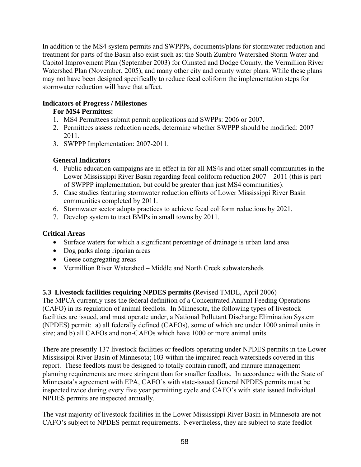In addition to the MS4 system permits and SWPPPs, documents/plans for stormwater reduction and treatment for parts of the Basin also exist such as: the South Zumbro Watershed Storm Water and Capitol Improvement Plan (September 2003) for Olmsted and Dodge County, the Vermillion River Watershed Plan (November, 2005), and many other city and county water plans. While these plans may not have been designed specifically to reduce fecal coliform the implementation steps for stormwater reduction will have that affect.

## **Indicators of Progress / Milestones**

# **For MS4 Permittes:**

- 1. MS4 Permittees submit permit applications and SWPPs: 2006 or 2007.
- 2. Permittees assess reduction needs, determine whether SWPPP should be modified: 2007 2011.
- 3. SWPPP Implementation: 2007-2011.

# **General Indicators**

- 4. Public education campaigns are in effect in for all MS4s and other small communities in the Lower Mississippi River Basin regarding fecal coliform reduction 2007 – 2011 (this is part of SWPPP implementation, but could be greater than just MS4 communities).
- 5. Case studies featuring stormwater reduction efforts of Lower Mississippi River Basin communities completed by 2011.
- 6. Stormwater sector adopts practices to achieve fecal coliform reductions by 2021.
- 7. Develop system to tract BMPs in small towns by 2011.

# **Critical Areas**

- Surface waters for which a significant percentage of drainage is urban land area
- Dog parks along riparian areas
- Geese congregating areas
- Vermillion River Watershed Middle and North Creek subwatersheds

# **5.3 Livestock facilities requiring NPDES permits (**Revised TMDL, April 2006)

The MPCA currently uses the federal definition of a Concentrated Animal Feeding Operations (CAFO) in its regulation of animal feedlots. In Minnesota, the following types of livestock facilities are issued, and must operate under, a National Pollutant Discharge Elimination System (NPDES) permit: a) all federally defined (CAFOs), some of which are under 1000 animal units in size; and b) all CAFOs and non-CAFOs which have 1000 or more animal units.

There are presently 137 livestock facilities or feedlots operating under NPDES permits in the Lower Mississippi River Basin of Minnesota; 103 within the impaired reach watersheds covered in this report. These feedlots must be designed to totally contain runoff, and manure management planning requirements are more stringent than for smaller feedlots. In accordance with the State of Minnesota's agreement with EPA, CAFO's with state-issued General NPDES permits must be inspected twice during every five year permitting cycle and CAFO's with state issued Individual NPDES permits are inspected annually.

The vast majority of livestock facilities in the Lower Mississippi River Basin in Minnesota are not CAFO's subject to NPDES permit requirements. Nevertheless, they are subject to state feedlot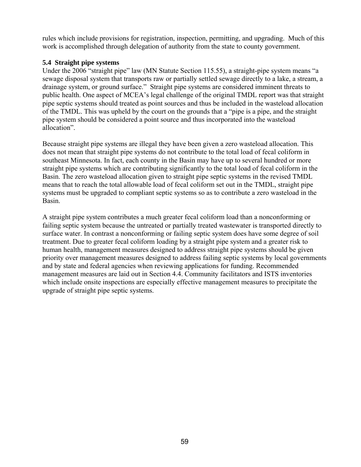rules which include provisions for registration, inspection, permitting, and upgrading. Much of this work is accomplished through delegation of authority from the state to county government.

#### **5.4 Straight pipe systems**

Under the 2006 "straight pipe" law (MN Statute Section 115.55), a straight-pipe system means "a sewage disposal system that transports raw or partially settled sewage directly to a lake, a stream, a drainage system, or ground surface." Straight pipe systems are considered imminent threats to public health. One aspect of MCEA's legal challenge of the original TMDL report was that straight pipe septic systems should treated as point sources and thus be included in the wasteload allocation of the TMDL. This was upheld by the court on the grounds that a "pipe is a pipe, and the straight pipe system should be considered a point source and thus incorporated into the wasteload allocation".

Because straight pipe systems are illegal they have been given a zero wasteload allocation. This does not mean that straight pipe systems do not contribute to the total load of fecal coliform in southeast Minnesota. In fact, each county in the Basin may have up to several hundred or more straight pipe systems which are contributing significantly to the total load of fecal coliform in the Basin. The zero wasteload allocation given to straight pipe septic systems in the revised TMDL means that to reach the total allowable load of fecal coliform set out in the TMDL, straight pipe systems must be upgraded to compliant septic systems so as to contribute a zero wasteload in the Basin.

A straight pipe system contributes a much greater fecal coliform load than a nonconforming or failing septic system because the untreated or partially treated wastewater is transported directly to surface water. In contrast a nonconforming or failing septic system does have some degree of soil treatment. Due to greater fecal coliform loading by a straight pipe system and a greater risk to human health, management measures designed to address straight pipe systems should be given priority over management measures designed to address failing septic systems by local governments and by state and federal agencies when reviewing applications for funding. Recommended management measures are laid out in Section 4.4. Community facilitators and ISTS inventories which include onsite inspections are especially effective management measures to precipitate the upgrade of straight pipe septic systems.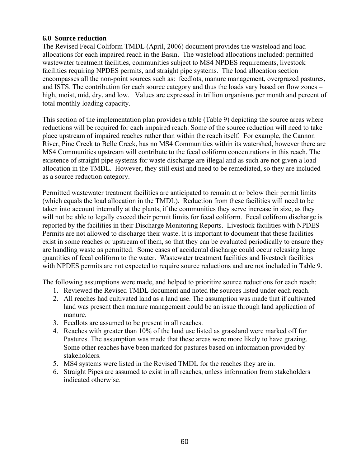#### **6.0 Source reduction**

The Revised Fecal Coliform TMDL (April, 2006) document provides the wasteload and load allocations for each impaired reach in the Basin. The wasteload allocations included: permitted wastewater treatment facilities, communities subject to MS4 NPDES requirements, livestock facilities requiring NPDES permits, and straight pipe systems. The load allocation section encompasses all the non-point sources such as: feedlots, manure management, overgrazed pastures, and ISTS. The contribution for each source category and thus the loads vary based on flow zones – high, moist, mid, dry, and low. Values are expressed in trillion organisms per month and percent of total monthly loading capacity.

This section of the implementation plan provides a table (Table 9) depicting the source areas where reductions will be required for each impaired reach. Some of the source reduction will need to take place upstream of impaired reaches rather than within the reach itself. For example, the Cannon River, Pine Creek to Belle Creek, has no MS4 Communities within its watershed, however there are MS4 Communities upstream will contribute to the fecal coliform concentrations in this reach. The existence of straight pipe systems for waste discharge are illegal and as such are not given a load allocation in the TMDL. However, they still exist and need to be remediated, so they are included as a source reduction category.

Permitted wastewater treatment facilities are anticipated to remain at or below their permit limits (which equals the load allocation in the TMDL). Reduction from these facilities will need to be taken into account internally at the plants, if the communities they serve increase in size, as they will not be able to legally exceed their permit limits for fecal coliform. Fecal colifrom discharge is reported by the facilities in their Discharge Monitoring Reports. Livestock facilities with NPDES Permits are not allowed to discharge their waste. It is important to document that these facilities exist in some reaches or upstream of them, so that they can be evaluated periodically to ensure they are handling waste as permitted. Some cases of accidental discharge could occur releasing large quantities of fecal coliform to the water. Wastewater treatment facilities and livestock facilities with NPDES permits are not expected to require source reductions and are not included in Table 9.

The following assumptions were made, and helped to prioritize source reductions for each reach:

- 1. Reviewed the Revised TMDL document and noted the sources listed under each reach.
- 2. All reaches had cultivated land as a land use. The assumption was made that if cultivated land was present then manure management could be an issue through land application of manure.
- 3. Feedlots are assumed to be present in all reaches.
- 4. Reaches with greater than 10% of the land use listed as grassland were marked off for Pastures. The assumption was made that these areas were more likely to have grazing. Some other reaches have been marked for pastures based on information provided by stakeholders.
- 5. MS4 systems were listed in the Revised TMDL for the reaches they are in.
- 6. Straight Pipes are assumed to exist in all reaches, unless information from stakeholders indicated otherwise.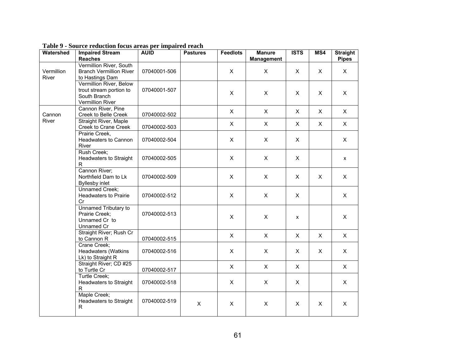| Watershed           | <b>Impaired Stream</b><br><b>Reaches</b>                                               | <b>AUID</b>  | <b>Pastures</b> | <b>Feedlots</b> | <b>Manure</b><br><b>Management</b> | <b>ISTS</b>        | MS4            | <b>Straight</b><br><b>Pipes</b> |
|---------------------|----------------------------------------------------------------------------------------|--------------|-----------------|-----------------|------------------------------------|--------------------|----------------|---------------------------------|
| Vermillion<br>River | Vermillion River, South<br><b>Branch Vermillion River</b><br>to Hastings Dam           | 07040001-506 |                 | X               | X                                  | X                  | X              | $\mathsf{X}$                    |
|                     | Vermillion River, Below<br>trout stream portion to<br>South Branch<br>Vermillion River | 07040001-507 |                 | $\mathsf{X}$    | $\pmb{\times}$                     | $\mathsf{X}$       | $\pmb{\times}$ | $\mathsf{X}$                    |
| Cannon              | Cannon River, Pine<br>Creek to Belle Creek                                             | 07040002-502 |                 | X               | $\mathsf{X}$                       | X                  | X              | $\mathsf{X}$                    |
| River               | <b>Straight River, Maple</b><br>Creek to Crane Creek                                   | 07040002-503 |                 | $\mathsf{X}$    | $\mathsf{X}$                       | X                  | X              | $\mathsf{X}$                    |
|                     | Prairie Creek,<br>Headwaters to Cannon<br>River                                        | 07040002-504 |                 | $\mathsf{X}$    | $\mathsf{X}$                       | $\mathsf{X}$       |                | $\mathsf{X}$                    |
|                     | Rush Creek;<br>Headwaters to Straight<br>$\mathsf{R}$                                  | 07040002-505 |                 | X               | X                                  | X                  |                | X                               |
|                     | Cannon River;<br>Northfield Dam to Lk<br><b>Byllesby inlet</b>                         | 07040002-509 |                 | $\mathsf{X}$    | $\mathsf{X}$                       | $\mathsf{X}$       | $\mathsf{X}$   | $\mathsf{X}$                    |
|                     | Unnamed Creek;<br><b>Headwaters to Prairie</b><br>Cr                                   | 07040002-512 |                 | $\mathsf{X}$    | X                                  | X                  |                | $\mathsf{X}$                    |
|                     | Unnamed Tributary to<br>Prairie Creek;<br>Unnamed Cr to<br>Unnamed Cr                  | 07040002-513 |                 | $\mathsf{X}$    | $\mathsf{X}$                       | $\pmb{\mathsf{x}}$ |                | $\mathsf{X}$                    |
|                     | Straight River; Rush Cr<br>to Cannon R                                                 | 07040002-515 |                 | $\mathsf{X}$    | $\mathsf{X}$                       | X                  | X              | $\mathsf{X}$                    |
|                     | Crane Creek;<br><b>Headwaters (Watkins</b><br>Lk) to Straight R                        | 07040002-516 |                 | $\mathsf{X}$    | $\mathsf{X}$                       | X                  | X              | $\mathsf{X}$                    |
|                     | Straight River; CD #25<br>to Turtle Cr                                                 | 07040002-517 |                 | $\mathsf{X}$    | $\mathsf{X}$                       | $\mathsf{X}$       |                | $\mathsf{X}$                    |
|                     | Turtle Creek;<br>Headwaters to Straight<br>$\mathsf{R}$                                | 07040002-518 |                 | X               | X                                  | X                  |                | X                               |
|                     | Maple Creek;<br>Headwaters to Straight<br>R                                            | 07040002-519 | $\mathsf{X}$    | X               | $\mathsf{X}$                       | X                  | X              | $\mathsf{X}$                    |

**Table 9 - Source reduction focus areas per impaired reach**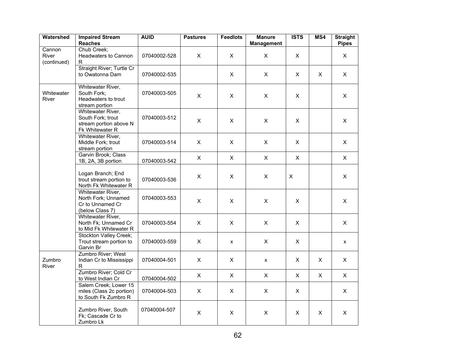| Watershed                      | <b>Impaired Stream</b><br><b>Reaches</b>                                            | <b>AUID</b>  | <b>Pastures</b> | <b>Feedlots</b> | <b>Manure</b><br><b>Management</b> | <b>ISTS</b>    | MS4          | <b>Straight</b><br><b>Pipes</b> |
|--------------------------------|-------------------------------------------------------------------------------------|--------------|-----------------|-----------------|------------------------------------|----------------|--------------|---------------------------------|
| Cannon<br>River<br>(continued) | Chub Creek;<br>Headwaters to Cannon<br>R.                                           | 07040002-528 | X               | X               | X                                  | X              |              | X                               |
|                                | Straight River; Turtle Cr<br>to Owatonna Dam                                        | 07040002-535 |                 | $\mathsf{X}$    | $\mathsf{X}$                       | $\mathsf{X}$   | $\mathsf{X}$ | $\mathsf{X}$                    |
| Whitewater<br><b>River</b>     | Whitewater River,<br>South Fork;<br>Headwaters to trout<br>stream portion           | 07040003-505 | X               | X               | X                                  | $\times$       |              | X                               |
|                                | Whitewater River,<br>South Fork; trout<br>stream portion above N<br>Fk Whitewater R | 07040003-512 | $\mathsf{X}$    | $\pmb{\times}$  | $\pmb{\times}$                     | $\pmb{\times}$ |              | $\pmb{\times}$                  |
|                                | Whitewater River,<br>Middle Fork; trout<br>stream portion                           | 07040003-514 | X               | $\mathsf{X}$    | $\mathsf{X}$                       | $\mathsf{X}$   |              | $\mathsf{X}$                    |
|                                | Garvin Brook; Class<br>1B, 2A, 3B portion                                           | 07040003-542 | $\mathsf{X}$    | $\pmb{\times}$  | $\mathsf{X}$                       | $\pmb{\times}$ |              | $\pmb{\times}$                  |
|                                | Logan Branch; End<br>trout stream portion to<br>North Fk Whitewater R               | 07040003-536 | X               | X               | X                                  | X              |              | X                               |
|                                | Whitewater River,<br>North Fork; Unnamed<br>Cr to Unnamed Cr<br>(below Class 7)     | 07040003-553 | X               | $\mathsf{X}$    | $\pmb{\times}$                     | $\mathsf{X}$   |              | X                               |
|                                | Whitewater River,<br>North Fk; Unnamed Cr<br>to Mid Fk Whitewater R                 | 07040003-554 | $\mathsf{X}$    | $\pmb{\times}$  | $\mathsf{X}$                       | $\pmb{\times}$ |              | $\pmb{\times}$                  |
|                                | Stockton Valley Creek;<br>Trout stream portion to<br>Garvin Br                      | 07040003-559 | X               | X               | X                                  | X              |              | $\pmb{\mathsf{X}}$              |
| Zumbro<br><b>River</b>         | Zumbro River; West<br>Indian Cr to Mississippi<br>R.                                | 07040004-501 | X               | X               | X                                  | X              | X            | X                               |
|                                | Zumbro River; Cold Cr<br>to West Indian Cr                                          | 07040004-502 | $\mathsf{X}$    | $\mathsf{X}$    | $\mathsf{X}$                       | $\mathsf{X}$   | $\mathsf{X}$ | $\pmb{\times}$                  |
|                                | Salem Creek; Lower 15<br>miles (Class 2c portion)<br>to South Fk Zumbro R           | 07040004-503 | X               | X               | $\mathsf{X}$                       | X              |              | X                               |
|                                | Zumbro River, South<br>Fk; Cascade Cr to<br>Zumbro Lk                               | 07040004-507 | X               | X               | X                                  | X              | X            | $\pmb{\times}$                  |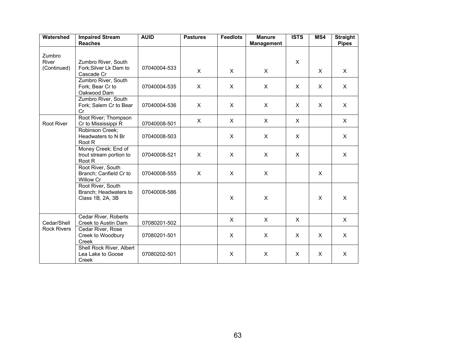| Watershed                         | <b>Impaired Stream</b><br><b>Reaches</b>                        | <b>AUID</b>  | <b>Pastures</b> | <b>Feedlots</b>           | <b>Manure</b><br><b>Management</b> | <b>ISTS</b>  | MS4          | <b>Straight</b><br><b>Pipes</b> |
|-----------------------------------|-----------------------------------------------------------------|--------------|-----------------|---------------------------|------------------------------------|--------------|--------------|---------------------------------|
| Zumbro                            | Zumbro River, South                                             |              |                 |                           |                                    | X            |              |                                 |
| River<br>(Continued)              | Fork; Silver Lk Dam to<br>Cascade Cr                            | 07040004-533 | $\mathsf{X}$    | $\times$                  | $\times$                           |              | X            | X                               |
|                                   | Zumbro River, South<br>Fork; Bear Cr to<br>Oakwood Dam          | 07040004-535 | $\mathsf{x}$    | $\times$                  | $\times$                           | $\mathsf{x}$ | $\times$     | $\times$                        |
|                                   | Zumbro River, South<br>Fork; Salem Cr to Bear<br>Cr             | 07040004-536 | X               | $\times$                  | X                                  | X            | X            | X                               |
| Root River                        | Root River; Thompson<br>Cr to Mississippi R                     | 07040008-501 | X               | $\boldsymbol{\mathsf{X}}$ | X                                  | X            |              | X                               |
|                                   | Robinson Creek:<br>Headwaters to N Br<br>Root R                 | 07040008-503 |                 | X                         | X                                  | X            |              | X                               |
|                                   | Money Creek; End of<br>trout stream portion to<br>Root R        | 07040008-521 | X.              | $\times$                  | X                                  | $\mathsf{X}$ |              | $\mathsf{X}$                    |
|                                   | Root River, South<br>Branch; Canfield Cr to<br><b>Willow Cr</b> | 07040008-555 | X.              | $\times$                  | X                                  |              | $\mathsf{X}$ |                                 |
|                                   | Root River, South<br>Branch: Headwaters to<br>Class 1B, 2A, 3B  | 07040008-586 |                 | $\mathsf{x}$              | X                                  |              | $\mathsf{x}$ | X                               |
| Cedar/Shell<br><b>Rock Rivers</b> | Cedar River, Roberts<br>Creek to Austin Dam                     | 07080201-502 |                 | X                         | X                                  | X            |              | X                               |
|                                   | Cedar River, Rose<br>Creek to Woodbury<br>Creek                 | 07080201-501 |                 | X                         | X                                  | X            | X.           | X                               |
|                                   | Shell Rock River, Albert<br>Lea Lake to Goose<br>Creek          | 07080202-501 |                 | X                         | X                                  | X            | X            | X                               |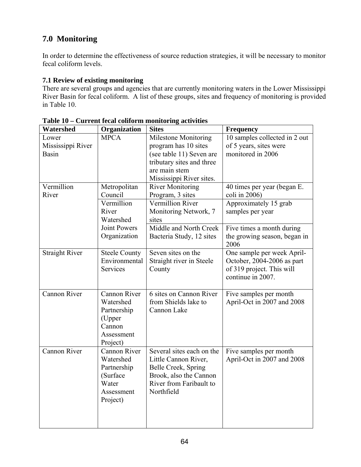# **7.0 Monitoring**

In order to determine the effectiveness of source reduction strategies, it will be necessary to monitor fecal coliform levels.

## **7.1 Review of existing monitoring**

There are several groups and agencies that are currently monitoring waters in the Lower Mississippi River Basin for fecal coliform. A list of these groups, sites and frequency of monitoring is provided in Table 10.

| Watershed             | Organization         | <b>Sites</b>                | <b>Frequency</b>              |
|-----------------------|----------------------|-----------------------------|-------------------------------|
| Lower                 | <b>MPCA</b>          | <b>Milestone Monitoring</b> | 10 samples collected in 2 out |
| Mississippi River     |                      | program has 10 sites        | of 5 years, sites were        |
| <b>Basin</b>          |                      | (see table 11) Seven are    | monitored in 2006             |
|                       |                      | tributary sites and three   |                               |
|                       |                      | are main stem               |                               |
|                       |                      | Mississippi River sites.    |                               |
| Vermillion            | Metropolitan         | <b>River Monitoring</b>     | 40 times per year (began E.   |
| River                 | Council              | Program, 3 sites            | coli in 2006)                 |
|                       | Vermillion           | Vermillion River            | Approximately 15 grab         |
|                       | River                | Monitoring Network, 7       | samples per year              |
|                       | Watershed            | sites                       |                               |
|                       | <b>Joint Powers</b>  | Middle and North Creek      | Five times a month during     |
|                       | Organization         | Bacteria Study, 12 sites    | the growing season, began in  |
|                       |                      |                             | 2006                          |
| <b>Straight River</b> | <b>Steele County</b> | Seven sites on the          | One sample per week April-    |
|                       | Environmental        | Straight river in Steele    | October, 2004-2006 as part    |
|                       | Services             | County                      | of 319 project. This will     |
|                       |                      |                             | continue in 2007.             |
|                       |                      |                             |                               |
| <b>Cannon River</b>   | <b>Cannon River</b>  | 6 sites on Cannon River     | Five samples per month        |
|                       | Watershed            | from Shields lake to        | April-Oct in 2007 and 2008    |
|                       | Partnership          | Cannon Lake                 |                               |
|                       | (Upper               |                             |                               |
|                       | Cannon               |                             |                               |
|                       | Assessment           |                             |                               |
|                       | Project)             |                             |                               |
| <b>Cannon River</b>   | Cannon River         | Several sites each on the   | Five samples per month        |
|                       | Watershed            | Little Cannon River,        | April-Oct in 2007 and 2008    |
|                       | Partnership          | Belle Creek, Spring         |                               |
|                       | (Surface             | Brook, also the Cannon      |                               |
|                       | Water                | River from Faribault to     |                               |
|                       | Assessment           | Northfield                  |                               |
|                       | Project)             |                             |                               |
|                       |                      |                             |                               |
|                       |                      |                             |                               |
|                       |                      |                             |                               |

**Table 10 – Current fecal coliform monitoring activities**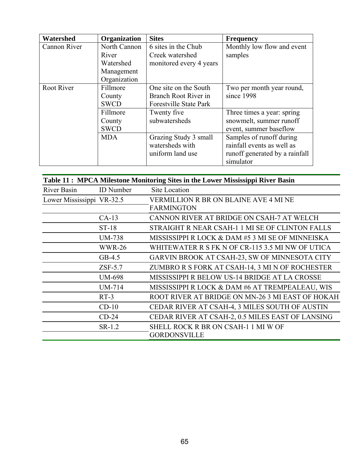| Watershed         | Organization | <b>Sites</b>                  | <b>Frequency</b>               |
|-------------------|--------------|-------------------------------|--------------------------------|
| Cannon River      | North Cannon | 6 sites in the Chub           | Monthly low flow and event     |
|                   | River        | Creek watershed               | samples                        |
|                   | Watershed    | monitored every 4 years       |                                |
|                   | Management   |                               |                                |
|                   | Organization |                               |                                |
| <b>Root River</b> | Fillmore     | One site on the South         | Two per month year round,      |
|                   | County       | Branch Root River in          | since 1998                     |
|                   | <b>SWCD</b>  | <b>Forestville State Park</b> |                                |
|                   | Fillmore     | Twenty five                   | Three times a year: spring     |
|                   | County       | subwatersheds                 | snowmelt, summer runoff        |
|                   | <b>SWCD</b>  |                               | event, summer baseflow         |
|                   | <b>MDA</b>   | Grazing Study 3 small         | Samples of runoff during       |
|                   |              | watersheds with               | rainfall events as well as     |
|                   |              | uniform land use              | runoff generated by a rainfall |
|                   |              |                               | simulator                      |

| Table 11: MPCA Milestone Monitoring Sites in the Lower Mississippi River Basin |                  |                                                  |  |
|--------------------------------------------------------------------------------|------------------|--------------------------------------------------|--|
| River Basin                                                                    | <b>ID</b> Number | Site Location                                    |  |
| Lower Mississippi VR-32.5                                                      |                  | VERMILLION R BR ON BLAINE AVE 4 MI NE            |  |
|                                                                                |                  | <b>FARMINGTON</b>                                |  |
|                                                                                | $CA-13$          | CANNON RIVER AT BRIDGE ON CSAH-7 AT WELCH        |  |
|                                                                                | ST-18            | STRAIGHT R NEAR CSAH-1 1 MI SE OF CLINTON FALLS  |  |
|                                                                                | <b>UM-738</b>    | MISSISSIPPI R LOCK & DAM #5 3 MI SE OF MINNEISKA |  |
|                                                                                | <b>WWR-26</b>    | WHITEWATER R S FK N OF CR-115 3.5 MI NW OF UTICA |  |
|                                                                                | $GB-4.5$         | GARVIN BROOK AT CSAH-23, SW OF MINNESOTA CITY    |  |
|                                                                                | $ZSF-5.7$        | ZUMBRO R S FORK AT CSAH-14, 3 MI N OF ROCHESTER  |  |
|                                                                                | <b>UM-698</b>    | MISSISSIPPI R BELOW US-14 BRIDGE AT LA CROSSE    |  |
|                                                                                | <b>UM-714</b>    | MISSISSIPPI R LOCK & DAM #6 AT TREMPEALEAU, WIS  |  |
|                                                                                | $RT-3$           | ROOT RIVER AT BRIDGE ON MN-26 3 MI EAST OF HOKAH |  |
|                                                                                | $CD-10$          | CEDAR RIVER AT CSAH-4, 3 MILES SOUTH OF AUSTIN   |  |
|                                                                                | $CD-24$          | CEDAR RIVER AT CSAH-2, 0.5 MILES EAST OF LANSING |  |
|                                                                                | $SR-1.2$         | SHELL ROCK R BR ON CSAH-1 1 MI W OF              |  |
|                                                                                |                  | <b>GORDONSVILLE</b>                              |  |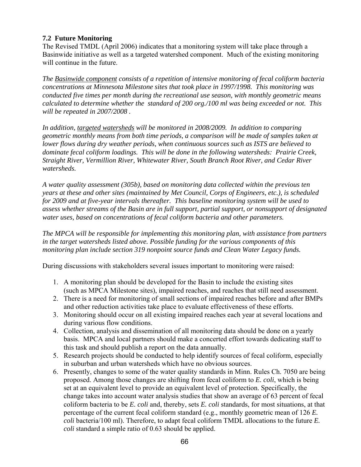## **7.2 Future Monitoring**

The Revised TMDL (April 2006) indicates that a monitoring system will take place through a Basinwide initiative as well as a targeted watershed component. Much of the existing monitoring will continue in the future.

*The Basinwide component consists of a repetition of intensive monitoring of fecal coliform bacteria concentrations at Minnesota Milestone sites that took place in 1997/1998. This monitoring was conducted five times per month during the recreational use season, with monthly geometric means calculated to determine whether the standard of 200 org./100 ml was being exceeded or not. This will be repeated in 2007/2008 .* 

*In addition, targeted watersheds will be monitored in 2008/2009. In addition to comparing geometric monthly means from both time periods, a comparison will be made of samples taken at lower flows during dry weather periods, when continuous sources such as ISTS are believed to dominate fecal coliform loadings. This will be done in the following watersheds: Prairie Creek, Straight River, Vermillion River, Whitewater River, South Branch Root River, and Cedar River watersheds.* 

*A water quality assessment (305b), based on monitoring data collected within the previous ten years at these and other sites (maintained by Met Council, Corps of Engineers, etc.), is scheduled for 2009 and at five-year intervals thereafter. This baseline monitoring system will be used to assess whether streams of the Basin are in full support, partial support, or nonsupport of designated water uses, based on concentrations of fecal coliform bacteria and other parameters.* 

*The MPCA will be responsible for implementing this monitoring plan, with assistance from partners in the target watersheds listed above. Possible funding for the various components of this monitoring plan include section 319 nonpoint source funds and Clean Water Legacy funds.* 

During discussions with stakeholders several issues important to monitoring were raised:

- 1. A monitoring plan should be developed for the Basin to include the existing sites (such as MPCA Milestone sites), impaired reaches, and reaches that still need assessment.
- 2. There is a need for monitoring of small sections of impaired reaches before and after BMPs and other reduction activities take place to evaluate effectiveness of these efforts.
- 3. Monitoring should occur on all existing impaired reaches each year at several locations and during various flow conditions.
- 4. Collection, analysis and dissemination of all monitoring data should be done on a yearly basis. MPCA and local partners should make a concerted effort towards dedicating staff to this task and should publish a report on the data annually.
- 5. Research projects should be conducted to help identify sources of fecal coliform, especially in suburban and urban watersheds which have no obvious sources.
- 6. Presently, changes to some of the water quality standards in Minn. Rules Ch. 7050 are being proposed. Among those changes are shifting from fecal coliform to *E. coli*, which is being set at an equivalent level to provide an equivalent level of protection. Specifically, the change takes into account water analysis studies that show an average of 63 percent of fecal coliform bacteria to be *E. coli* and, thereby, sets *E. coli* standards, for most situations, at that percentage of the current fecal coliform standard (e.g., monthly geometric mean of 126 *E. coli* bacteria/100 ml). Therefore, to adapt fecal coliform TMDL allocations to the future *E. coli* standard a simple ratio of 0.63 should be applied.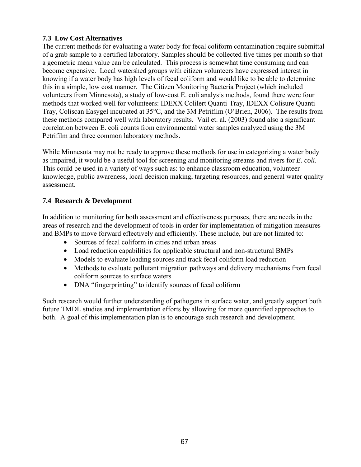## **7.3 Low Cost Alternatives**

The current methods for evaluating a water body for fecal coliform contamination require submittal of a grab sample to a certified laboratory. Samples should be collected five times per month so that a geometric mean value can be calculated. This process is somewhat time consuming and can become expensive. Local watershed groups with citizen volunteers have expressed interest in knowing if a water body has high levels of fecal coliform and would like to be able to determine this in a simple, low cost manner. The Citizen Monitoring Bacteria Project (which included volunteers from Minnesota), a study of low-cost E. coli analysis methods, found there were four methods that worked well for volunteers: IDEXX Colilert Quanti-Tray, IDEXX Colisure Quanti-Tray, Coliscan Easygel incubated at 35°C, and the 3M Petrifilm (O'Brien, 2006). The results from these methods compared well with laboratory results. Vail et. al. (2003) found also a significant correlation between E. coli counts from environmental water samples analyzed using the 3M Petrifilm and three common laboratory methods.

While Minnesota may not be ready to approve these methods for use in categorizing a water body as impaired, it would be a useful tool for screening and monitoring streams and rivers for *E. coli*. This could be used in a variety of ways such as: to enhance classroom education, volunteer knowledge, public awareness, local decision making, targeting resources, and general water quality assessment.

## **7.4 Research & Development**

In addition to monitoring for both assessment and effectiveness purposes, there are needs in the areas of research and the development of tools in order for implementation of mitigation measures and BMPs to move forward effectively and efficiently. These include, but are not limited to:

- Sources of fecal coliform in cities and urban areas
- Load reduction capabilities for applicable structural and non-structural BMPs
- Models to evaluate loading sources and track fecal coliform load reduction
- Methods to evaluate pollutant migration pathways and delivery mechanisms from fecal coliform sources to surface waters
- DNA "fingerprinting" to identify sources of fecal coliform

Such research would further understanding of pathogens in surface water, and greatly support both future TMDL studies and implementation efforts by allowing for more quantified approaches to both. A goal of this implementation plan is to encourage such research and development.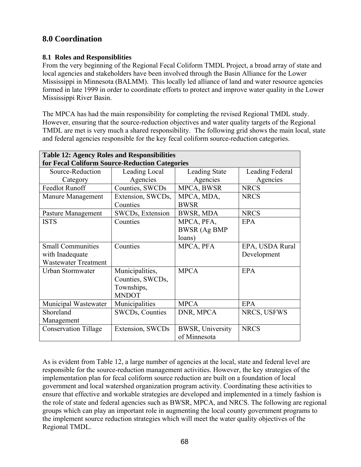# **8.0 Coordination**

## **8.1 Roles and Responsiblities**

From the very beginning of the Regional Fecal Coliform TMDL Project, a broad array of state and local agencies and stakeholders have been involved through the Basin Alliance for the Lower Mississippi in Minnesota (BALMM). This locally led alliance of land and water resource agencies formed in late 1999 in order to coordinate efforts to protect and improve water quality in the Lower Mississippi River Basin.

The MPCA has had the main responsibility for completing the revised Regional TMDL study. However, ensuring that the source-reduction objectives and water quality targets of the Regional TMDL are met is very much a shared responsibility. The following grid shows the main local, state and federal agencies responsible for the key fecal coliform source-reduction categories.

| <b>Table 12: Agency Roles and Responsibilities</b><br>for Fecal Coliform Source-Reduction Categories |                                                                   |                                             |                                |
|------------------------------------------------------------------------------------------------------|-------------------------------------------------------------------|---------------------------------------------|--------------------------------|
| Source-Reduction                                                                                     | Leading Local                                                     | <b>Leading State</b>                        | Leading Federal                |
| Category                                                                                             | Agencies                                                          | Agencies                                    | Agencies                       |
| <b>Feedlot Runoff</b>                                                                                | Counties, SWCDs                                                   | MPCA, BWSR                                  | <b>NRCS</b>                    |
| Manure Management                                                                                    | Extension, SWCDs,<br>Counties                                     | MPCA, MDA,<br><b>BWSR</b>                   | <b>NRCS</b>                    |
| Pasture Management                                                                                   | SWCDs, Extension                                                  | BWSR, MDA                                   | <b>NRCS</b>                    |
| <b>ISTS</b>                                                                                          | Counties                                                          | MPCA, PFA,<br><b>BWSR</b> (Ag BMP<br>loans) | EPA                            |
| <b>Small Communities</b><br>with Inadequate<br><b>Wastewater Treatment</b>                           | Counties                                                          | MPCA, PFA                                   | EPA, USDA Rural<br>Development |
| Urban Stormwater                                                                                     | Municipalities,<br>Counties, SWCDs,<br>Townships,<br><b>MNDOT</b> | <b>MPCA</b>                                 | <b>EPA</b>                     |
| Municipal Wastewater                                                                                 | Municipalities                                                    | <b>MPCA</b>                                 | <b>EPA</b>                     |
| Shoreland<br>Management                                                                              | <b>SWCDs, Counties</b>                                            | DNR, MPCA                                   | NRCS, USFWS                    |
| <b>Conservation Tillage</b>                                                                          | Extension, SWCDs                                                  | <b>BWSR, University</b><br>of Minnesota     | <b>NRCS</b>                    |

As is evident from Table 12, a large number of agencies at the local, state and federal level are responsible for the source-reduction management activities. However, the key strategies of the implementation plan for fecal coliform source reduction are built on a foundation of local government and local watershed organization program activity. Coordinating these activities to ensure that effective and workable strategies are developed and implemented in a timely fashion is the role of state and federal agencies such as BWSR, MPCA, and NRCS. The following are regional groups which can play an important role in augmenting the local county government programs to the implement source reduction strategies which will meet the water quality objectives of the Regional TMDL.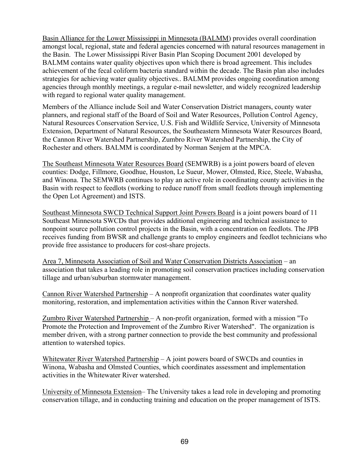Basin Alliance for the Lower Mississippi in Minnesota (BALMM) provides overall coordination amongst local, regional, state and federal agencies concerned with natural resources management in the Basin. The Lower Mississippi River Basin Plan Scoping Document 2001 developed by BALMM contains water quality objectives upon which there is broad agreement. This includes achievement of the fecal coliform bacteria standard within the decade. The Basin plan also includes strategies for achieving water quality objectives.. BALMM provides ongoing coordination among agencies through monthly meetings, a regular e-mail newsletter, and widely recognized leadership with regard to regional water quality management.

Members of the Alliance include Soil and Water Conservation District managers, county water planners, and regional staff of the Board of Soil and Water Resources, Pollution Control Agency, Natural Resources Conservation Service, U.S. Fish and Wildlife Service, University of Minnesota Extension, Department of Natural Resources, the Southeastern Minnesota Water Resources Board, the Cannon River Watershed Partnership, Zumbro River Watershed Partnership, the City of Rochester and others. BALMM is coordinated by Norman Senjem at the MPCA.

The Southeast Minnesota Water Resources Board (SEMWRB) is a joint powers board of eleven counties: Dodge, Fillmore, Goodhue, Houston, Le Sueur, Mower, Olmsted, Rice, Steele, Wabasha, and Winona. The SEMWRB continues to play an active role in coordinating county activities in the Basin with respect to feedlots (working to reduce runoff from small feedlots through implementing the Open Lot Agreement) and ISTS.

Southeast Minnesota SWCD Technical Support Joint Powers Board is a joint powers board of 11 Southeast Minnesota SWCDs that provides additional engineering and technical assistance to nonpoint source pollution control projects in the Basin, with a concentration on feedlots. The JPB receives funding from BWSR and challenge grants to employ engineers and feedlot technicians who provide free assistance to producers for cost-share projects.

Area 7, Minnesota Association of Soil and Water Conservation Districts Association – an association that takes a leading role in promoting soil conservation practices including conservation tillage and urban/suburban stormwater management.

Cannon River Watershed Partnership – A nonprofit organization that coordinates water quality monitoring, restoration, and implementation activities within the Cannon River watershed.

Zumbro River Watershed Partnership – A non-profit organization, formed with a mission "To Promote the Protection and Improvement of the Zumbro River Watershed". The organization is member driven, with a strong partner connection to provide the best community and professional attention to watershed topics.

Whitewater River Watershed Partnership – A joint powers board of SWCDs and counties in Winona, Wabasha and Olmsted Counties, which coordinates assessment and implementation activities in the Whitewater River watershed.

University of Minnesota Extension– The University takes a lead role in developing and promoting conservation tillage, and in conducting training and education on the proper management of ISTS.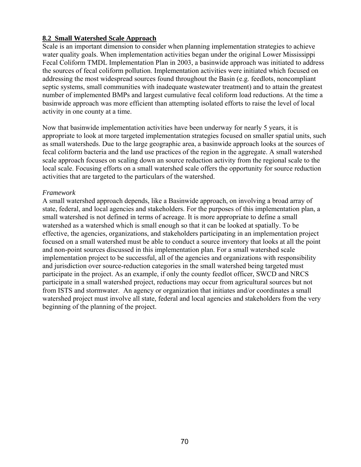### **8.2 Small Watershed Scale Approach**

Scale is an important dimension to consider when planning implementation strategies to achieve water quality goals. When implementation activities began under the original Lower Mississippi Fecal Coliform TMDL Implementation Plan in 2003, a basinwide approach was initiated to address the sources of fecal coliform pollution. Implementation activities were initiated which focused on addressing the most widespread sources found throughout the Basin (e.g. feedlots, noncompliant septic systems, small communities with inadequate wastewater treatment) and to attain the greatest number of implemented BMPs and largest cumulative fecal coliform load reductions. At the time a basinwide approach was more efficient than attempting isolated efforts to raise the level of local activity in one county at a time.

Now that basinwide implementation activities have been underway for nearly 5 years, it is appropriate to look at more targeted implementation strategies focused on smaller spatial units, such as small watersheds. Due to the large geographic area, a basinwide approach looks at the sources of fecal coliform bacteria and the land use practices of the region in the aggregate. A small watershed scale approach focuses on scaling down an source reduction activity from the regional scale to the local scale. Focusing efforts on a small watershed scale offers the opportunity for source reduction activities that are targeted to the particulars of the watershed.

#### *Framework*

A small watershed approach depends, like a Basinwide approach, on involving a broad array of state, federal, and local agencies and stakeholders. For the purposes of this implementation plan, a small watershed is not defined in terms of acreage. It is more appropriate to define a small watershed as a watershed which is small enough so that it can be looked at spatially. To be effective, the agencies, organizations, and stakeholders participating in an implementation project focused on a small watershed must be able to conduct a source inventory that looks at all the point and non-point sources discussed in this implementation plan. For a small watershed scale implementation project to be successful, all of the agencies and organizations with responsibility and jurisdiction over source-reduction categories in the small watershed being targeted must participate in the project. As an example, if only the county feedlot officer, SWCD and NRCS participate in a small watershed project, reductions may occur from agricultural sources but not from ISTS and stormwater. An agency or organization that initiates and/or coordinates a small watershed project must involve all state, federal and local agencies and stakeholders from the very beginning of the planning of the project.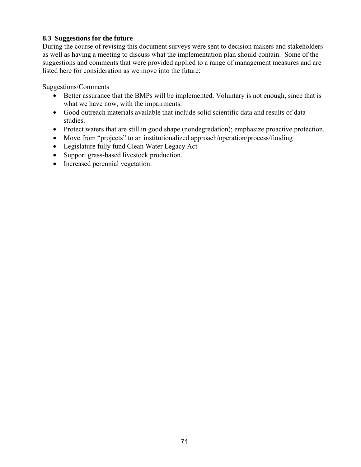## **8.3 Suggestions for the future**

During the course of revising this document surveys were sent to decision makers and stakeholders as well as having a meeting to discuss what the implementation plan should contain. Some of the suggestions and comments that were provided applied to a range of management measures and are listed here for consideration as we move into the future:

Suggestions/Comments

- Better assurance that the BMPs will be implemented. Voluntary is not enough, since that is what we have now, with the impairments.
- Good outreach materials available that include solid scientific data and results of data studies.
- Protect waters that are still in good shape (nondegredation); emphasize proactive protection.
- Move from "projects" to an institutionalized approach/operation/process/funding
- Legislature fully fund Clean Water Legacy Act
- Support grass-based livestock production.
- Increased perennial vegetation.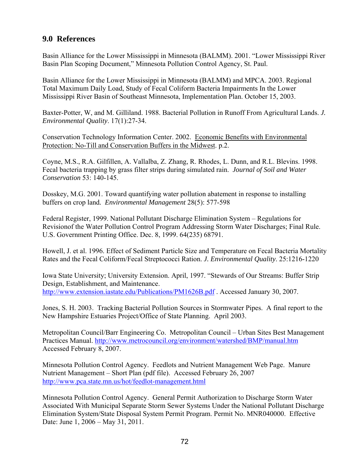## **9.0 References**

Basin Alliance for the Lower Mississippi in Minnesota (BALMM). 2001. "Lower Mississippi River Basin Plan Scoping Document," Minnesota Pollution Control Agency, St. Paul.

Basin Alliance for the Lower Mississippi in Minnesota (BALMM) and MPCA. 2003. Regional Total Maximum Daily Load, Study of Fecal Coliform Bacteria Impairments In the Lower Mississippi River Basin of Southeast Minnesota, Implementation Plan. October 15, 2003.

Baxter-Potter, W, and M. Gilliland. 1988. Bacterial Pollution in Runoff From Agricultural Lands. *J. Environmental Quality*. 17(1):27-34.

Conservation Technology Information Center. 2002. Economic Benefits with Environmental Protection: No-Till and Conservation Buffers in the Midwest. p.2.

Coyne, M.S., R.A. Gilfillen, A. Vallalba, Z. Zhang, R. Rhodes, L. Dunn, and R.L. Blevins. 1998. Fecal bacteria trapping by grass filter strips during simulated rain. *Journal of Soil and Water Conservation* 53: 140-145.

Dosskey, M.G. 2001. Toward quantifying water pollution abatement in response to installing buffers on crop land*. Environmental Management* 28(5): 577-598

Federal Register, 1999. National Pollutant Discharge Elimination System – Regulations for Revisionof the Water Pollution Control Program Addressing Storm Water Discharges; Final Rule. U.S. Government Printing Office. Dec. 8, 1999. 64(235) 68791.

Howell, J. et al. 1996. Effect of Sediment Particle Size and Temperature on Fecal Bacteria Mortality Rates and the Fecal Coliform/Fecal Streptococci Ration. *J. Environmental Quality*. 25:1216-1220

Iowa State University; University Extension. April, 1997. "Stewards of Our Streams: Buffer Strip Design, Establishment, and Maintenance. http://www.extension.iastate.edu/Publications/PM1626B.pdf . Accessed January 30, 2007.

Jones, S. H. 2003. Tracking Bacterial Pollution Sources in Stormwater Pipes. A final report to the New Hampshire Estuaries Project/Office of State Planning. April 2003.

Metropolitan Council/Barr Engineering Co. Metropolitan Council – Urban Sites Best Management Practices Manual. http://www.metrocouncil.org/environment/watershed/BMP/manual.htm Accessed February 8, 2007.

Minnesota Pollution Control Agency. Feedlots and Nutrient Management Web Page. Manure Nutrient Management – Short Plan (pdf file). Accessed February 26, 2007 http://www.pca.state.mn.us/hot/feedlot-management.html

Minnesota Pollution Control Agency. General Permit Authorization to Discharge Storm Water Associated With Municipal Separate Storm Sewer Systems Under the National Pollutant Discharge Elimination System/State Disposal System Permit Program. Permit No. MNR040000. Effective Date: June 1, 2006 – May 31, 2011.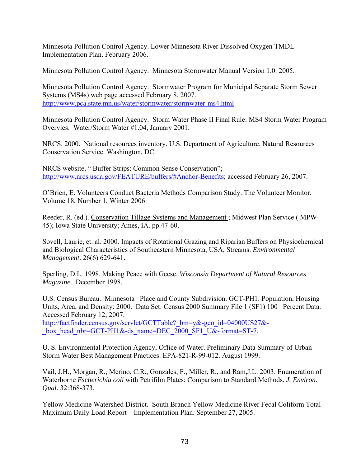Minnesota Pollution Control Agency. Lower Minnesota River Dissolved Oxygen TMDL Implementation Plan. February 2006.

Minnesota Pollution Control Agency. Minnesota Stormwater Manual Version 1.0. 2005.

Minnesota Pollution Control Agency. Stormwater Program for Municipal Separate Storm Sewer Systems (MS4s) web page accessed February 8, 2007. http://www.pca.state.mn.us/water/stormwater/stormwater-ms4.html

Minnesota Pollution Control Agency. Storm Water Phase II Final Rule: MS4 Storm Water Program Overvies. Water/Storm Water #1.04, January 2001.

NRCS. 2000. National resources inventory. U.S. Department of Agriculture. Natural Resources Conservation Service. Washington, DC.

NRCS website, " Buffer Strips: Common Sense Conservation"; http://www.nrcs.usda.gov/FEATURE/buffers/#Anchor-Benefits; accessed February 26, 2007.

O'Brien, E. Volunteers Conduct Bacteria Methods Comparison Study. The Volunteer Monitor. Volume 18, Number 1, Winter 2006.

Reeder, R. (ed.). Conservation Tillage Systems and Management ; Midwest Plan Service ( MPW-45); Iowa State University; Ames, IA. pp.47-60.

Sovell, Laurie, et. al. 2000. Impacts of Rotational Grazing and Riparian Buffers on Physiochemical and Biological Characteristics of Southeastern Minnesota, USA, Streams. *Environmental Management*. 26(6) 629-641.

Sperling, D.L. 1998. Making Peace with Geese. *Wisconsin Department of Natural Resources Magazine*. December 1998.

U.S. Census Bureau. Minnesota –Place and County Subdivision. GCT-PH1. Population, Housing Units, Area, and Density: 2000. Data Set: Census 2000 Summary File 1 (SF1) 100 –Percent Data. Accessed February 12, 2007. http://factfinder.census.gov/servlet/GCTTable? bm=y&-geo\_id=04000US27&box\_head\_nbr=GCT-PH1&-ds\_name=DEC\_2000\_SF1\_U&-format=ST-7.

U. S. Environmental Protection Agency, Office of Water. Preliminary Data Summary of Urban Storm Water Best Management Practices. EPA-821-R-99-012. August 1999.

Vail, J.H., Morgan, R., Merino, C.R., Gonzales, F., Miller, R., and Ram,J.L. 2003. Enumeration of Waterborne *Escherichia coli* with Petrifilm Plates: Comparison to Standard Methods. *J. Environ. Qual*. 32:368-373.

Yellow Medicine Watershed District. South Branch Yellow Medicine River Fecal Coliform Total Maximum Daily Load Report – Implementation Plan. September 27, 2005.